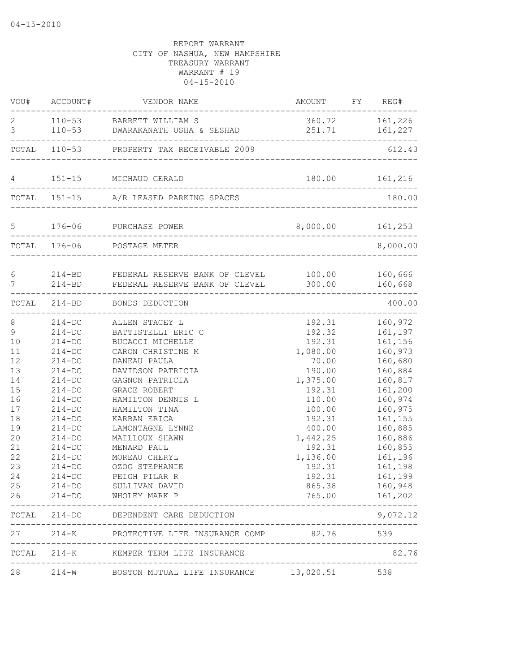|                                                                                                              |                                                                                                                                                                                                                                | VOU# ACCOUNT# VENDOR NAME                                                                                                                                                                                                                                                                                                                                             | AMOUNT FY REG#                                                                                                                                                                                    |                                                                                                                                                                                                               |
|--------------------------------------------------------------------------------------------------------------|--------------------------------------------------------------------------------------------------------------------------------------------------------------------------------------------------------------------------------|-----------------------------------------------------------------------------------------------------------------------------------------------------------------------------------------------------------------------------------------------------------------------------------------------------------------------------------------------------------------------|---------------------------------------------------------------------------------------------------------------------------------------------------------------------------------------------------|---------------------------------------------------------------------------------------------------------------------------------------------------------------------------------------------------------------|
| $\mathbf{2}$<br>$\mathfrak{Z}$                                                                               |                                                                                                                                                                                                                                | 110-53 BARRETT WILLIAM S<br>110-53 DWARAKANATH USHA & SESHAD                                                                                                                                                                                                                                                                                                          | 360.72 161,226<br>251.71 161,227<br>--------------                                                                                                                                                |                                                                                                                                                                                                               |
|                                                                                                              |                                                                                                                                                                                                                                | TOTAL 110-53 PROPERTY TAX RECEIVABLE 2009                                                                                                                                                                                                                                                                                                                             | -------------------------------                                                                                                                                                                   | 612.43                                                                                                                                                                                                        |
|                                                                                                              |                                                                                                                                                                                                                                | 4 151-15 MICHAUD GERALD                                                                                                                                                                                                                                                                                                                                               |                                                                                                                                                                                                   |                                                                                                                                                                                                               |
|                                                                                                              |                                                                                                                                                                                                                                | TOTAL 151-15 A/R LEASED PARKING SPACES<br>__________________________________                                                                                                                                                                                                                                                                                          |                                                                                                                                                                                                   | 180.00                                                                                                                                                                                                        |
|                                                                                                              |                                                                                                                                                                                                                                | 5 176-06 PURCHASE POWER<br>---------------------------                                                                                                                                                                                                                                                                                                                | 8,000.00 161,253                                                                                                                                                                                  |                                                                                                                                                                                                               |
|                                                                                                              |                                                                                                                                                                                                                                | TOTAL 176-06 POSTAGE METER<br>_________________                                                                                                                                                                                                                                                                                                                       |                                                                                                                                                                                                   | 8,000.00                                                                                                                                                                                                      |
| $\epsilon$<br>$\overline{7}$                                                                                 |                                                                                                                                                                                                                                | 214-BD       FEDERAL RESERVE BANK OF CLEVEL             100.00          160,666<br>214-BD         FEDERAL RESERVE BANK OF CLEVEL             300.00          160,668<br>______________                                                                                                                                                                                |                                                                                                                                                                                                   |                                                                                                                                                                                                               |
|                                                                                                              |                                                                                                                                                                                                                                | TOTAL 214-BD BONDS DEDUCTION                                                                                                                                                                                                                                                                                                                                          |                                                                                                                                                                                                   | 400.00                                                                                                                                                                                                        |
| 8<br>9<br>10<br>11<br>12<br>13<br>14<br>15<br>16<br>17<br>18<br>19<br>20<br>21<br>22<br>23<br>24<br>25<br>26 | $214 - DC$<br>$214 - DC$<br>$214 - DC$<br>$214-DC$<br>$214 - DC$<br>$214-DC$<br>$214 - DC$<br>$214-DC$<br>$214 - DC$<br>$214-DC$<br>$214-DC$<br>$214 - DC$<br>$214-DC$<br>$214 - DC$<br>$214 - DC$<br>$214 - DC$<br>$214 - DC$ | 214-DC ALLEN STACEY L<br>BATTISTELLI ERIC C<br>BUCACCI MICHELLE<br>CARON CHRISTINE M<br>DANEAU PAULA<br>DAVIDSON PATRICIA<br>GAGNON PATRICIA<br>GRACE ROBERT<br>HAMILTON DENNIS L<br>HAMILTON TINA<br>KARBAN ERICA<br>LAMONTAGNE LYNNE<br>MAILLOUX SHAWN<br>MENARD PAUL<br>MOREAU CHERYL<br>OZOG STEPHANIE<br>PEIGH PILAR R<br>SULLIVAN DAVID<br>214-DC WHOLEY MARK P | 192.31<br>192.32<br>192.31<br>1,080.00<br>70.00<br>190.00<br>1,375.00<br>192.31<br>110.00<br>100.00<br>192.31<br>400.00<br>1,442.25<br>192.31<br>1,136.00<br>192.31<br>192.31<br>865.38<br>765.00 | 160,972<br>161,197<br>161,156<br>160,973<br>160,680<br>160,884<br>160,817<br>161,200<br>160,974<br>160,975<br>161,155<br>160,885<br>160,886<br>160,855<br>161,196<br>161,198<br>161,199<br>160,948<br>161,202 |
|                                                                                                              |                                                                                                                                                                                                                                | TOTAL 214-DC DEPENDENT CARE DEDUCTION                                                                                                                                                                                                                                                                                                                                 |                                                                                                                                                                                                   | 9,072.12                                                                                                                                                                                                      |
|                                                                                                              |                                                                                                                                                                                                                                | 27 214-K PROTECTIVE LIFE INSURANCE COMP 82.76 539                                                                                                                                                                                                                                                                                                                     |                                                                                                                                                                                                   |                                                                                                                                                                                                               |
|                                                                                                              |                                                                                                                                                                                                                                | TOTAL 214-K KEMPER TERM LIFE INSURANCE                                                                                                                                                                                                                                                                                                                                | ---------------------------------                                                                                                                                                                 | 82.76                                                                                                                                                                                                         |
| 28                                                                                                           |                                                                                                                                                                                                                                | 214-W BOSTON MUTUAL LIFE INSURANCE 13,020.51                                                                                                                                                                                                                                                                                                                          |                                                                                                                                                                                                   | 538                                                                                                                                                                                                           |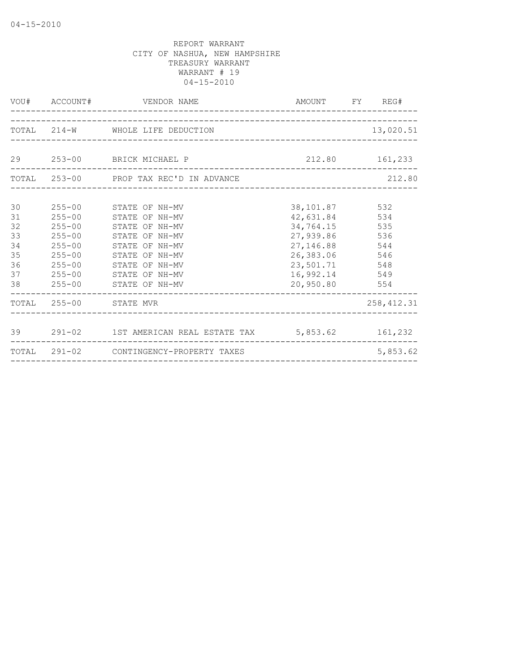|    | VOU# ACCOUNT#          | VENDOR NAME                                             |                | AMOUNT FY REG# |
|----|------------------------|---------------------------------------------------------|----------------|----------------|
|    |                        | TOTAL 214-W WHOLE LIFE DEDUCTION                        |                | 13,020.51      |
|    |                        |                                                         |                |                |
|    |                        | 29 253-00 BRICK MICHAEL P                               |                | 212.80 161,233 |
|    |                        | TOTAL 253-00 PROP TAX REC'D IN ADVANCE                  |                | 212.80         |
| 30 | $255 - 00$             | STATE OF NH-MV                                          | 38, 101.87 532 |                |
| 31 | $255 - 00$             | STATE OF NH-MV                                          | 42,631.84      | 534            |
| 32 | $255 - 00$             | STATE OF NH-MV                                          | 34,764.15      | 535            |
| 33 | $255 - 00$             | STATE OF NH-MV                                          | 27,939.86      | 536            |
| 34 | $255 - 00$             | STATE OF NH-MV                                          | 27, 146.88     | 544            |
| 35 | $255 - 00$             | STATE OF<br>NH-MV                                       | 26,383.06      | 546            |
| 36 | $255 - 00$             | STATE OF NH-MV                                          | 23,501.71 548  |                |
| 37 | $255 - 00$             | STATE OF NH-MV                                          | 16,992.14 549  |                |
| 38 | $255 - 00$             | STATE OF NH-MV                                          | 20,950.80 554  |                |
|    | TOTAL 255-00 STATE MVR |                                                         |                | 258, 412.31    |
|    |                        |                                                         |                |                |
|    |                        | 39 291-02 1ST AMERICAN REAL ESTATE TAX 5,853.62 161,232 |                |                |
|    |                        | TOTAL 291-02 CONTINGENCY-PROPERTY TAXES                 |                | 5,853.62       |
|    |                        |                                                         |                |                |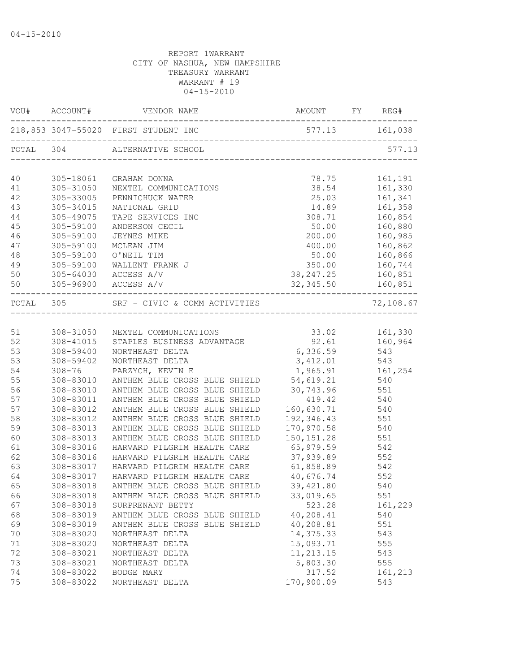| VOU#      | ACCOUNT#   | VENDOR NAME                                  | AMOUNT FY REG#                    |           |
|-----------|------------|----------------------------------------------|-----------------------------------|-----------|
|           |            | 218,853 3047-55020 FIRST STUDENT INC         |                                   |           |
|           |            | TOTAL 304 ALTERNATIVE SCHOOL                 | --------------------------------- | 577.13    |
| 40        | 305-18061  | GRAHAM DONNA                                 | 78.75                             | 161,191   |
| 41        | 305-31050  | NEXTEL COMMUNICATIONS                        | 38.54                             | 161,330   |
| 42        | 305-33005  | PENNICHUCK WATER                             | 25.03                             | 161,341   |
| 43        | 305-34015  | NATIONAL GRID                                | 14.89                             | 161,358   |
| 44        | 305-49075  | TAPE SERVICES INC                            | 308.71                            | 160,854   |
| 45        | 305-59100  | ANDERSON CECIL                               | 50.00                             | 160,880   |
| 46        | 305-59100  | JEYNES MIKE                                  | 200.00                            | 160,985   |
| 47        | 305-59100  | MCLEAN JIM                                   | 400.00                            | 160,862   |
| 48        | 305-59100  | O'NEIL TIM                                   | 50.00                             | 160,866   |
| 49        | 305-59100  | WALLENT FRANK J                              | 350.00                            | 160,744   |
| 50        | 305-64030  | ACCESS A/V                                   | 38, 247. 25                       | 160,851   |
| 50        |            | 305-96900 ACCESS A/V                         | 32, 345.50 160, 851               |           |
| TOTAL 305 |            | SRF - CIVIC & COMM ACTIVITIES                |                                   | 72,108.67 |
|           |            |                                              |                                   |           |
| 51        | 308-31050  | NEXTEL COMMUNICATIONS                        | 33.02                             | 161,330   |
| 52        | 308-41015  | STAPLES BUSINESS ADVANTAGE                   | 92.61 160,964                     |           |
| 53        | 308-59400  | NORTHEAST DELTA                              | 6,336.59                          | 543       |
| 53        | 308-59402  | NORTHEAST DELTA                              | 3,412.01                          | 543       |
| 54        | $308 - 76$ | PARZYCH, KEVIN E                             | 1,965.91                          | 161,254   |
| 55        | 308-83010  | ANTHEM BLUE CROSS BLUE SHIELD 54, 619.21 540 |                                   |           |
| 56        | 308-83010  | ANTHEM BLUE CROSS BLUE SHIELD                | 30,743.96 551                     |           |
| 57        | 308-83011  | ANTHEM BLUE CROSS BLUE SHIELD                | 419.42 540                        |           |
| 57        | 308-83012  | ANTHEM BLUE CROSS BLUE SHIELD                | 160,630.71 540                    |           |
| 58        | 308-83012  | ANTHEM BLUE CROSS BLUE SHIELD                | 192,346.43                        | 551       |
| 59        | 308-83013  | ANTHEM BLUE CROSS BLUE SHIELD                | 170,970.58                        | 540       |
| 60        | 308-83013  | ANTHEM BLUE CROSS BLUE SHIELD                | 150, 151.28                       | 551       |
| 61        | 308-83016  | HARVARD PILGRIM HEALTH CARE                  | 65,979.59                         | 542       |
| 62        | 308-83016  | HARVARD PILGRIM HEALTH CARE                  | 37,939.89                         | 552       |
| 63        | 308-83017  | HARVARD PILGRIM HEALTH CARE                  | 61,858.89 542                     |           |
| 64        | 308-83017  | HARVARD PILGRIM HEALTH CARE                  | 40,676.74 552                     |           |
| 65        |            | 308-83018 ANTHEM BLUE CROSS BLUE SHIELD      | 39,421.80                         | 540       |
| 66        | 308-83018  | ANTHEM BLUE CROSS BLUE SHIELD                | 33,019.65                         | 551       |
| 67        | 308-83018  | SURPRENANT BETTY                             | 523.28                            | 161,229   |
| 68        | 308-83019  | ANTHEM BLUE CROSS BLUE SHIELD                | 40,208.41                         | 540       |
| 69        | 308-83019  | ANTHEM BLUE CROSS BLUE SHIELD                | 40,208.81                         | 551       |
| 70        | 308-83020  | NORTHEAST DELTA                              | 14, 375.33                        | 543       |
| 71        | 308-83020  | NORTHEAST DELTA                              | 15,093.71                         | 555       |
| 72        | 308-83021  | NORTHEAST DELTA                              | 11, 213.15                        | 543       |
| 73        | 308-83021  | NORTHEAST DELTA                              | 5,803.30                          | 555       |
| 74        | 308-83022  | BODGE MARY                                   | 317.52                            | 161,213   |
| 75        | 308-83022  | NORTHEAST DELTA                              | 170,900.09                        | 543       |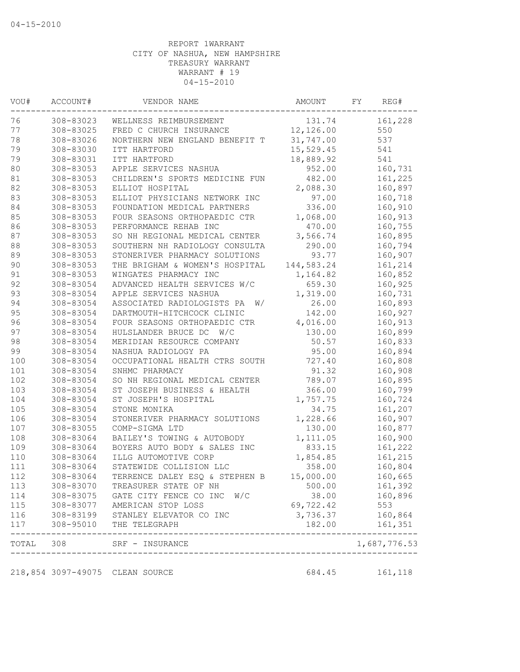| VOU# | ACCOUNT#  | VENDOR NAME                                                                                  | AMOUNT     | FY | REG#           |
|------|-----------|----------------------------------------------------------------------------------------------|------------|----|----------------|
| 76   | 308-83023 | WELLNESS REIMBURSEMENT                                                                       | 131.74     |    | 161,228        |
| 77   | 308-83025 | FRED C CHURCH INSURANCE                                                                      | 12,126.00  |    | 550            |
| 78   | 308-83026 | NORTHERN NEW ENGLAND BENEFIT T                                                               | 31,747.00  |    | 537            |
| 79   | 308-83030 | ITT HARTFORD                                                                                 | 15,529.45  |    | 541            |
| 79   | 308-83031 | ITT HARTFORD                                                                                 | 18,889.92  |    | 541            |
| 80   | 308-83053 | APPLE SERVICES NASHUA                                                                        | 952.00     |    | 160,731        |
| 81   | 308-83053 | CHILDREN'S SPORTS MEDICINE FUN                                                               | 482.00     |    | 161,225        |
| 82   | 308-83053 | ELLIOT HOSPITAL                                                                              | 2,088.30   |    | 160,897        |
| 83   | 308-83053 | ELLIOT PHYSICIANS NETWORK INC                                                                | 97.00      |    | 160,718        |
| 84   | 308-83053 | FOUNDATION MEDICAL PARTNERS                                                                  | 336.00     |    | 160,910        |
| 85   | 308-83053 | FOUR SEASONS ORTHOPAEDIC CTR                                                                 | 1,068.00   |    | 160,913        |
| 86   | 308-83053 | PERFORMANCE REHAB INC                                                                        | 470.00     |    | 160,755        |
| 87   | 308-83053 | SO NH REGIONAL MEDICAL CENTER                                                                | 3,566.74   |    | 160,895        |
| 88   | 308-83053 | SOUTHERN NH RADIOLOGY CONSULTA                                                               | 290.00     |    | 160,794        |
| 89   | 308-83053 | STONERIVER PHARMACY SOLUTIONS                                                                | 93.77      |    | 160,907        |
| 90   | 308-83053 | THE BRIGHAM & WOMEN'S HOSPITAL                                                               | 144,583.24 |    | 161,214        |
| 91   | 308-83053 | WINGATES PHARMACY INC                                                                        | 1,164.82   |    | 160,852        |
| 92   | 308-83054 | ADVANCED HEALTH SERVICES W/C                                                                 | 659.30     |    | 160,925        |
| 93   | 308-83054 | APPLE SERVICES NASHUA                                                                        | 1,319.00   |    | 160,731        |
| 94   | 308-83054 | ASSOCIATED RADIOLOGISTS PA<br>W/                                                             | 26.00      |    | 160,893        |
| 95   | 308-83054 | DARTMOUTH-HITCHCOCK CLINIC                                                                   | 142.00     |    | 160,927        |
| 96   | 308-83054 | FOUR SEASONS ORTHOPAEDIC CTR                                                                 | 4,016.00   |    | 160,913        |
| 97   | 308-83054 | HULSLANDER BRUCE DC W/C                                                                      | 130.00     |    | 160,899        |
| 98   | 308-83054 | MERIDIAN RESOURCE COMPANY                                                                    | 50.57      |    | 160,833        |
| 99   | 308-83054 | NASHUA RADIOLOGY PA                                                                          | 95.00      |    | 160,894        |
| 100  | 308-83054 | OCCUPATIONAL HEALTH CTRS SOUTH                                                               | 727.40     |    | 160,808        |
| 101  | 308-83054 | SNHMC PHARMACY                                                                               | 91.32      |    | 160,908        |
| 102  | 308-83054 | SO NH REGIONAL MEDICAL CENTER                                                                | 789.07     |    | 160,895        |
| 103  | 308-83054 | ST JOSEPH BUSINESS & HEALTH                                                                  | 366.00     |    | 160,799        |
| 104  | 308-83054 | ST JOSEPH'S HOSPITAL                                                                         | 1,757.75   |    | 160,724        |
| 105  | 308-83054 | STONE MONIKA                                                                                 | 34.75      |    | 161,207        |
| 106  | 308-83054 | STONERIVER PHARMACY SOLUTIONS                                                                | 1,228.66   |    | 160,907        |
| 107  | 308-83055 | COMP-SIGMA LTD                                                                               | 130.00     |    | 160,877        |
| 108  | 308-83064 | BAILEY'S TOWING & AUTOBODY                                                                   | 1,111.05   |    | 160,900        |
| 109  | 308-83064 | BOYERS AUTO BODY & SALES INC                                                                 | 833.15     |    | 161,222        |
| 110  | 308-83064 | ILLG AUTOMOTIVE CORP                                                                         | 1,854.85   |    | 161,215        |
| 111  | 308-83064 | STATEWIDE COLLISION LLC                                                                      | 358.00     |    | 160,804        |
| 112  | 308-83064 | TERRENCE DALEY ESO & STEPHEN B                                                               | 15,000.00  |    | 160,665        |
| 113  | 308-83070 | TREASURER STATE OF NH                                                                        | 500.00     |    | 161,392        |
| 114  | 308-83075 | GATE CITY FENCE CO INC<br>W/C                                                                | 38.00      |    | 160,896        |
| 115  |           | AMERICAN STOP LOSS                                                                           | 69,722.42  |    | 553            |
| 116  |           |                                                                                              | 3,736.37   |    | 160,864        |
| 117  |           | 308-83077 AMERICAN STOP LOSS<br>308-83199 STANLEY ELEVATOR CO INC<br>308-95010 THE TELEGRAPH | 182.00     |    | 161,351        |
|      |           | TOTAL 308 SRF - INSURANCE<br>------------------------------------                            |            |    | 1,687,776.53   |
|      |           |                                                                                              |            |    |                |
|      |           | 218,854 3097-49075 CLEAN SOURCE                                                              |            |    | 684.45 161,118 |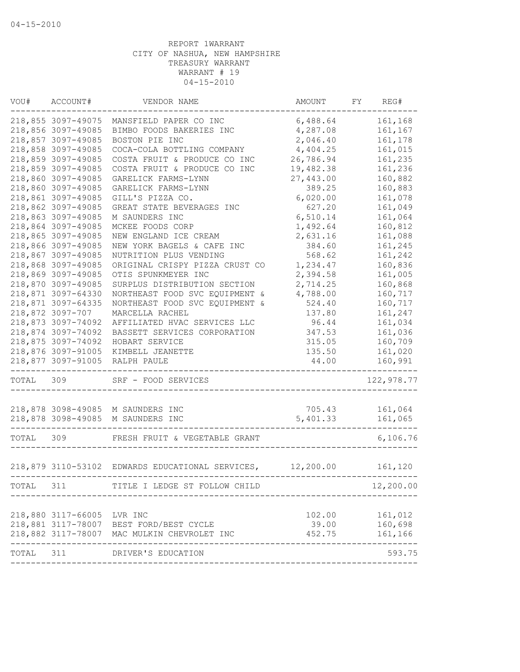| VOU#      | ACCOUNT#           | VENDOR NAME                                                | AMOUNT    | FY | REG#       |
|-----------|--------------------|------------------------------------------------------------|-----------|----|------------|
|           | 218,855 3097-49075 | MANSFIELD PAPER CO INC                                     | 6,488.64  |    | 161,168    |
|           | 218,856 3097-49085 | BIMBO FOODS BAKERIES INC                                   | 4,287.08  |    | 161,167    |
|           | 218,857 3097-49085 | BOSTON PIE INC                                             | 2,046.40  |    | 161,178    |
|           | 218,858 3097-49085 | COCA-COLA BOTTLING COMPANY                                 | 4,404.25  |    | 161,015    |
|           | 218,859 3097-49085 | COSTA FRUIT & PRODUCE CO INC                               | 26,786.94 |    | 161,235    |
|           | 218,859 3097-49085 | COSTA FRUIT & PRODUCE CO INC                               | 19,482.38 |    | 161,236    |
|           | 218,860 3097-49085 | GARELICK FARMS-LYNN                                        | 27,443.00 |    | 160,882    |
|           | 218,860 3097-49085 | GARELICK FARMS-LYNN                                        | 389.25    |    | 160,883    |
|           | 218,861 3097-49085 | GILL'S PIZZA CO.                                           | 6,020.00  |    | 161,078    |
|           | 218,862 3097-49085 | GREAT STATE BEVERAGES INC                                  | 627.20    |    | 161,049    |
|           | 218,863 3097-49085 | M SAUNDERS INC                                             | 6,510.14  |    | 161,064    |
|           | 218,864 3097-49085 | MCKEE FOODS CORP                                           | 1,492.64  |    | 160,812    |
|           | 218,865 3097-49085 | NEW ENGLAND ICE CREAM                                      | 2,631.16  |    | 161,088    |
|           | 218,866 3097-49085 | NEW YORK BAGELS & CAFE INC                                 | 384.60    |    | 161,245    |
|           | 218,867 3097-49085 | NUTRITION PLUS VENDING                                     | 568.62    |    | 161,242    |
|           | 218,868 3097-49085 | ORIGINAL CRISPY PIZZA CRUST CO                             | 1,234.47  |    | 160,836    |
|           | 218,869 3097-49085 | OTIS SPUNKMEYER INC                                        | 2,394.58  |    | 161,005    |
|           | 218,870 3097-49085 | SURPLUS DISTRIBUTION SECTION                               | 2,714.25  |    | 160,868    |
|           | 218,871 3097-64330 | NORTHEAST FOOD SVC EQUIPMENT &                             | 4,788.00  |    | 160,717    |
|           | 218,871 3097-64335 | NORTHEAST FOOD SVC EQUIPMENT &                             | 524.40    |    | 160,717    |
|           | 218,872 3097-707   | MARCELLA RACHEL                                            | 137.80    |    | 161,247    |
|           | 218,873 3097-74092 | AFFILIATED HVAC SERVICES LLC                               | 96.44     |    | 161,034    |
|           | 218,874 3097-74092 | BASSETT SERVICES CORPORATION                               | 347.53    |    | 161,036    |
|           | 218,875 3097-74092 | HOBART SERVICE                                             | 315.05    |    | 160,709    |
|           | 218,876 3097-91005 | KIMBELL JEANETTE                                           | 135.50    |    | 161,020    |
|           | 218,877 3097-91005 | RALPH PAULE                                                | 44.00     |    | 160,991    |
| TOTAL 309 |                    | SRF - FOOD SERVICES                                        |           |    | 122,978.77 |
|           |                    | 218,878 3098-49085 M SAUNDERS INC                          | 705.43    |    | 161,064    |
|           |                    | 218,878 3098-49085 M SAUNDERS INC                          | 5,401.33  |    | 161,065    |
| TOTAL 309 |                    | FRESH FRUIT & VEGETABLE GRANT                              |           |    | 6,106.76   |
|           |                    |                                                            |           |    |            |
|           |                    | 218,879 3110-53102 EDWARDS EDUCATIONAL SERVICES, 12,200.00 |           |    | 161,120    |
| TOTAL     | 311                | TITLE I LEDGE ST FOLLOW CHILD                              |           |    | 12,200.00  |
|           |                    |                                                            |           |    |            |
|           | 218,880 3117-66005 | LVR INC                                                    | 102.00    |    | 161,012    |
|           |                    | 218,881 3117-78007 BEST FORD/BEST CYCLE                    | 39.00     |    | 160,698    |
|           |                    | 218,882 3117-78007 MAC MULKIN CHEVROLET INC                | 452.75    |    | 161,166    |
| TOTAL     | 311                | DRIVER'S EDUCATION                                         |           |    | 593.75     |
|           |                    |                                                            |           |    |            |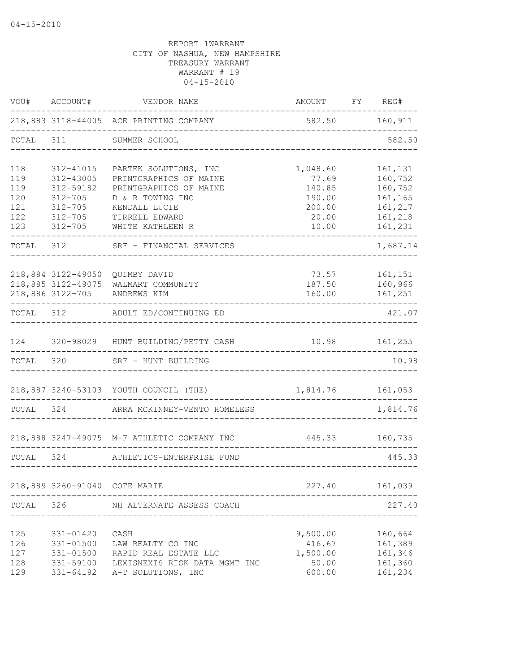| VOU#                                          | ACCOUNT#                                                                                        | VENDOR NAME                                                                                                                                          | AMOUNT                                                            | FY | REG#                                                                      |
|-----------------------------------------------|-------------------------------------------------------------------------------------------------|------------------------------------------------------------------------------------------------------------------------------------------------------|-------------------------------------------------------------------|----|---------------------------------------------------------------------------|
|                                               |                                                                                                 | 218,883 3118-44005 ACE PRINTING COMPANY                                                                                                              | 582.50 160,911                                                    |    |                                                                           |
| TOTAL                                         | 311                                                                                             | SUMMER SCHOOL                                                                                                                                        |                                                                   |    | 582.50                                                                    |
| 118<br>119<br>119<br>120<br>121<br>122<br>123 | 312-41015<br>312-43005<br>312-59182<br>$312 - 705$<br>$312 - 705$<br>$312 - 705$<br>$312 - 705$ | PARTEK SOLUTIONS, INC<br>PRINTGRAPHICS OF MAINE<br>PRINTGRAPHICS OF MAINE<br>D & R TOWING INC<br>KENDALL LUCIE<br>TIRRELL EDWARD<br>WHITE KATHLEEN R | 1,048.60<br>77.69<br>140.85<br>190.00<br>200.00<br>20.00<br>10.00 |    | 161,131<br>160,752<br>160,752<br>161,165<br>161,217<br>161,218<br>161,231 |
| TOTAL                                         | 312                                                                                             | SRF - FINANCIAL SERVICES                                                                                                                             |                                                                   |    | 1,687.14                                                                  |
|                                               | 218,884 3122-49050<br>218,885 3122-49075<br>218,886 3122-705                                    | QUIMBY DAVID<br>WALMART COMMUNITY<br>ANDREWS KIM                                                                                                     | 73.57<br>187.50<br>160.00                                         |    | 161,151<br>160,966<br>161,251                                             |
| TOTAL 312                                     |                                                                                                 | ADULT ED/CONTINUING ED                                                                                                                               |                                                                   |    | 421.07                                                                    |
| 124                                           |                                                                                                 | 320-98029 HUNT BUILDING/PETTY CASH                                                                                                                   | 10.98 161,255                                                     |    |                                                                           |
| TOTAL 320                                     |                                                                                                 | SRF - HUNT BUILDING                                                                                                                                  |                                                                   |    | 10.98                                                                     |
|                                               |                                                                                                 | 218,887 3240-53103 YOUTH COUNCIL (THE)                                                                                                               | 1,814.76                                                          |    | 161,053                                                                   |
| TOTAL 324                                     |                                                                                                 | ARRA MCKINNEY-VENTO HOMELESS                                                                                                                         |                                                                   |    | 1,814.76                                                                  |
|                                               |                                                                                                 | 218,888 3247-49075 M-F ATHLETIC COMPANY INC                                                                                                          | 445.33                                                            |    | 160,735                                                                   |
| TOTAL 324                                     |                                                                                                 | ATHLETICS-ENTERPRISE FUND                                                                                                                            |                                                                   |    | 445.33                                                                    |
|                                               | 218,889 3260-91040 COTE MARIE                                                                   |                                                                                                                                                      | 227.40                                                            |    | 161,039                                                                   |
| TOTAL                                         | 326                                                                                             | NH ALTERNATE ASSESS COACH                                                                                                                            |                                                                   |    | 227.40                                                                    |
| 125<br>126<br>127<br>128<br>129               | 331-01420<br>331-01500<br>331-01500<br>331-59100<br>331-64192                                   | CASH<br>LAW REALTY CO INC<br>RAPID REAL ESTATE LLC<br>LEXISNEXIS RISK DATA MGMT INC<br>A-T SOLUTIONS, INC                                            | 9,500.00<br>416.67<br>1,500.00<br>50.00<br>600.00                 |    | 160,664<br>161,389<br>161,346<br>161,360<br>161,234                       |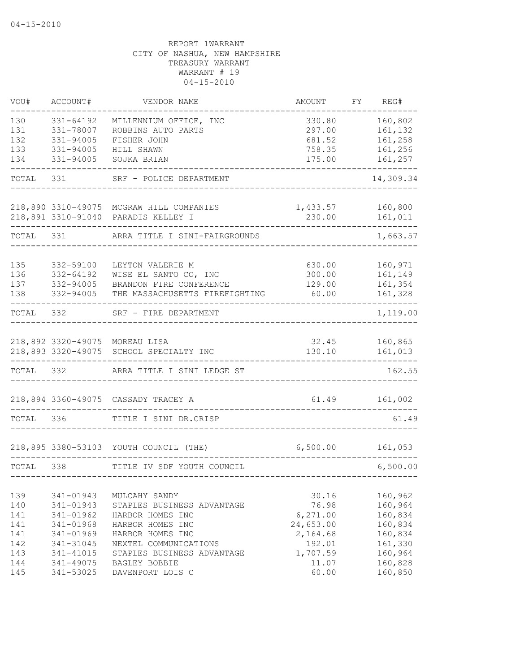| VOU#  | ACCOUNT#  | VENDOR NAME                                                               | AMOUNT          | FY | REG#               |
|-------|-----------|---------------------------------------------------------------------------|-----------------|----|--------------------|
| 130   | 331-64192 | MILLENNIUM OFFICE, INC                                                    | 330.80          |    | 160,802            |
| 131   | 331-78007 | ROBBINS AUTO PARTS                                                        | 297.00          |    | 161,132            |
| 132   | 331-94005 | FISHER JOHN                                                               | 681.52          |    | 161,258            |
| 133   | 331-94005 | HILL SHAWN                                                                | 758.35          |    | 161,256            |
| 134   | 331-94005 | SOJKA BRIAN                                                               | 175.00          |    | 161,257            |
| TOTAL | 331       | SRF - POLICE DEPARTMENT                                                   |                 |    | 14,309.34          |
|       |           | 218,890 3310-49075 MCGRAW HILL COMPANIES                                  | 1,433.57        |    | 160,800            |
|       |           | 218,891 3310-91040 PARADIS KELLEY I                                       | 230.00          |    | 161,011            |
|       |           |                                                                           |                 |    |                    |
| TOTAL | 331       | ARRA TITLE I SINI-FAIRGROUNDS                                             |                 |    | 1,663.57           |
|       |           |                                                                           |                 |    |                    |
| 135   | 332-59100 | LEYTON VALERIE M                                                          | 630.00          |    | 160,971            |
| 136   | 332-64192 | WISE EL SANTO CO, INC                                                     | 300.00          |    | 161,149            |
| 137   | 332-94005 | BRANDON FIRE CONFERENCE                                                   | 129.00          |    | 161,354            |
| 138   | 332-94005 | THE MASSACHUSETTS FIREFIGHTING                                            | 60.00           |    | 161,328            |
| TOTAL | 332       | SRF - FIRE DEPARTMENT                                                     |                 |    | 1,119.00           |
|       |           |                                                                           |                 |    |                    |
|       |           | 218,892 3320-49075 MOREAU LISA<br>218,893 3320-49075 SCHOOL SPECIALTY INC | 32.45<br>130.10 |    | 160,865<br>161,013 |
|       |           |                                                                           |                 |    |                    |
| TOTAL | 332       | ARRA TITLE I SINI LEDGE ST                                                |                 |    | 162.55             |
|       |           | 218,894 3360-49075 CASSADY TRACEY A                                       | 61.49           |    | 161,002            |
|       |           |                                                                           |                 |    |                    |
| TOTAL | 336       | TITLE I SINI DR.CRISP                                                     |                 |    | 61.49              |
|       |           | 218,895 3380-53103 YOUTH COUNCIL (THE)                                    | 6,500.00        |    | 161,053            |
| TOTAL | 338       | TITLE IV SDF YOUTH COUNCIL                                                |                 |    | 6,500.00           |
|       |           |                                                                           |                 |    |                    |
| 139   | 341-01943 | MULCAHY SANDY                                                             | 30.16           |    | 160,962            |
| 140   | 341-01943 | STAPLES BUSINESS ADVANTAGE                                                | 76.98           |    | 160,964            |
| 141   | 341-01962 | HARBOR HOMES INC                                                          | 6,271.00        |    | 160,834            |
| 141   | 341-01968 | HARBOR HOMES INC                                                          | 24,653.00       |    | 160,834            |
| 141   | 341-01969 | HARBOR HOMES INC                                                          | 2,164.68        |    | 160,834            |
| 142   | 341-31045 | NEXTEL COMMUNICATIONS                                                     | 192.01          |    | 161,330            |
| 143   | 341-41015 | STAPLES BUSINESS ADVANTAGE                                                | 1,707.59        |    | 160,964            |
| 144   | 341-49075 | BAGLEY BOBBIE                                                             | 11.07           |    | 160,828            |
| 145   | 341-53025 | DAVENPORT LOIS C                                                          | 60.00           |    | 160,850            |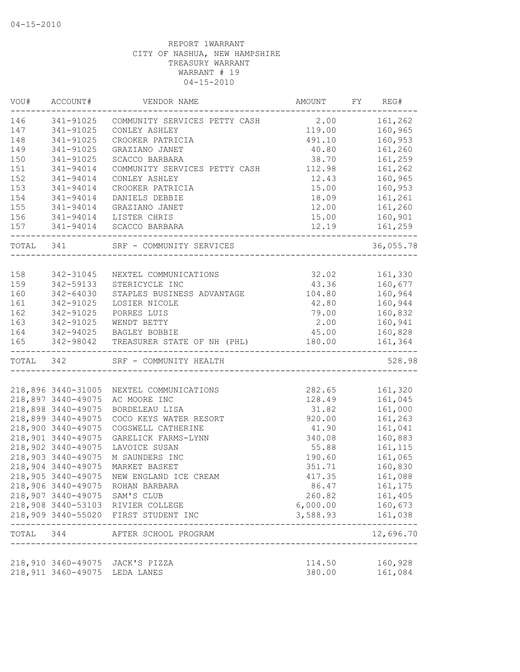| VOU#<br>------------- | ACCOUNT#                      | VENDOR NAME                              | AMOUNT           | FY | REG#                       |
|-----------------------|-------------------------------|------------------------------------------|------------------|----|----------------------------|
| 146                   | 341-91025                     | COMMUNITY SERVICES PETTY CASH 2.00       |                  |    | 161,262                    |
| 147                   | 341-91025                     | CONLEY ASHLEY                            | 119.00           |    | 160,965                    |
| 148                   | 341-91025                     | CROOKER PATRICIA                         | 491.10           |    | 160,953                    |
| 149                   | 341-91025                     | GRAZIANO JANET                           | 40.80            |    | 161,260                    |
| 150                   | 341-91025                     | SCACCO BARBARA                           | 38.70            |    | 161,259                    |
| 151                   | 341-94014                     | COMMUNITY SERVICES PETTY CASH            | 112.98           |    | 161,262                    |
| 152                   | 341-94014                     | CONLEY ASHLEY                            | 12.43            |    | 160,965                    |
| 153                   | 341-94014                     | CROOKER PATRICIA                         | 15.00            |    | 160,953                    |
| 154                   | 341-94014                     | DANIELS DEBBIE                           | 18.09            |    | 161,261                    |
| 155                   | 341-94014                     | GRAZIANO JANET                           | 12.00            |    | 161,260                    |
| 156                   | 341-94014                     | LISTER CHRIS                             | 15.00            |    | 160,901                    |
| 157                   |                               | 341-94014 SCACCO BARBARA                 | 12.19            |    | 161,259                    |
| TOTAL 341             |                               | SRF - COMMUNITY SERVICES                 |                  |    | 36,055.78                  |
|                       |                               |                                          |                  |    |                            |
| 158                   | 342-31045                     | NEXTEL COMMUNICATIONS                    | 32.02            |    | 161,330                    |
| 159                   | 342-59133                     | STERICYCLE INC                           | 43.36            |    | 160,677                    |
| 160                   | 342-64030                     | STAPLES BUSINESS ADVANTAGE               | 104.80           |    | 160,964                    |
| 161                   | 342-91025                     | LOSIER NICOLE                            | 42.80            |    | 160,944                    |
| 162                   | 342-91025                     | PORRES LUIS                              | 79.00            |    | 160,832                    |
| 163                   | 342-91025                     | WENDT BETTY                              | 2.00             |    | 160,941                    |
| 164                   |                               | 342-94025 BAGLEY BOBBIE                  | 45.00            |    | 160,828                    |
| 165                   |                               | 342-98042 TREASURER STATE OF NH (PHL)    | 180.00           |    | 161,364                    |
| TOTAL 342             |                               | SRF - COMMUNITY HEALTH                   |                  |    | 528.98                     |
|                       |                               |                                          |                  |    |                            |
|                       |                               | 218,896 3440-31005 NEXTEL COMMUNICATIONS | 282.65           |    | 161,320                    |
|                       | 218,897 3440-49075            | AC MOORE INC                             | 128.49           |    | 161,045                    |
|                       | 218,898 3440-49075            | BORDELEAU LISA                           | 31.82            |    | 161,000                    |
|                       | 218,899 3440-49075            | COCO KEYS WATER RESORT                   | 920.00           |    | 161,263                    |
|                       | 218,900 3440-49075            | COGSWELL CATHERINE                       | 41.90            |    | 161,041                    |
|                       | 218,901 3440-49075            | GARELICK FARMS-LYNN                      | 340.08           |    | 160,883                    |
|                       | 218,902 3440-49075            | LAVOICE SUSAN                            | 55.88            |    | 161,115                    |
|                       | 218,903 3440-49075            | M SAUNDERS INC                           | 190.60           |    | 161,065                    |
|                       | 218,904 3440-49075            | MARKET BASKET                            | 351.71           |    | 160,830                    |
|                       | 218,905 3440-49075            | NEW ENGLAND ICE CREAM                    | 417.35           |    | 161,088                    |
|                       |                               | 218,906 3440-49075 ROHAN BARBARA         | 86.47            |    | 161,175                    |
|                       | 218,907 3440-49075 SAM'S CLUB |                                          | 260.82           |    | 161,405                    |
|                       |                               | 218,908 3440-53103 RIVIER COLLEGE        | 6,000.00         |    | 160,673                    |
|                       |                               | 218,909 3440-55020 FIRST STUDENT INC     | 3,588.93         |    | 161,038                    |
|                       |                               | TOTAL 344 AFTER SCHOOL PROGRAM           |                  |    | -------------<br>12,696.70 |
|                       |                               |                                          |                  |    |                            |
|                       | 218,911 3460-49075 LEDA LANES | 218,910 3460-49075 JACK'S PIZZA          | 114.50<br>380.00 |    | 160,928<br>161,084         |
|                       |                               |                                          |                  |    |                            |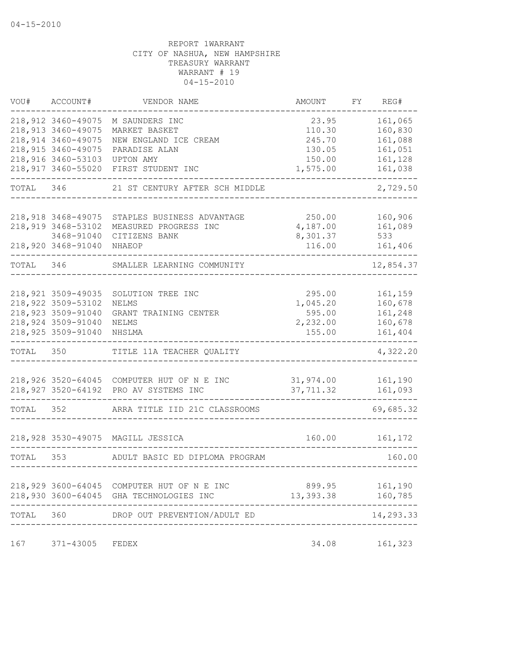| VOU#      | ACCOUNT#                                  | VENDOR NAME                                | AMOUNT             | FY | REG#               |
|-----------|-------------------------------------------|--------------------------------------------|--------------------|----|--------------------|
|           | 218,912 3460-49075<br>218,913 3460-49075  | M SAUNDERS INC<br>MARKET BASKET            | 23.95<br>110.30    |    | 161,065<br>160,830 |
|           | 218,914 3460-49075<br>218, 915 3460-49075 | NEW ENGLAND ICE CREAM<br>PARADISE ALAN     | 245.70<br>130.05   |    | 161,088<br>161,051 |
|           | 218,916 3460-53103                        | UPTON AMY                                  | 150.00             |    | 161,128            |
|           | 218,917 3460-55020                        | FIRST STUDENT INC                          | 1,575.00           |    | 161,038            |
| TOTAL     | 346                                       | 21 ST CENTURY AFTER SCH MIDDLE             |                    |    | 2,729.50           |
|           | 218,918 3468-49075                        | STAPLES BUSINESS ADVANTAGE                 | 250.00             |    | 160,906            |
|           | 218,919 3468-53102                        | MEASURED PROGRESS INC                      | 4,187.00           |    | 161,089            |
|           | 3468-91040<br>218,920 3468-91040          | CITIZENS BANK<br>NHAEOP                    | 8,301.37<br>116.00 |    | 533<br>161,406     |
| TOTAL 346 |                                           | SMALLER LEARNING COMMUNITY                 |                    |    | 12,854.37          |
|           |                                           |                                            |                    |    |                    |
|           | 218,921 3509-49035<br>218,922 3509-53102  | SOLUTION TREE INC<br>NELMS                 | 295.00<br>1,045.20 |    | 161,159<br>160,678 |
|           | 218,923 3509-91040                        | GRANT TRAINING CENTER                      | 595.00             |    | 161,248            |
|           | 218,924 3509-91040                        | NELMS                                      | 2,232.00           |    | 160,678            |
|           | 218,925 3509-91040                        | NHSLMA                                     | 155.00             |    | 161,404            |
| TOTAL     | 350                                       | TITLE 11A TEACHER QUALITY                  |                    |    | 4,322.20           |
|           |                                           | 218,926 3520-64045 COMPUTER HUT OF N E INC | 31,974.00          |    | 161,190            |
|           | 218,927 3520-64192                        | PRO AV SYSTEMS INC                         | 37,711.32          |    | 161,093            |
| TOTAL     | 352                                       | ARRA TITLE IID 21C CLASSROOMS              |                    |    | 69,685.32          |
|           |                                           | 218,928 3530-49075 MAGILL JESSICA          | 160.00             |    | 161,172            |
| TOTAL     | 353                                       | ADULT BASIC ED DIPLOMA PROGRAM             |                    |    | 160.00             |
|           |                                           |                                            |                    |    |                    |
|           | 218,929 3600-64045                        | COMPUTER HUT OF N E INC                    | 899.95             |    | 161,190            |
|           | 218,930 3600-64045                        | GHA TECHNOLOGIES INC                       | 13,393.38          |    | 160,785            |
| TOTAL     | 360                                       | DROP OUT PREVENTION/ADULT ED               |                    |    | 14,293.33          |
| 167       | 371-43005                                 | FEDEX                                      | 34.08              |    | 161,323            |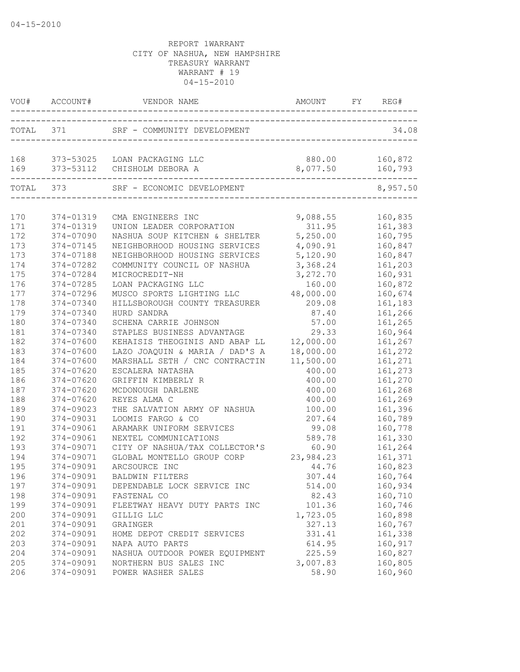|            | VOU# ACCOUNT#          | VENDOR NAME                                                    | AMOUNT FY REG#<br>----------------------------------- |                    |
|------------|------------------------|----------------------------------------------------------------|-------------------------------------------------------|--------------------|
|            | TOTAL 371              | SRF - COMMUNITY DEVELOPMENT                                    |                                                       | 34.08              |
| 168<br>169 |                        | 373-53025 LOAN PACKAGING LLC<br>373-53112 CHISHOLM DEBORA A    | 880.00<br>8,077.50                                    | 160,872<br>160,793 |
| TOTAL 373  |                        | --------------------------------<br>SRF - ECONOMIC DEVELOPMENT |                                                       | 8,957.50           |
|            |                        |                                                                |                                                       |                    |
| 170<br>171 | 374-01319<br>374-01319 | CMA ENGINEERS INC<br>UNION LEADER CORPORATION                  | 9,088.55<br>311.95                                    | 160,835<br>161,383 |
| 172        | 374-07090              | NASHUA SOUP KITCHEN & SHELTER                                  | 5,250.00                                              | 160,795            |
| 173        | 374-07145              | NEIGHBORHOOD HOUSING SERVICES                                  | 4,090.91                                              | 160,847            |
| 173        | 374-07188              | NEIGHBORHOOD HOUSING SERVICES                                  | 5,120.90                                              | 160,847            |
| 174        | 374-07282              | COMMUNITY COUNCIL OF NASHUA                                    | 3,368.24                                              | 161,203            |
| 175        | 374-07284              | MICROCREDIT-NH                                                 | 3,272.70                                              | 160,931            |
| 176        | 374-07285              | LOAN PACKAGING LLC                                             | 160.00                                                | 160,872            |
| 177        | 374-07296              | MUSCO SPORTS LIGHTING LLC                                      | 48,000.00                                             | 160,674            |
| 178        | 374-07340              | HILLSBOROUGH COUNTY TREASURER                                  | 209.08                                                | 161,183            |
| 179        | 374-07340              | HURD SANDRA                                                    | 87.40                                                 | 161,266            |
| 180        | 374-07340              | SCHENA CARRIE JOHNSON                                          | 57.00                                                 | 161,265            |
| 181        | 374-07340              | STAPLES BUSINESS ADVANTAGE                                     | 29.33                                                 | 160,964            |
| 182        | 374-07600              | KEHAISIS THEOGINIS AND ABAP LL                                 | 12,000.00                                             | 161,267            |
| 183        | 374-07600              | LAZO JOAQUIN & MARIA / DAD'S A                                 | 18,000.00                                             | 161,272            |
| 184        | 374-07600              | MARSHALL SETH / CNC CONTRACTIN                                 | 11,500.00                                             | 161,271            |
| 185        | 374-07620              | ESCALERA NATASHA                                               | 400.00                                                | 161,273            |
| 186        | 374-07620              | GRIFFIN KIMBERLY R                                             | 400.00                                                | 161,270            |
| 187        | 374-07620              | MCDONOUGH DARLENE                                              | 400.00                                                | 161,268            |
| 188        | 374-07620              | REYES ALMA C                                                   | 400.00                                                | 161,269            |
| 189        | 374-09023              | THE SALVATION ARMY OF NASHUA                                   | 100.00                                                | 161,396            |
| 190        | 374-09031              | LOOMIS FARGO & CO                                              | 207.64                                                | 160,789            |
| 191        | 374-09061              | ARAMARK UNIFORM SERVICES                                       | 99.08                                                 | 160,778            |
| 192        | 374-09061              | NEXTEL COMMUNICATIONS                                          | 589.78                                                | 161,330            |
| 193        | 374-09071              | CITY OF NASHUA/TAX COLLECTOR'S                                 | 60.90                                                 | 161,264            |
| 194        | 374-09071              | GLOBAL MONTELLO GROUP CORP                                     | 23,984.23                                             | 161,371            |
| 195        | 374-09091              | ARCSOURCE INC                                                  | 44.76                                                 | 160,823            |
| 196        | 374-09091              | BALDWIN FILTERS                                                | 307.44                                                | 160,764            |
| 197        | 374-09091              | DEPENDABLE LOCK SERVICE INC                                    | 514.00                                                | 160,934            |
| 198        | 374-09091              | FASTENAL CO                                                    | 82.43                                                 | 160,710            |
| 199        | 374-09091              | FLEETWAY HEAVY DUTY PARTS INC                                  | 101.36                                                | 160,746            |
| 200        | 374-09091              | GILLIG LLC                                                     | 1,723.05                                              | 160,898            |
| 201        | 374-09091              | GRAINGER                                                       | 327.13                                                | 160,767            |
| 202        | 374-09091              | HOME DEPOT CREDIT SERVICES                                     | 331.41                                                | 161,338            |
| 203        | 374-09091              | NAPA AUTO PARTS                                                | 614.95                                                | 160,917            |
| 204<br>205 | 374-09091              | NASHUA OUTDOOR POWER EQUIPMENT<br>NORTHERN BUS SALES INC       | 225.59                                                | 160,827            |
| 206        | 374-09091<br>374-09091 | POWER WASHER SALES                                             | 3,007.83<br>58.90                                     | 160,805<br>160,960 |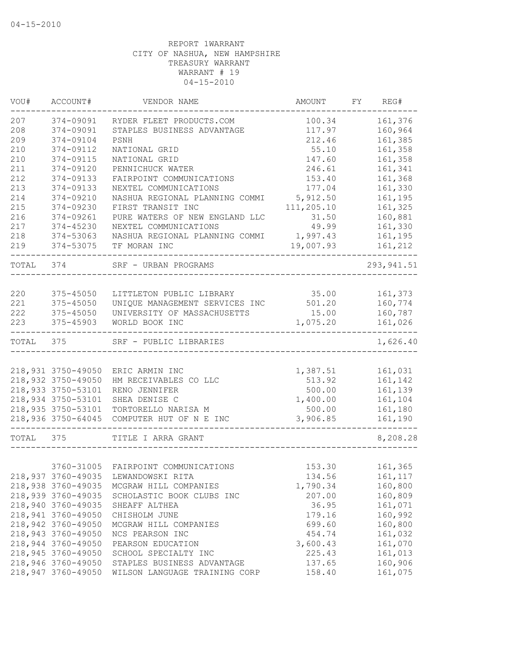| VOU#      | ACCOUNT#           | VENDOR NAME                         | AMOUNT     | FY | REG#               |
|-----------|--------------------|-------------------------------------|------------|----|--------------------|
| 207       | 374-09091          | RYDER FLEET PRODUCTS.COM            | 100.34     |    | 161,376            |
| 208       | 374-09091          | STAPLES BUSINESS ADVANTAGE          | 117.97     |    | 160,964            |
| 209       | 374-09104          | PSNH                                | 212.46     |    | 161,385            |
| 210       | 374-09112          | NATIONAL GRID                       | 55.10      |    | 161,358            |
| 210       | 374-09115          | NATIONAL GRID                       | 147.60     |    | 161,358            |
| 211       | 374-09120          | PENNICHUCK WATER                    | 246.61     |    | 161,341            |
| 212       | 374-09133          | FAIRPOINT COMMUNICATIONS            | 153.40     |    | 161,368            |
| 213       | 374-09133          | NEXTEL COMMUNICATIONS               | 177.04     |    | 161,330            |
| 214       | 374-09210          | NASHUA REGIONAL PLANNING COMMI      | 5,912.50   |    | 161,195            |
| 215       | 374-09230          | FIRST TRANSIT INC                   | 111,205.10 |    | 161,325            |
| 216       | 374-09261          | PURE WATERS OF NEW ENGLAND LLC      | 31.50      |    | 160,881            |
| 217       | $374 - 45230$      | NEXTEL COMMUNICATIONS               | 49.99      |    | 161,330            |
| 218       | 374-53063          | NASHUA REGIONAL PLANNING COMMI      | 1,997.43   |    | 161,195            |
| 219       | 374-53075          | TF MORAN INC                        | 19,007.93  |    | 161,212            |
| TOTAL     | 374                | SRF - URBAN PROGRAMS                |            |    | 293, 941.51        |
|           |                    |                                     |            |    |                    |
| 220       | 375-45050          | LITTLETON PUBLIC LIBRARY            | 35.00      |    | 161,373            |
| 221       | 375-45050          | UNIQUE MANAGEMENT SERVICES INC      | 501.20     |    | 160,774            |
| 222       | 375-45050          | UNIVERSITY OF MASSACHUSETTS         | 15.00      |    | 160,787            |
| 223       | 375-45903          | WORLD BOOK INC                      | 1,075.20   |    | 161,026<br>------- |
| TOTAL 375 |                    | SRF - PUBLIC LIBRARIES              |            |    | 1,626.40           |
|           |                    |                                     |            |    |                    |
|           | 218,931 3750-49050 | ERIC ARMIN INC                      | 1,387.51   |    | 161,031            |
|           | 218,932 3750-49050 | HM RECEIVABLES CO LLC               | 513.92     |    | 161,142            |
|           | 218,933 3750-53101 | RENO JENNIFER                       | 500.00     |    | 161,139            |
|           | 218,934 3750-53101 | SHEA DENISE C                       | 1,400.00   |    | 161,104            |
|           | 218,935 3750-53101 | TORTORELLO NARISA M                 | 500.00     |    | 161,180            |
|           | 218,936 3750-64045 | COMPUTER HUT OF N E INC             | 3,906.85   |    | 161,190            |
| TOTAL     | 375                | TITLE I ARRA GRANT                  |            |    | 8,208.28           |
|           |                    |                                     |            |    |                    |
|           | 3760-31005         | FAIRPOINT COMMUNICATIONS            | 153.30     |    | 161,365            |
|           |                    | 218,937 3760-49035 LEWANDOWSKI RITA | 134.56     |    | 161,117            |
|           | 218,938 3760-49035 | MCGRAW HILL COMPANIES               | 1,790.34   |    | 160,800            |
|           | 218,939 3760-49035 | SCHOLASTIC BOOK CLUBS INC           | 207.00     |    | 160,809            |
|           | 218,940 3760-49035 | SHEAFF ALTHEA                       | 36.95      |    | 161,071            |
|           | 218,941 3760-49050 | CHISHOLM JUNE                       | 179.16     |    | 160,992            |
|           | 218,942 3760-49050 | MCGRAW HILL COMPANIES               | 699.60     |    | 160,800            |
|           | 218,943 3760-49050 | NCS PEARSON INC                     | 454.74     |    | 161,032            |
|           | 218,944 3760-49050 | PEARSON EDUCATION                   | 3,600.43   |    | 161,070            |
|           | 218,945 3760-49050 | SCHOOL SPECIALTY INC                | 225.43     |    | 161,013            |
|           | 218,946 3760-49050 | STAPLES BUSINESS ADVANTAGE          | 137.65     |    | 160,906            |
|           | 218,947 3760-49050 | WILSON LANGUAGE TRAINING CORP       | 158.40     |    | 161,075            |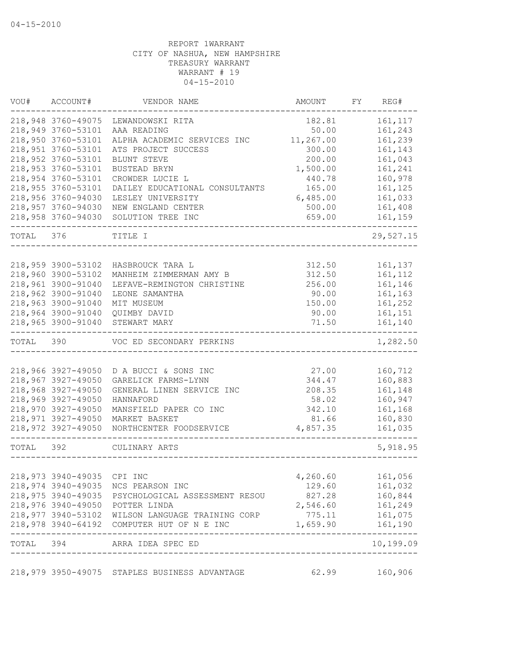| VOU#      | ACCOUNT#                   | VENDOR NAME                                       | AMOUNT           | FY | REG#                       |
|-----------|----------------------------|---------------------------------------------------|------------------|----|----------------------------|
|           | 218,948 3760-49075         | LEWANDOWSKI RITA                                  | 182.81           |    | 161, 117                   |
|           | 218,949 3760-53101         | AAA READING                                       | 50.00            |    | 161,243                    |
|           | 218,950 3760-53101         | ALPHA ACADEMIC SERVICES INC                       | 11,267.00        |    | 161,239                    |
|           | 218,951 3760-53101         | ATS PROJECT SUCCESS                               | 300.00           |    | 161,143                    |
|           | 218,952 3760-53101         | BLUNT STEVE                                       | 200.00           |    | 161,043                    |
|           | 218,953 3760-53101         | BUSTEAD BRYN                                      | 1,500.00         |    | 161,241                    |
|           | 218,954 3760-53101         | CROWDER LUCIE L                                   | 440.78           |    | 160,978                    |
|           | 218,955 3760-53101         | DAILEY EDUCATIONAL CONSULTANTS                    | 165.00           |    | 161,125                    |
|           | 218,956 3760-94030         | LESLEY UNIVERSITY                                 | 6,485.00         |    | 161,033                    |
|           | 218,957 3760-94030         | NEW ENGLAND CENTER                                | 500.00           |    | 161,408                    |
|           | 218,958 3760-94030         | SOLUTION TREE INC                                 | 659.00           |    | 161,159                    |
| TOTAL     | 376                        | TITLE I                                           |                  |    | 29,527.15                  |
|           |                            |                                                   |                  |    |                            |
|           | 218,959 3900-53102         | HASBROUCK TARA L                                  | 312.50           |    | 161,137                    |
|           | 218,960 3900-53102         | MANHEIM ZIMMERMAN AMY B                           | 312.50           |    | 161,112                    |
|           | 218,961 3900-91040         | LEFAVE-REMINGTON CHRISTINE                        | 256.00           |    | 161,146                    |
|           | 218,962 3900-91040         | LEONE SAMANTHA                                    | 90.00            |    | 161,163                    |
|           | 218,963 3900-91040         | MIT MUSEUM                                        | 150.00           |    | 161,252                    |
|           | 218,964 3900-91040         | QUIMBY DAVID                                      | 90.00            |    | 161,151                    |
|           | 218,965 3900-91040         | STEWART MARY                                      | 71.50            |    | 161,140                    |
| TOTAL     | 390                        | VOC ED SECONDARY PERKINS                          |                  |    | 1,282.50                   |
|           |                            |                                                   |                  |    |                            |
|           | 218,966 3927-49050         | D A BUCCI & SONS INC                              | 27.00            |    | 160,712                    |
|           | 218,967 3927-49050         | GARELICK FARMS-LYNN                               | 344.47           |    | 160,883                    |
|           | 218,968 3927-49050         | GENERAL LINEN SERVICE INC                         | 208.35           |    | 161,148                    |
|           | 218,969 3927-49050         | HANNAFORD                                         | 58.02            |    | 160,947                    |
|           | 218,970 3927-49050         | MANSFIELD PAPER CO INC                            | 342.10           |    | 161,168                    |
|           | 218,971 3927-49050         | MARKET BASKET                                     | 81.66            |    | 160,830                    |
|           | 218,972 3927-49050         | NORTHCENTER FOODSERVICE                           | 4,857.35         |    | 161,035                    |
| TOTAL 392 |                            | CULINARY ARTS                                     |                  |    | 5,918.95                   |
|           |                            |                                                   |                  |    |                            |
|           | 218,973 3940-49035 CPI INC |                                                   | 4,260.60         |    | 161,056                    |
|           |                            | 218,974 3940-49035 NCS PEARSON INC                | 129.60           |    | 161,032                    |
|           |                            | 218,975 3940-49035 PSYCHOLOGICAL ASSESSMENT RESOU | 827.28 160,844   |    |                            |
|           |                            | 218,976 3940-49050 POTTER LINDA                   | 2,546.60 161,249 |    |                            |
|           |                            | 218,977 3940-53102 WILSON LANGUAGE TRAINING CORP  | 775.11           |    | 161,075                    |
|           |                            | 218,978 3940-64192 COMPUTER HUT OF N E INC        | 1,659.90         |    | 161,190<br>--------------- |
|           |                            | TOTAL 394 ARRA IDEA SPEC ED                       |                  |    | 10,199.09                  |
|           |                            | 218,979 3950-49075 STAPLES BUSINESS ADVANTAGE     |                  |    | 62.99 160,906              |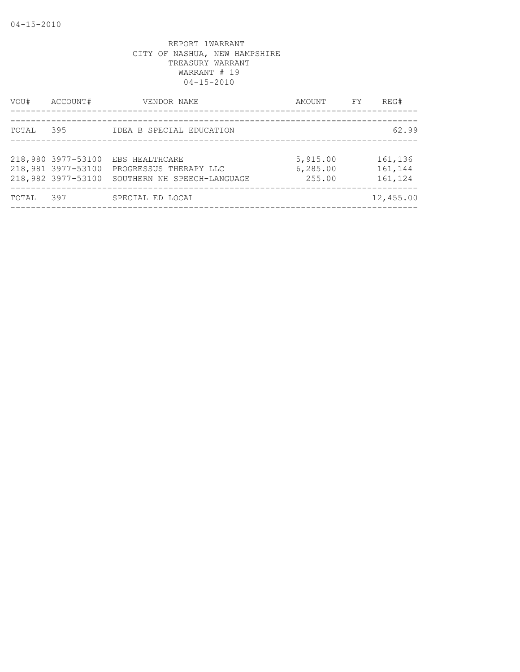| VOU#  | ACCOUNT#                                                       | VENDOR NAME                                                             | AMOUNT                         | FY | REG#                          |
|-------|----------------------------------------------------------------|-------------------------------------------------------------------------|--------------------------------|----|-------------------------------|
| TOTAL | 395                                                            | IDEA B SPECIAL EDUCATION                                                |                                |    | 62.99                         |
|       | 218,980 3977-53100<br>218,981 3977-53100<br>218,982 3977-53100 | EBS HEALTHCARE<br>PROGRESSUS THERAPY LLC<br>SOUTHERN NH SPEECH-LANGUAGE | 5,915.00<br>6,285.00<br>255.00 |    | 161,136<br>161,144<br>161,124 |
| TOTAL | 397                                                            | SPECIAL ED LOCAL                                                        |                                |    | 12,455.00                     |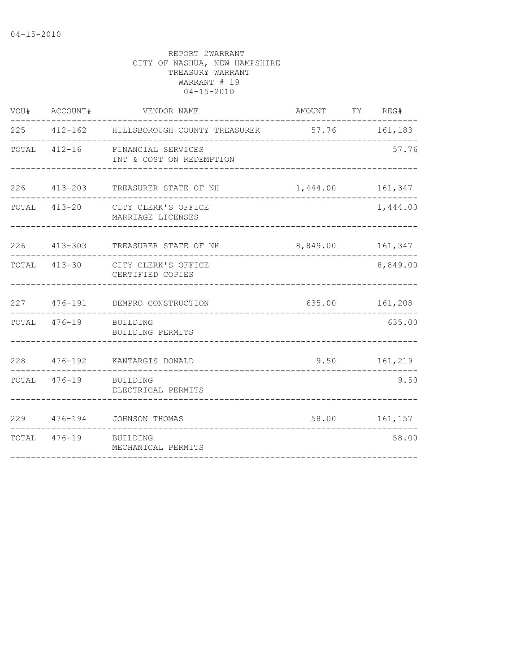| VOU# | ACCOUNT#              | VENDOR NAME                                                 | AMOUNT FY REG#   |                |
|------|-----------------------|-------------------------------------------------------------|------------------|----------------|
|      |                       | 225 412-162 HILLSBOROUGH COUNTY TREASURER 57.76 161,183     |                  |                |
|      |                       | TOTAL 412-16 FINANCIAL SERVICES<br>INT & COST ON REDEMPTION |                  | 57.76          |
|      |                       | 226 413-203 TREASURER STATE OF NH                           | 1,444.00 161,347 |                |
|      |                       | TOTAL 413-20 CITY CLERK'S OFFICE<br>MARRIAGE LICENSES       |                  | 1,444.00       |
|      |                       | 226 413-303 TREASURER STATE OF NH                           | 8,849.00 161,347 |                |
|      |                       | TOTAL 413-30 CITY CLERK'S OFFICE<br>CERTIFIED COPIES        |                  | 8,849.00       |
|      |                       | 227 476-191 DEMPRO CONSTRUCTION                             |                  | 635.00 161,208 |
|      | TOTAL 476-19 BUILDING | BUILDING PERMITS                                            |                  | 635.00         |
|      |                       | 228 476-192 KANTARGIS DONALD                                |                  | 9.50 161,219   |
|      | TOTAL 476-19 BUILDING | ELECTRICAL PERMITS                                          |                  | 9.50           |
|      |                       | 229 476-194 JOHNSON THOMAS                                  | 58.00 161,157    |                |
|      | TOTAL 476-19 BUILDING | MECHANICAL PERMITS                                          |                  | 58.00          |
|      |                       |                                                             |                  |                |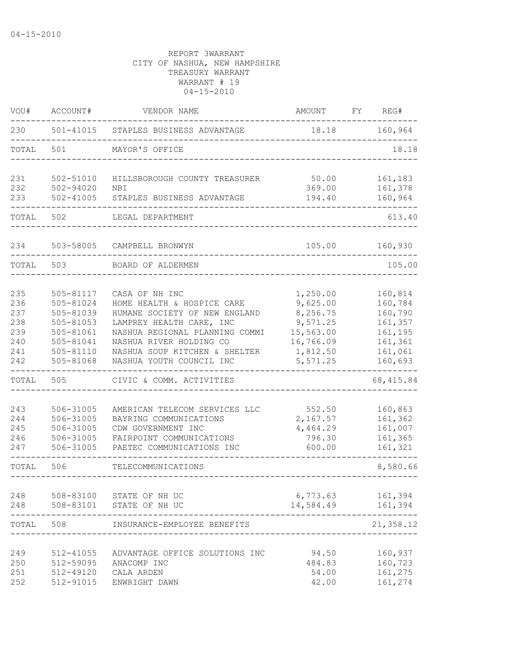| VOU#                                                                        | ACCOUNT#                                                                                                                              | VENDOR NAME                                                                                                                                                                                                                                                                                                                | AMOUNT                                                                                                               | FY. | REG#                                                                                                                     |
|-----------------------------------------------------------------------------|---------------------------------------------------------------------------------------------------------------------------------------|----------------------------------------------------------------------------------------------------------------------------------------------------------------------------------------------------------------------------------------------------------------------------------------------------------------------------|----------------------------------------------------------------------------------------------------------------------|-----|--------------------------------------------------------------------------------------------------------------------------|
| 230                                                                         | 501-41015                                                                                                                             | STAPLES BUSINESS ADVANTAGE                                                                                                                                                                                                                                                                                                 | 18.18                                                                                                                |     | 160,964                                                                                                                  |
| TOTAL                                                                       | 501                                                                                                                                   | MAYOR'S OFFICE                                                                                                                                                                                                                                                                                                             |                                                                                                                      |     | 18.18                                                                                                                    |
| 231<br>232                                                                  | 502-51010<br>502-94020                                                                                                                | HILLSBOROUGH COUNTY TREASURER<br>NBI                                                                                                                                                                                                                                                                                       | 50.00<br>369.00                                                                                                      |     | 161,183<br>161,378                                                                                                       |
| 233                                                                         | $502 - 41005$                                                                                                                         | STAPLES BUSINESS ADVANTAGE                                                                                                                                                                                                                                                                                                 | 194.40                                                                                                               |     | 160,964                                                                                                                  |
| TOTAL                                                                       | 502                                                                                                                                   | LEGAL DEPARTMENT                                                                                                                                                                                                                                                                                                           |                                                                                                                      |     | 613.40                                                                                                                   |
| 234                                                                         | 503-58005                                                                                                                             | CAMPBELL BRONWYN                                                                                                                                                                                                                                                                                                           | 105.00                                                                                                               |     | 160,930                                                                                                                  |
| TOTAL                                                                       | 503                                                                                                                                   | BOARD OF ALDERMEN                                                                                                                                                                                                                                                                                                          |                                                                                                                      |     | 105.00                                                                                                                   |
| 235<br>236<br>237<br>238<br>239<br>240<br>241<br>242<br>TOTAL<br>243<br>244 | 505-81117<br>505-81024<br>505-81039<br>505-81053<br>505-81061<br>505-81041<br>505-81110<br>505-81068<br>505<br>506-31005<br>506-31005 | CASA OF NH INC<br>HOME HEALTH & HOSPICE CARE<br>HUMANE SOCIETY OF NEW ENGLAND<br>LAMPREY HEALTH CARE, INC<br>NASHUA REGIONAL PLANNING COMMI<br>NASHUA RIVER HOLDING CO<br>NASHUA SOUP KITCHEN & SHELTER<br>NASHUA YOUTH COUNCIL INC<br>CIVIC & COMM. ACTIVITIES<br>AMERICAN TELECOM SERVICES LLC<br>BAYRING COMMUNICATIONS | 1,250.00<br>9,625.00<br>8,256.75<br>9,571.25<br>15,563.00<br>16,766.09<br>1,812.50<br>5,571.25<br>552.50<br>2,167.57 |     | 160,814<br>160,784<br>160,790<br>161,357<br>161,195<br>161,361<br>161,061<br>160,693<br>68, 415.84<br>160,863<br>161,362 |
| 245<br>246<br>247                                                           | 506-31005<br>506-31005<br>506-31005                                                                                                   | CDW GOVERNMENT INC<br>FAIRPOINT COMMUNICATIONS<br>PAETEC COMMUNICATIONS INC                                                                                                                                                                                                                                                | 4,464.29<br>796.30<br>600.00                                                                                         |     | 161,007<br>161,365<br>161,321                                                                                            |
| TOTAL                                                                       | 506                                                                                                                                   | TELECOMMUNICATIONS                                                                                                                                                                                                                                                                                                         |                                                                                                                      |     | 8,580.66                                                                                                                 |
| 248<br>248                                                                  | 508-83100<br>508-83101                                                                                                                | STATE OF NH UC<br>STATE OF NH UC                                                                                                                                                                                                                                                                                           | 6,773.63<br>14,584.49                                                                                                |     | 161,394<br>161,394                                                                                                       |
| TOTAL                                                                       | 508                                                                                                                                   | INSURANCE-EMPLOYEE BENEFITS                                                                                                                                                                                                                                                                                                |                                                                                                                      |     | 21,358.12                                                                                                                |
| 249<br>250<br>251<br>252                                                    | 512-41055<br>512-59095<br>512-49120<br>512-91015                                                                                      | ADVANTAGE OFFICE SOLUTIONS INC<br>ANACOMP INC<br>CALA ARDEN<br>ENWRIGHT DAWN                                                                                                                                                                                                                                               | 94.50<br>484.83<br>54.00<br>42.00                                                                                    |     | 160,937<br>160,723<br>161,275<br>161,274                                                                                 |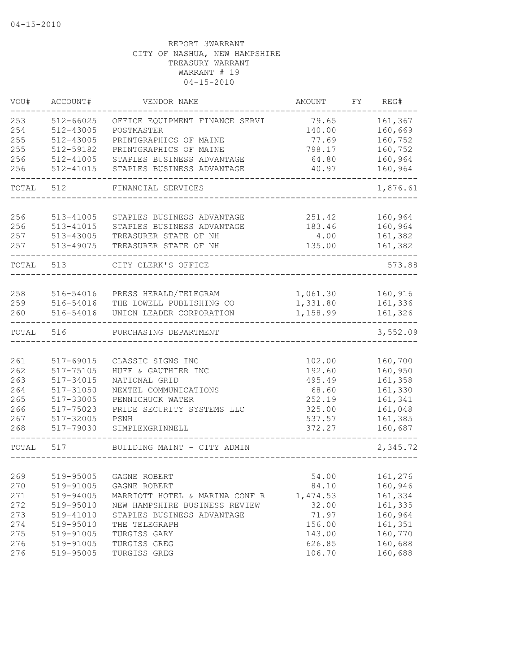| VOU#  | ACCOUNT#  | VENDOR NAME                    | AMOUNT   | FY | REG#     |
|-------|-----------|--------------------------------|----------|----|----------|
| 253   | 512-66025 | OFFICE EQUIPMENT FINANCE SERVI | 79.65    |    | 161,367  |
| 254   | 512-43005 | POSTMASTER                     | 140.00   |    | 160,669  |
| 255   | 512-43005 | PRINTGRAPHICS OF MAINE         | 77.69    |    | 160,752  |
| 255   | 512-59182 | PRINTGRAPHICS OF MAINE         | 798.17   |    | 160,752  |
| 256   | 512-41005 | STAPLES BUSINESS ADVANTAGE     | 64.80    |    | 160,964  |
| 256   | 512-41015 | STAPLES BUSINESS ADVANTAGE     | 40.97    |    | 160,964  |
| TOTAL | 512       | FINANCIAL SERVICES             |          |    | 1,876.61 |
|       |           |                                |          |    |          |
| 256   | 513-41005 | STAPLES BUSINESS ADVANTAGE     | 251.42   |    | 160,964  |
| 256   | 513-41015 | STAPLES BUSINESS ADVANTAGE     | 183.46   |    | 160,964  |
| 257   | 513-43005 | TREASURER STATE OF NH          | 4.00     |    | 161,382  |
| 257   | 513-49075 | TREASURER STATE OF NH          | 135.00   |    | 161,382  |
| TOTAL | 513       | CITY CLERK'S OFFICE            |          |    | 573.88   |
|       |           |                                |          |    |          |
| 258   | 516-54016 | PRESS HERALD/TELEGRAM          | 1,061.30 |    | 160,916  |
| 259   | 516-54016 | THE LOWELL PUBLISHING CO       | 1,331.80 |    | 161,336  |
| 260   | 516-54016 | UNION LEADER CORPORATION       | 1,158.99 |    | 161,326  |
| TOTAL | 516       | PURCHASING DEPARTMENT          |          |    | 3,552.09 |
|       |           |                                |          |    |          |
| 261   | 517-69015 | CLASSIC SIGNS INC              | 102.00   |    | 160,700  |
| 262   | 517-75105 | HUFF & GAUTHIER INC            | 192.60   |    | 160,950  |
| 263   | 517-34015 | NATIONAL GRID                  | 495.49   |    | 161,358  |
| 264   | 517-31050 | NEXTEL COMMUNICATIONS          | 68.60    |    | 161,330  |
| 265   | 517-33005 | PENNICHUCK WATER               | 252.19   |    | 161,341  |
| 266   | 517-75023 | PRIDE SECURITY SYSTEMS LLC     | 325.00   |    | 161,048  |
| 267   | 517-32005 | PSNH                           | 537.57   |    | 161,385  |
| 268   | 517-79030 | SIMPLEXGRINNELL                | 372.27   |    | 160,687  |
| TOTAL | 517       | BUILDING MAINT - CITY ADMIN    |          |    | 2,345.72 |
|       |           |                                |          |    |          |
| 269   |           | 519-95005 GAGNE ROBERT         | 54.00    |    | 161,276  |
| 270   | 519-91005 | GAGNE ROBERT                   | 84.10    |    | 160,946  |
| 271   | 519-94005 | MARRIOTT HOTEL & MARINA CONF R | 1,474.53 |    | 161,334  |
| 272   | 519-95010 | NEW HAMPSHIRE BUSINESS REVIEW  | 32.00    |    | 161,335  |
| 273   | 519-41010 | STAPLES BUSINESS ADVANTAGE     | 71.97    |    | 160,964  |
| 274   | 519-95010 | THE TELEGRAPH                  | 156.00   |    | 161,351  |
| 275   | 519-91005 | TURGISS GARY                   | 143.00   |    | 160,770  |
| 276   | 519-91005 | TURGISS GREG                   | 626.85   |    | 160,688  |
| 276   | 519-95005 | TURGISS GREG                   | 106.70   |    | 160,688  |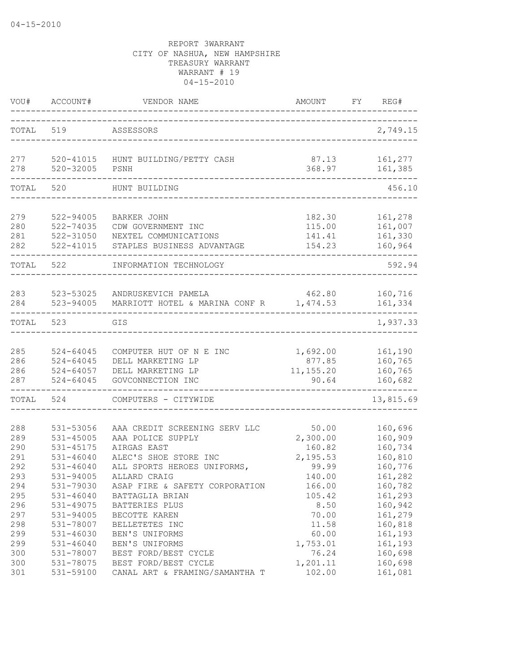| VOU#  | ACCOUNT#      | VENDOR NAME                        | <b>AMOUNT</b> | FY<br>REG# |
|-------|---------------|------------------------------------|---------------|------------|
| TOTAL | 519           | ASSESSORS                          |               | 2,749.15   |
| 277   | 520-32005     | 520-41015 HUNT BUILDING/PETTY CASH | 87.13         | 161,277    |
| 278   |               | PSNH                               | 368.97        | 161,385    |
| TOTAL | 520           | HUNT BUILDING                      |               | 456.10     |
| 279   | 522-94005     | <b>BARKER JOHN</b>                 | 182.30        | 161,278    |
| 280   | 522-74035     | CDW GOVERNMENT INC                 | 115.00        | 161,007    |
| 281   | 522-31050     | NEXTEL COMMUNICATIONS              | 141.41        | 161,330    |
| 282   | 522-41015     | STAPLES BUSINESS ADVANTAGE         | 154.23        | 160,964    |
| TOTAL | 522           | INFORMATION TECHNOLOGY             |               | 592.94     |
| 283   | 523-53025     | ANDRUSKEVICH PAMELA                | 462.80        | 160,716    |
| 284   | 523-94005     | MARRIOTT HOTEL & MARINA CONF R     | 1,474.53      | 161,334    |
| TOTAL | 523           | GIS                                |               | 1,937.33   |
| 285   | $524 - 64045$ | COMPUTER HUT OF N E INC            | 1,692.00      | 161,190    |
| 286   | $524 - 64045$ | DELL MARKETING LP                  | 877.85        | 160,765    |
| 286   | 524-64057     | DELL MARKETING LP                  | 11, 155.20    | 160,765    |
| 287   | $524 - 64045$ | GOVCONNECTION INC                  | 90.64         | 160,682    |
| TOTAL | 524           | COMPUTERS - CITYWIDE               |               | 13,815.69  |
| 288   | 531-53056     | AAA CREDIT SCREENING SERV LLC      | 50.00         | 160,696    |
| 289   | 531-45005     | AAA POLICE SUPPLY                  | 2,300.00      | 160,909    |
| 290   | 531-45175     | AIRGAS EAST                        | 160.82        | 160,734    |
| 291   | $531 - 46040$ | ALEC'S SHOE STORE INC              | 2,195.53      | 160,810    |
| 292   | $531 - 46040$ | ALL SPORTS HEROES UNIFORMS,        | 99.99         | 160,776    |
| 293   | 531-94005     | ALLARD CRAIG                       | 140.00        | 161,282    |
| 294   | 531-79030     | ASAP FIRE & SAFETY CORPORATION     | 166.00        | 160,782    |
| 295   | $531 - 46040$ | BATTAGLIA BRIAN                    | 105.42        | 161,293    |
| 296   | 531-49075     | BATTERIES PLUS                     | 8.50          | 160,942    |
| 297   | 531-94005     | BECOTTE KAREN                      | 70.00         | 161,279    |
| 298   | 531-78007     | BELLETETES INC                     | 11.58         | 160,818    |
| 299   | 531-46030     | BEN'S UNIFORMS                     | 60.00         | 161,193    |
| 299   | $531 - 46040$ | BEN'S UNIFORMS                     | 1,753.01      | 161,193    |
| 300   | 531-78007     | BEST FORD/BEST CYCLE               | 76.24         | 160,698    |
| 300   | 531-78075     | BEST FORD/BEST CYCLE               | 1,201.11      | 160,698    |
| 301   | 531-59100     | CANAL ART & FRAMING/SAMANTHA T     | 102.00        | 161,081    |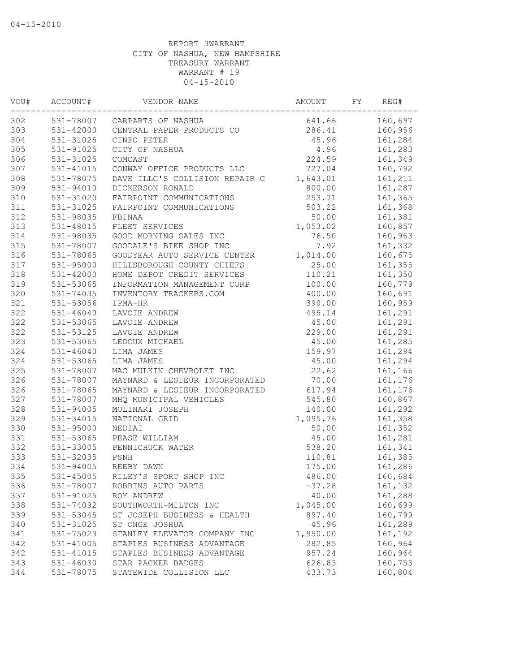| VOU# | ACCOUNT#      | VENDOR NAME                    | AMOUNT   | FY | REG#    |
|------|---------------|--------------------------------|----------|----|---------|
| 302  |               | 531-78007 CARPARTS OF NASHUA   | 641.66   |    | 160,697 |
| 303  | 531-42000     | CENTRAL PAPER PRODUCTS CO      | 286.41   |    | 160,956 |
| 304  | 531-31025     | CINFO PETER                    | 45.96    |    | 161,284 |
| 305  | 531-91025     | CITY OF NASHUA                 | 4.96     |    | 161,283 |
| 306  | 531-31025     | COMCAST                        | 224.59   |    | 161,349 |
| 307  | 531-41015     | CONWAY OFFICE PRODUCTS LLC     | 727.04   |    | 160,792 |
| 308  | 531-78075     | DAVE ILLG'S COLLISION REPAIR C | 1,643.01 |    | 161,211 |
| 309  | 531-94010     | DICKERSON RONALD               | 800.00   |    | 161,287 |
| 310  | 531-31020     | FAIRPOINT COMMUNICATIONS       | 253.71   |    | 161,365 |
| 311  | 531-31025     | FAIRPOINT COMMUNICATIONS       | 503.22   |    | 161,368 |
| 312  | 531-98035     | FBINAA                         | 50.00    |    | 161,381 |
| 313  | 531-48015     | FLEET SERVICES                 | 1,053.02 |    | 160,857 |
| 314  | 531-98035     | GOOD MORNING SALES INC         | 76.50    |    | 160,963 |
| 315  | 531-78007     | GOODALE'S BIKE SHOP INC        | 7.92     |    | 161,332 |
| 316  | 531-78065     | GOODYEAR AUTO SERVICE CENTER   | 1,014.00 |    | 160,675 |
| 317  | 531-95000     | HILLSBOROUGH COUNTY CHIEFS     | 25.00    |    | 161,355 |
| 318  | $531 - 42000$ | HOME DEPOT CREDIT SERVICES     | 110.21   |    | 161,350 |
| 319  | 531-53065     | INFORMATION MANAGEMENT CORP    | 100.00   |    | 160,779 |
| 320  | 531-74035     | INVENTORY TRACKERS.COM         | 400.00   |    | 160,691 |
| 321  | 531-53056     | IPMA-HR                        | 390.00   |    | 160,959 |
| 322  | $531 - 46040$ | LAVOIE ANDREW                  | 495.14   |    | 161,291 |
| 322  | 531-53065     | LAVOIE ANDREW                  | 45.00    |    | 161,291 |
| 322  | 531-53125     | LAVOIE ANDREW                  | 229.00   |    | 161,291 |
| 323  | 531-53065     | LEDOUX MICHAEL                 | 45.00    |    | 161,285 |
| 324  | $531 - 46040$ | LIMA JAMES                     | 159.97   |    | 161,294 |
| 324  | 531-53065     | LIMA JAMES                     | 45.00    |    | 161,294 |
| 325  | 531-78007     | MAC MULKIN CHEVROLET INC       | 22.62    |    | 161,166 |
| 326  | 531-78007     | MAYNARD & LESIEUR INCORPORATED | 70.00    |    | 161,176 |
| 326  | 531-78065     | MAYNARD & LESIEUR INCORPORATED | 617.94   |    | 161,176 |
| 327  | 531-78007     | MHQ MUNICIPAL VEHICLES         | 545.80   |    | 160,867 |
| 328  | 531-94005     | MOLINARI JOSEPH                | 140.00   |    | 161,292 |
| 329  | 531-34015     | NATIONAL GRID                  | 1,095.76 |    | 161,358 |
| 330  | 531-95000     | NEDIAI                         | 50.00    |    | 161,352 |
| 331  | 531-53065     | PEASE WILLIAM                  | 45.00    |    | 161,281 |
| 332  | 531-33005     | PENNICHUCK WATER               | 538.20   |    | 161,341 |
| 333  | 531-32035     | PSNH                           | 110.81   |    | 161,385 |
| 334  | 531-94005     | REEBY DAWN                     | 175.00   |    | 161,286 |
| 335  | $531 - 45005$ | RILEY'S SPORT SHOP INC         | 486.00   |    | 160,684 |
| 336  | 531-78007     | ROBBINS AUTO PARTS             | $-37.28$ |    | 161,132 |
| 337  | 531-91025     | ROY ANDREW                     | 40.00    |    | 161,288 |
| 338  | 531-74092     | SOUTHWORTH-MILTON INC          | 1,045.00 |    | 160,699 |
| 339  | 531-53045     | ST JOSEPH BUSINESS & HEALTH    | 897.40   |    | 160,799 |
| 340  | 531-31025     | ST ONGE JOSHUA                 | 45.96    |    | 161,289 |
| 341  | 531-75023     | STANLEY ELEVATOR COMPANY INC   | 1,950.00 |    | 161,192 |
| 342  | 531-41005     | STAPLES BUSINESS ADVANTAGE     | 282.85   |    | 160,964 |
| 342  | 531-41015     | STAPLES BUSINESS ADVANTAGE     | 957.24   |    | 160,964 |
| 343  | 531-46030     | STAR PACKER BADGES             | 626.83   |    | 160,753 |
| 344  | 531-78075     | STATEWIDE COLLISION LLC        | 433.73   |    | 160,804 |
|      |               |                                |          |    |         |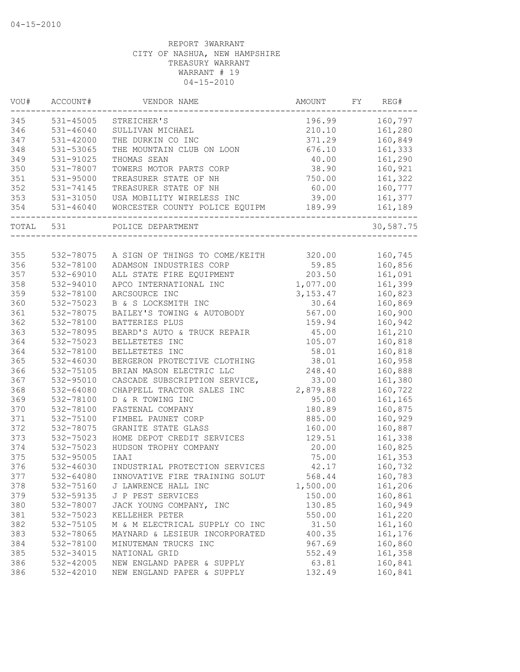| VOU#  | ACCOUNT#      | VENDOR NAME                              | AMOUNT    | FY | REG#      |
|-------|---------------|------------------------------------------|-----------|----|-----------|
| 345   | 531-45005     | STREICHER'S                              | 196.99    |    | 160,797   |
| 346   | $531 - 46040$ | SULLIVAN MICHAEL                         | 210.10    |    | 161,280   |
| 347   | 531-42000     | THE DURKIN CO INC                        | 371.29    |    | 160,849   |
| 348   | 531-53065     | THE MOUNTAIN CLUB ON LOON                | 676.10    |    | 161,333   |
| 349   | 531-91025     | THOMAS SEAN                              | 40.00     |    | 161,290   |
| 350   | 531-78007     | TOWERS MOTOR PARTS CORP                  | 38.90     |    | 160,921   |
| 351   | 531-95000     | TREASURER STATE OF NH                    | 750.00    |    | 161,322   |
| 352   | 531-74145     | TREASURER STATE OF NH                    | 60.00     |    | 160,777   |
| 353   | 531-31050     | USA MOBILITY WIRELESS INC                | 39.00     |    | 161,377   |
| 354   | 531-46040     | WORCESTER COUNTY POLICE EQUIPM           | 189.99    |    | 161,189   |
| TOTAL | 531           | POLICE DEPARTMENT                        |           |    | 30,587.75 |
|       |               |                                          |           |    |           |
| 355   |               | 532-78075 A SIGN OF THINGS TO COME/KEITH | 320.00    |    | 160,745   |
| 356   | 532-78100     | ADAMSON INDUSTRIES CORP                  | 59.85     |    | 160,856   |
| 357   | 532-69010     | ALL STATE FIRE EQUIPMENT                 | 203.50    |    | 161,091   |
| 358   | 532-94010     | APCO INTERNATIONAL INC                   | 1,077.00  |    | 161,399   |
| 359   | 532-78100     | ARCSOURCE INC                            | 3, 153.47 |    | 160,823   |
| 360   | 532-75023     | B & S LOCKSMITH INC                      | 30.64     |    | 160,869   |
| 361   | 532-78075     | BAILEY'S TOWING & AUTOBODY               | 567.00    |    | 160,900   |
| 362   | 532-78100     | BATTERIES PLUS                           | 159.94    |    | 160,942   |
| 363   | 532-78095     | BEARD'S AUTO & TRUCK REPAIR              | 45.00     |    | 161,210   |
| 364   | 532-75023     | BELLETETES INC                           | 105.07    |    | 160,818   |
| 364   | 532-78100     | BELLETETES INC                           | 58.01     |    | 160,818   |
| 365   | 532-46030     | BERGERON PROTECTIVE CLOTHING             | 38.01     |    | 160,958   |
| 366   | 532-75105     | BRIAN MASON ELECTRIC LLC                 | 248.40    |    | 160,888   |
| 367   | 532-95010     | CASCADE SUBSCRIPTION SERVICE,            | 33.00     |    | 161,380   |
| 368   | 532-64080     | CHAPPELL TRACTOR SALES INC               | 2,879.88  |    | 160,722   |
| 369   | 532-78100     | D & R TOWING INC                         | 95.00     |    | 161,165   |
| 370   | 532-78100     | FASTENAL COMPANY                         | 180.89    |    | 160,875   |
| 371   | 532-75100     | FIMBEL PAUNET CORP                       | 885.00    |    | 160,929   |
| 372   | 532-78075     | GRANITE STATE GLASS                      | 160.00    |    | 160,887   |
| 373   | 532-75023     | HOME DEPOT CREDIT SERVICES               | 129.51    |    | 161,338   |
| 374   | 532-75023     | HUDSON TROPHY COMPANY                    | 20.00     |    | 160,825   |
| 375   | 532-95005     | IAAI                                     | 75.00     |    | 161,353   |
| 376   | 532-46030     | INDUSTRIAL PROTECTION SERVICES           | 42.17     |    | 160,732   |
| 377   | $532 - 64080$ | INNOVATIVE FIRE TRAINING SOLUT           | 568.44    |    | 160,783   |
| 378   | 532-75160     | J LAWRENCE HALL INC                      | 1,500.00  |    | 161,206   |
| 379   | 532-59135     | J P PEST SERVICES                        | 150.00    |    | 160,861   |
| 380   | 532-78007     | JACK YOUNG COMPANY, INC                  | 130.85    |    | 160,949   |
| 381   | 532-75023     | KELLEHER PETER                           | 550.00    |    | 161,220   |
| 382   | 532-75105     | M & M ELECTRICAL SUPPLY CO INC           | 31.50     |    | 161,160   |
| 383   | 532-78065     | MAYNARD & LESIEUR INCORPORATED           | 400.35    |    | 161,176   |
| 384   | 532-78100     | MINUTEMAN TRUCKS INC                     | 967.69    |    | 160,860   |
| 385   | 532-34015     | NATIONAL GRID                            | 552.49    |    | 161,358   |
| 386   | 532-42005     | NEW ENGLAND PAPER & SUPPLY               | 63.81     |    | 160,841   |
| 386   | 532-42010     | NEW ENGLAND PAPER & SUPPLY               | 132.49    |    | 160,841   |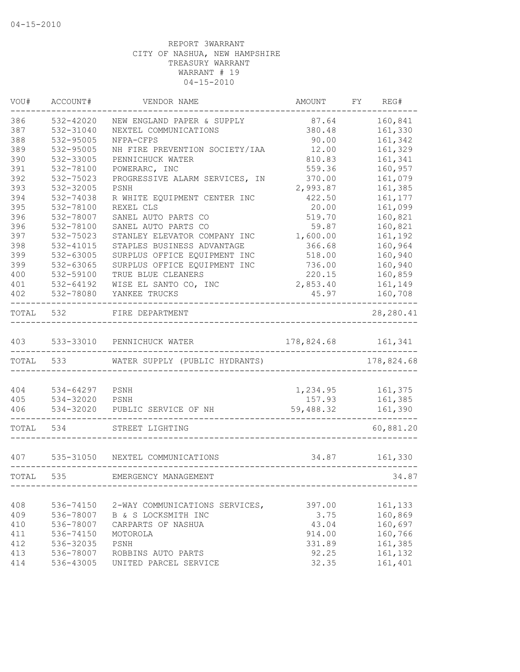| VOU#      | ACCOUNT#  | VENDOR NAME                     | AMOUNT     | FY | REG#       |
|-----------|-----------|---------------------------------|------------|----|------------|
| 386       | 532-42020 | NEW ENGLAND PAPER & SUPPLY      | 87.64      |    | 160,841    |
| 387       | 532-31040 | NEXTEL COMMUNICATIONS           | 380.48     |    | 161,330    |
| 388       | 532-95005 | NFPA-CFPS                       | 90.00      |    | 161,342    |
| 389       | 532-95005 | NH FIRE PREVENTION SOCIETY/IAA  | 12.00      |    | 161,329    |
| 390       | 532-33005 | PENNICHUCK WATER                | 810.83     |    | 161,341    |
| 391       | 532-78100 | POWERARC, INC                   | 559.36     |    | 160,957    |
| 392       | 532-75023 | PROGRESSIVE ALARM SERVICES, IN  | 370.00     |    | 161,079    |
| 393       | 532-32005 | PSNH                            | 2,993.87   |    | 161,385    |
| 394       | 532-74038 | R WHITE EQUIPMENT CENTER INC    | 422.50     |    | 161,177    |
| 395       | 532-78100 | REXEL CLS                       | 20.00      |    | 161,099    |
| 396       | 532-78007 | SANEL AUTO PARTS CO             | 519.70     |    | 160,821    |
| 396       | 532-78100 | SANEL AUTO PARTS CO             | 59.87      |    | 160,821    |
| 397       | 532-75023 | STANLEY ELEVATOR COMPANY INC    | 1,600.00   |    | 161,192    |
| 398       | 532-41015 | STAPLES BUSINESS ADVANTAGE      | 366.68     |    | 160,964    |
| 399       | 532-63005 | SURPLUS OFFICE EQUIPMENT INC    | 518.00     |    | 160,940    |
| 399       | 532-63065 | SURPLUS OFFICE EQUIPMENT INC    | 736.00     |    | 160,940    |
| 400       | 532-59100 | TRUE BLUE CLEANERS              | 220.15     |    | 160,859    |
| 401       | 532-64192 | WISE EL SANTO CO, INC           | 2,853.40   |    | 161,149    |
| 402       | 532-78080 | YANKEE TRUCKS                   | 45.97      |    | 160,708    |
| TOTAL     | 532       | FIRE DEPARTMENT                 |            |    | 28, 280.41 |
| 403       | 533-33010 | PENNICHUCK WATER                | 178,824.68 |    | 161,341    |
| TOTAL 533 |           | WATER SUPPLY (PUBLIC HYDRANTS)  |            |    | 178,824.68 |
|           |           |                                 |            |    |            |
| 404       | 534-64297 | PSNH                            | 1,234.95   |    | 161,375    |
| 405       | 534-32020 | PSNH                            | 157.93     |    | 161,385    |
| 406       | 534-32020 | PUBLIC SERVICE OF NH            | 59,488.32  |    | 161,390    |
| TOTAL     | 534       | STREET LIGHTING                 |            |    | 60,881.20  |
| 407       |           | 535-31050 NEXTEL COMMUNICATIONS | 34.87      |    | 161,330    |
| TOTAL     | 535       | EMERGENCY MANAGEMENT            |            |    | 34.87      |
|           |           |                                 |            |    |            |
| 408       | 536-74150 | 2-WAY COMMUNICATIONS SERVICES,  | 397.00     |    | 161,133    |
| 409       | 536-78007 | B & S LOCKSMITH INC             | 3.75       |    | 160,869    |
| 410       | 536-78007 | CARPARTS OF NASHUA              | 43.04      |    | 160,697    |
| 411       | 536-74150 | MOTOROLA                        | 914.00     |    | 160,766    |
| 412       | 536-32035 | PSNH                            | 331.89     |    | 161,385    |
| 413       | 536-78007 | ROBBINS AUTO PARTS              | 92.25      |    | 161,132    |
| 414       | 536-43005 | UNITED PARCEL SERVICE           | 32.35      |    | 161,401    |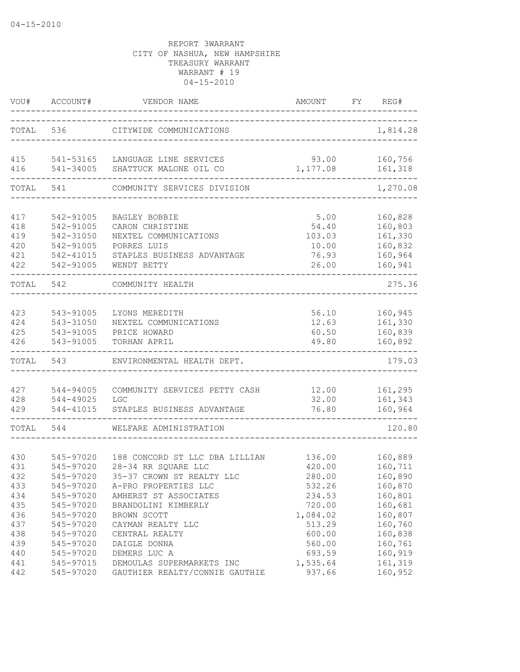| VOU#       | ACCOUNT#               | VENDOR NAME                                                 | AMOUNT             | FY | REG#               |
|------------|------------------------|-------------------------------------------------------------|--------------------|----|--------------------|
|            | TOTAL 536              | CITYWIDE COMMUNICATIONS                                     |                    |    | 1,814.28           |
| 415<br>416 | 541-53165<br>541-34005 | LANGUAGE LINE SERVICES<br>SHATTUCK MALONE OIL CO            | 93.00<br>1,177.08  |    | 160,756<br>161,318 |
|            |                        |                                                             |                    |    | ---------          |
| TOTAL      | 541                    | COMMUNITY SERVICES DIVISION                                 |                    |    | 1,270.08           |
| 417        | 542-91005              | BAGLEY BOBBIE                                               | 5.00               |    | 160,828            |
| 418        | 542-91005              | CARON CHRISTINE                                             | 54.40              |    | 160,803            |
| 419        | 542-31050              | NEXTEL COMMUNICATIONS                                       | 103.03             |    | 161,330            |
| 420        | 542-91005              | PORRES LUIS                                                 | 10.00              |    | 160,832            |
| 421        | 542-41015              | STAPLES BUSINESS ADVANTAGE                                  | 76.93              |    | 160,964            |
| 422        | 542-91005              | WENDT BETTY                                                 | 26.00              |    | 160,941<br>------  |
| TOTAL      | 542                    | COMMUNITY HEALTH                                            |                    |    | 275.36             |
|            |                        |                                                             |                    |    |                    |
| 423        | 543-91005              | LYONS MEREDITH                                              | 56.10              |    | 160,945            |
| 424        | 543-31050              | NEXTEL COMMUNICATIONS                                       | 12.63              |    | 161,330            |
| 425        | 543-91005              | PRICE HOWARD                                                | 60.50              |    | 160,839            |
| 426        | 543-91005              | TORHAN APRIL                                                | 49.80              |    | 160,892<br>------- |
| TOTAL      | 543                    | ENVIRONMENTAL HEALTH DEPT.                                  |                    |    | 179.03             |
|            |                        | COMMUNITY SERVICES PETTY CASH                               |                    |    |                    |
| 427<br>428 | 544-94005<br>544-49025 | LGC                                                         | 12.00<br>32.00     |    | 161,295<br>161,343 |
| 429        | 544-41015              | STAPLES BUSINESS ADVANTAGE                                  | 76.80              |    | 160,964            |
|            |                        |                                                             |                    |    |                    |
| TOTAL      | 544                    | WELFARE ADMINISTRATION                                      |                    |    | 120.80             |
|            |                        |                                                             |                    |    |                    |
| 430        | 545-97020              | 188 CONCORD ST LLC DBA LILLIAN                              | 136.00             |    | 160,889            |
| 431        | 545-97020              | 28-34 RR SQUARE LLC                                         | 420.00             |    | 160,711            |
| 432        | 545-97020              | 35-37 CROWN ST REALTY LLC                                   | 280.00             |    | 160,890            |
| 433        | 545-97020              | A-PRO PROPERTIES LLC                                        | 532.26             |    | 160,870            |
| 434        | 545-97020              | AMHERST ST ASSOCIATES                                       | 234.53             |    | 160,801            |
| 435        | 545-97020              | BRANDOLINI KIMBERLY                                         | 720.00             |    | 160,681            |
| 436        | 545-97020              | BROWN SCOTT                                                 | 1,084.02           |    | 160,807            |
| 437        | 545-97020              | CAYMAN REALTY LLC                                           | 513.29             |    | 160,760            |
| 438        | 545-97020              | CENTRAL REALTY                                              | 600.00             |    | 160,838            |
| 439        | 545-97020              | DAIGLE DONNA                                                | 560.00             |    | 160,761            |
| 440        | 545-97020              | DEMERS LUC A                                                | 693.59             |    | 160,919            |
| 441<br>442 | 545-97015<br>545-97020 | DEMOULAS SUPERMARKETS INC<br>GAUTHIER REALTY/CONNIE GAUTHIE | 1,535.64<br>937.66 |    | 161,319<br>160,952 |
|            |                        |                                                             |                    |    |                    |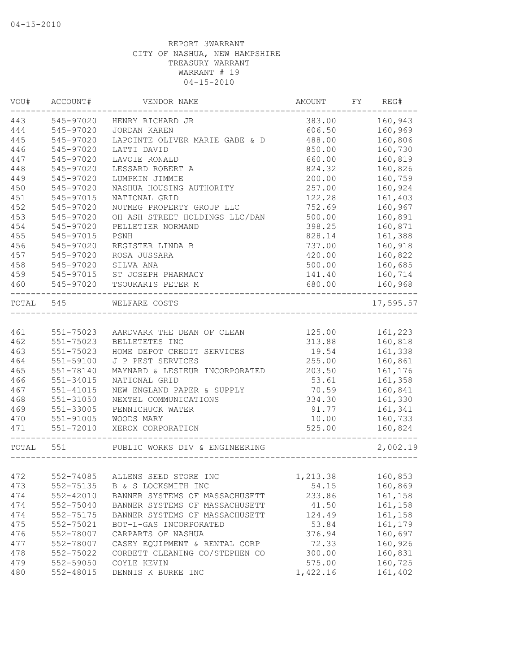| VOU#      | ACCOUNT#      | VENDOR NAME                     | AMOUNT   | FY | REG#      |
|-----------|---------------|---------------------------------|----------|----|-----------|
| 443       | 545-97020     | HENRY RICHARD JR                | 383.00   |    | 160,943   |
| 444       | 545-97020     | JORDAN KAREN                    | 606.50   |    | 160,969   |
| 445       | 545-97020     | LAPOINTE OLIVER MARIE GABE & D  | 488.00   |    | 160,806   |
| 446       | 545-97020     | LATTI DAVID                     | 850.00   |    | 160,730   |
| 447       | 545-97020     | LAVOIE RONALD                   | 660.00   |    | 160,819   |
| 448       | 545-97020     | LESSARD ROBERT A                | 824.32   |    | 160,826   |
| 449       | 545-97020     | LUMPKIN JIMMIE                  | 200.00   |    | 160,759   |
| 450       | 545-97020     | NASHUA HOUSING AUTHORITY        | 257.00   |    | 160,924   |
| 451       | 545-97015     | NATIONAL GRID                   | 122.28   |    | 161,403   |
| 452       | 545-97020     | NUTMEG PROPERTY GROUP LLC       | 752.69   |    | 160,967   |
| 453       | 545-97020     | OH ASH STREET HOLDINGS LLC/DAN  | 500.00   |    | 160,891   |
| 454       | 545-97020     | PELLETIER NORMAND               | 398.25   |    | 160,871   |
| 455       | 545-97015     | PSNH                            | 828.14   |    | 161,388   |
| 456       | 545-97020     | REGISTER LINDA B                | 737.00   |    | 160,918   |
| 457       | 545-97020     | ROSA JUSSARA                    | 420.00   |    | 160,822   |
| 458       | 545-97020     | SILVA ANA                       | 500.00   |    | 160,685   |
| 459       | 545-97015     | ST JOSEPH PHARMACY              | 141.40   |    | 160,714   |
| 460       | 545-97020     | TSOUKARIS PETER M               | 680.00   |    | 160,968   |
| TOTAL 545 |               | WELFARE COSTS                   |          |    | 17,595.57 |
|           |               |                                 |          |    |           |
| 461       | 551-75023     | AARDVARK THE DEAN OF CLEAN      | 125.00   |    | 161,223   |
| 462       | 551-75023     | BELLETETES INC                  | 313.88   |    | 160,818   |
| 463       | $551 - 75023$ | HOME DEPOT CREDIT SERVICES      | 19.54    |    | 161,338   |
| 464       | 551-59100     | J P PEST SERVICES               | 255.00   |    | 160,861   |
| 465       | $551 - 78140$ | MAYNARD & LESIEUR INCORPORATED  | 203.50   |    | 161,176   |
| 466       | $551 - 34015$ | NATIONAL GRID                   | 53.61    |    | 161,358   |
| 467       | 551-41015     | NEW ENGLAND PAPER & SUPPLY      | 70.59    |    | 160,841   |
| 468       | 551-31050     | NEXTEL COMMUNICATIONS           | 334.30   |    | 161,330   |
| 469       | 551-33005     | PENNICHUCK WATER                | 91.77    |    | 161,341   |
| 470       | 551-91005     | WOODS MARY                      | 10.00    |    | 160,733   |
| 471       | 551-72010     | XEROX CORPORATION               | 525.00   |    | 160,824   |
| TOTAL 551 |               | PUBLIC WORKS DIV & ENGINEERING  |          |    | 2,002.19  |
|           |               |                                 |          |    |           |
| 472       |               | 552-74085 ALLENS SEED STORE INC | 1,213.38 |    | 160,853   |
| 473       | 552-75135     | B & S LOCKSMITH INC             | 54.15    |    | 160,869   |
| 474       | 552-42010     | BANNER SYSTEMS OF MASSACHUSETT  | 233.86   |    | 161,158   |
| 474       | 552-75040     | BANNER SYSTEMS OF MASSACHUSETT  | 41.50    |    | 161,158   |
| 474       | 552-75175     | BANNER SYSTEMS OF MASSACHUSETT  | 124.49   |    | 161,158   |
| 475       | 552-75021     | BOT-L-GAS INCORPORATED          | 53.84    |    | 161,179   |
| 476       | 552-78007     | CARPARTS OF NASHUA              | 376.94   |    | 160,697   |
| 477       | 552-78007     | CASEY EQUIPMENT & RENTAL CORP   | 72.33    |    | 160,926   |
| 478       | 552-75022     | CORBETT CLEANING CO/STEPHEN CO  | 300.00   |    | 160,831   |
| 479       | 552-59050     | COYLE KEVIN                     | 575.00   |    | 160,725   |
| 480       | 552-48015     | DENNIS K BURKE INC              | 1,422.16 |    | 161,402   |
|           |               |                                 |          |    |           |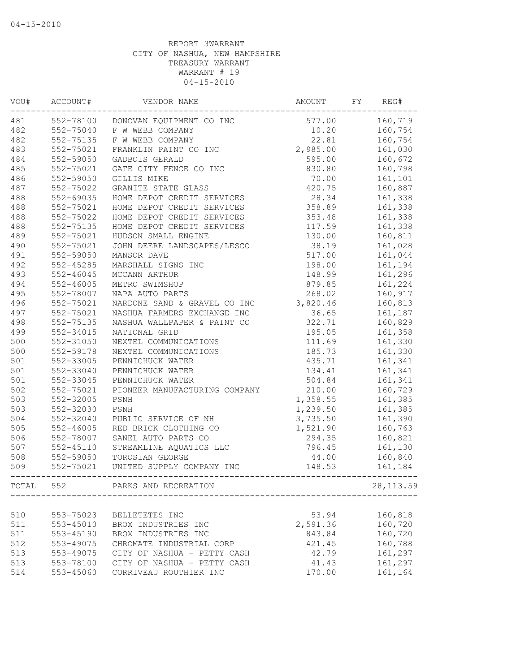| VOU#  | ACCOUNT#      | VENDOR NAME                   | AMOUNT   | FΥ | REG#       |
|-------|---------------|-------------------------------|----------|----|------------|
| 481   | 552-78100     | DONOVAN EQUIPMENT CO INC      | 577.00   |    | 160,719    |
| 482   | 552-75040     | F W WEBB COMPANY              | 10.20    |    | 160,754    |
| 482   | 552-75135     | F W WEBB COMPANY              | 22.81    |    | 160,754    |
| 483   | 552-75021     | FRANKLIN PAINT CO INC         | 2,985.00 |    | 161,030    |
| 484   | 552-59050     | GADBOIS GERALD                | 595.00   |    | 160,672    |
| 485   | 552-75021     | GATE CITY FENCE CO INC        | 830.80   |    | 160,798    |
| 486   | 552-59050     | GILLIS MIKE                   | 70.00    |    | 161,101    |
| 487   | 552-75022     | GRANITE STATE GLASS           | 420.75   |    | 160,887    |
| 488   | 552-69035     | HOME DEPOT CREDIT SERVICES    | 28.34    |    | 161,338    |
| 488   | 552-75021     | HOME DEPOT CREDIT SERVICES    | 358.89   |    | 161,338    |
| 488   | 552-75022     | HOME DEPOT CREDIT SERVICES    | 353.48   |    | 161,338    |
| 488   | 552-75135     | HOME DEPOT CREDIT SERVICES    | 117.59   |    | 161,338    |
| 489   | 552-75021     | HUDSON SMALL ENGINE           | 130.00   |    | 160,811    |
| 490   | 552-75021     | JOHN DEERE LANDSCAPES/LESCO   | 38.19    |    | 161,028    |
| 491   | 552-59050     | MANSOR DAVE                   | 517.00   |    | 161,044    |
| 492   | $552 - 45285$ | MARSHALL SIGNS INC            | 198.00   |    | 161,194    |
| 493   | $552 - 46045$ | MCCANN ARTHUR                 | 148.99   |    | 161,296    |
| 494   | $552 - 46005$ | METRO SWIMSHOP                | 879.85   |    | 161,224    |
| 495   | 552-78007     | NAPA AUTO PARTS               | 268.02   |    | 160,917    |
| 496   | 552-75021     | NARDONE SAND & GRAVEL CO INC  | 3,820.46 |    | 160,813    |
| 497   | 552-75021     | NASHUA FARMERS EXCHANGE INC   | 36.65    |    | 161,187    |
| 498   | 552-75135     | NASHUA WALLPAPER & PAINT CO   | 322.71   |    | 160,829    |
| 499   | 552-34015     | NATIONAL GRID                 | 195.05   |    | 161,358    |
| 500   | 552-31050     | NEXTEL COMMUNICATIONS         | 111.69   |    | 161,330    |
| 500   | 552-59178     |                               | 185.73   |    | 161,330    |
|       |               | NEXTEL COMMUNICATIONS         |          |    |            |
| 501   | 552-33005     | PENNICHUCK WATER              | 435.71   |    | 161,341    |
| 501   | 552-33040     | PENNICHUCK WATER              | 134.41   |    | 161,341    |
| 501   | 552-33045     | PENNICHUCK WATER              | 504.84   |    | 161,341    |
| 502   | 552-75021     | PIONEER MANUFACTURING COMPANY | 210.00   |    | 160,729    |
| 503   | 552-32005     | PSNH                          | 1,358.55 |    | 161,385    |
| 503   | 552-32030     | PSNH                          | 1,239.50 |    | 161,385    |
| 504   | 552-32040     | PUBLIC SERVICE OF NH          | 3,735.50 |    | 161,390    |
| 505   | 552-46005     | RED BRICK CLOTHING CO         | 1,521.90 |    | 160,763    |
| 506   | 552-78007     | SANEL AUTO PARTS CO           | 294.35   |    | 160,821    |
| 507   | $552 - 45110$ | STREAMLINE AQUATICS LLC       | 796.45   |    | 161,130    |
| 508   | 552-59050     | TOROSIAN GEORGE               | 44.00    |    | 160,840    |
| 509   | 552-75021     | UNITED SUPPLY COMPANY INC     | 148.53   |    | 161,184    |
| TOTAL | 552           | PARKS AND RECREATION          |          |    | 28, 113.59 |
|       |               |                               |          |    |            |
| 510   | 553-75023     | BELLETETES INC                | 53.94    |    | 160,818    |
| 511   | $553 - 45010$ | BROX INDUSTRIES INC           | 2,591.36 |    | 160,720    |
| 511   | 553-45190     | BROX INDUSTRIES INC           | 843.84   |    | 160,720    |
| 512   | 553-49075     | CHROMATE INDUSTRIAL CORP      | 421.45   |    | 160,788    |
| 513   | 553-49075     | CITY OF NASHUA - PETTY CASH   | 42.79    |    | 161,297    |
| 513   | 553-78100     | CITY OF NASHUA - PETTY CASH   | 41.43    |    | 161,297    |
| 514   | 553-45060     | CORRIVEAU ROUTHIER INC        | 170.00   |    | 161,164    |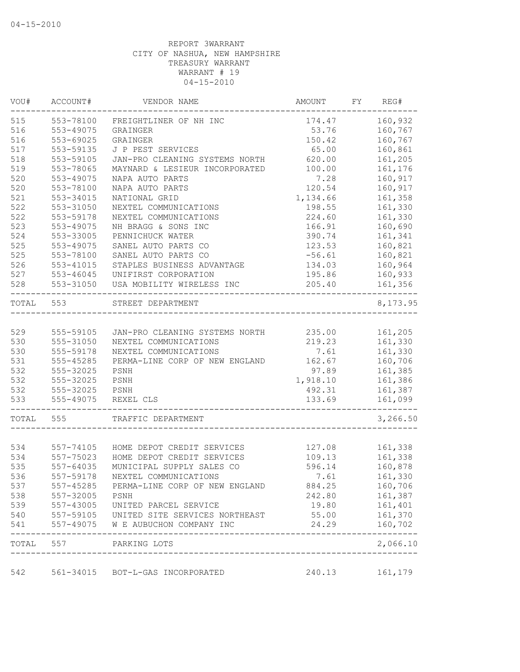| VOU#  | ACCOUNT#               | VENDOR NAME                                                                    | AMOUNT           | FY | REG#                       |
|-------|------------------------|--------------------------------------------------------------------------------|------------------|----|----------------------------|
| 515   | 553-78100              | FREIGHTLINER OF NH INC                                                         | 174.47           |    | 160,932                    |
| 516   | 553-49075              | GRAINGER                                                                       | 53.76            |    | 160,767                    |
| 516   | 553-69025              | GRAINGER                                                                       | 150.42           |    | 160,767                    |
| 517   | 553-59135              | J P PEST SERVICES                                                              | 65.00            |    | 160,861                    |
| 518   | 553-59105              | JAN-PRO CLEANING SYSTEMS NORTH                                                 | 620.00           |    | 161,205                    |
| 519   | 553-78065              | MAYNARD & LESIEUR INCORPORATED                                                 | 100.00           |    | 161,176                    |
| 520   | 553-49075              | NAPA AUTO PARTS                                                                | 7.28             |    | 160,917                    |
| 520   | 553-78100              | NAPA AUTO PARTS                                                                | 120.54           |    | 160,917                    |
| 521   | 553-34015              | NATIONAL GRID                                                                  | 1,134.66         |    | 161,358                    |
| 522   | 553-31050              | NEXTEL COMMUNICATIONS                                                          | 198.55           |    | 161,330                    |
| 522   | 553-59178              | NEXTEL COMMUNICATIONS                                                          | 224.60           |    | 161,330                    |
| 523   | 553-49075              | NH BRAGG & SONS INC                                                            | 166.91           |    | 160,690                    |
| 524   | 553-33005              | PENNICHUCK WATER                                                               | 390.74           |    | 161,341                    |
| 525   | 553-49075              | SANEL AUTO PARTS CO                                                            | 123.53           |    | 160,821                    |
| 525   | 553-78100              | SANEL AUTO PARTS CO                                                            | $-56.61$         |    | 160,821                    |
| 526   | 553-41015              | STAPLES BUSINESS ADVANTAGE                                                     | 134.03           |    | 160,964                    |
| 527   |                        | UNIFIRST CORPORATION                                                           |                  |    | 160,933                    |
| 528   | 553-46045<br>553-31050 | USA MOBILITY WIRELESS INC                                                      | 195.86<br>205.40 |    | 161,356                    |
| TOTAL | 553                    | STREET DEPARTMENT                                                              |                  |    | 8,173.95                   |
|       |                        |                                                                                |                  |    |                            |
| 529   | 555-59105              | JAN-PRO CLEANING SYSTEMS NORTH                                                 | 235.00           |    | 161,205                    |
| 530   | 555-31050              | NEXTEL COMMUNICATIONS                                                          | 219.23           |    | 161,330                    |
| 530   | 555-59178              | NEXTEL COMMUNICATIONS                                                          | 7.61             |    | 161,330                    |
| 531   | 555-45285              | PERMA-LINE CORP OF NEW ENGLAND                                                 | 162.67           |    | 160,706                    |
| 532   | 555-32025              | PSNH                                                                           | 97.89            |    | 161,385                    |
| 532   | 555-32025              | PSNH                                                                           | 1,918.10         |    | 161,386                    |
| 532   | 555-32025              | PSNH                                                                           | 492.31           |    | 161,387                    |
| 533   | 555-49075              | REXEL CLS                                                                      | 133.69           |    | 161,099                    |
| TOTAL | 555                    | TRAFFIC DEPARTMENT                                                             |                  |    | 3,266.50                   |
|       |                        |                                                                                |                  |    |                            |
| 534   | 557-74105              | HOME DEPOT CREDIT SERVICES                                                     | 127.08           |    | 161,338                    |
| 534   | 557-75023              | HOME DEPOT CREDIT SERVICES                                                     | 109.13           |    | 161,338                    |
| 535   | $557 - 64035$          | MUNICIPAL SUPPLY SALES CO                                                      | 596.14           |    | 160,878                    |
| 536   | 557-59178              | NEXTEL COMMUNICATIONS                                                          | 7.61             |    | 161,330                    |
| 537   |                        | 557-45285 PERMA-LINE CORP OF NEW ENGLAND                                       | 884.25           |    | 160,706                    |
|       | 538 557-32005 PSNH     |                                                                                | 242.80           |    | 161,387                    |
| 539   |                        | 557-43005 UNITED PARCEL SERVICE                                                | 19.80            |    | 161,401                    |
| 540   |                        |                                                                                | 55.00            |    | 161,370                    |
| 541   |                        | 557-59105 UNITED SITE SERVICES NORTHEAST<br>557-49075 W E AUBUCHON COMPANY INC | 24.29            |    | 160,702                    |
|       |                        | TOTAL 557 PARKING LOTS                                                         |                  |    | --------------<br>2,066.10 |
|       |                        |                                                                                |                  |    |                            |
| 542   |                        | 561-34015 BOT-L-GAS INCORPORATED                                               |                  |    |                            |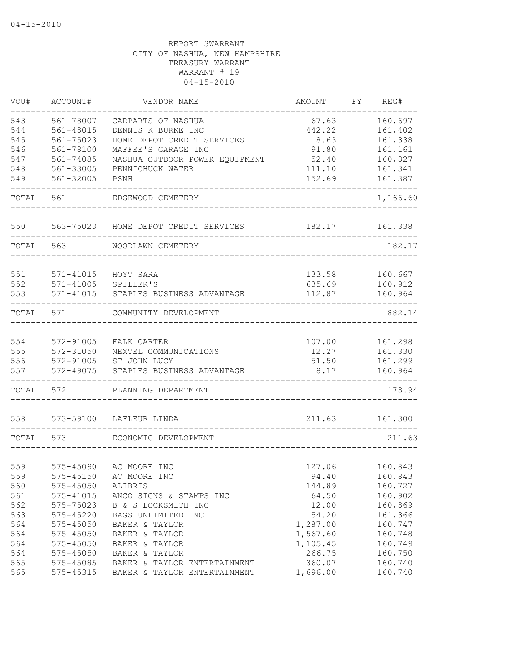| VOU#       | ACCOUNT#                   | VENDOR NAME                                | AMOUNT           | FY. | REG#               |
|------------|----------------------------|--------------------------------------------|------------------|-----|--------------------|
| 543        | 561-78007                  | CARPARTS OF NASHUA                         | 67.63            |     | 160,697            |
| 544        | 561-48015                  | DENNIS K BURKE INC                         | 442.22           |     | 161,402            |
| 545        | 561-75023                  | HOME DEPOT CREDIT SERVICES                 | 8.63             |     | 161,338            |
| 546        | 561-78100                  | MAFFEE'S GARAGE INC                        | 91.80            |     | 161,161            |
| 547        | 561-74085                  | NASHUA OUTDOOR POWER EQUIPMENT             | 52.40            |     | 160,827            |
| 548        | 561-33005                  | PENNICHUCK WATER                           | 111.10           |     | 161,341            |
| 549        | 561-32005                  | PSNH                                       | 152.69           |     | 161,387            |
| TOTAL      | 561                        | EDGEWOOD CEMETERY                          |                  |     | 1,166.60           |
| 550        | 563-75023                  | HOME DEPOT CREDIT SERVICES                 | 182.17           |     | 161,338            |
| TOTAL      | 563                        | WOODLAWN CEMETERY                          |                  |     | 182.17             |
|            |                            |                                            |                  |     |                    |
| 551<br>552 | 571-41015<br>$571 - 41005$ | HOYT SARA<br>SPILLER'S                     | 133.58<br>635.69 |     | 160,667<br>160,912 |
| 553        | 571-41015                  | STAPLES BUSINESS ADVANTAGE                 | 112.87           |     | 160,964            |
|            |                            |                                            |                  |     |                    |
| TOTAL      | 571                        | COMMUNITY DEVELOPMENT                      |                  |     | 882.14             |
|            |                            |                                            |                  |     |                    |
| 554        | 572-91005                  | FALK CARTER                                | 107.00           |     | 161,298            |
| 555        | 572-31050                  | NEXTEL COMMUNICATIONS                      | 12.27            |     | 161,330            |
| 556<br>557 | 572-91005<br>572-49075     | ST JOHN LUCY<br>STAPLES BUSINESS ADVANTAGE | 51.50<br>8.17    |     | 161,299<br>160,964 |
|            |                            |                                            |                  |     |                    |
| TOTAL      | 572                        | PLANNING DEPARTMENT                        |                  |     | 178.94             |
| 558        | 573-59100                  | LAFLEUR LINDA                              | 211.63           |     | 161,300            |
| TOTAL      | 573                        | ECONOMIC DEVELOPMENT                       |                  |     | 211.63             |
|            |                            |                                            |                  |     |                    |
| 559        | 575-45090                  | AC MOORE INC                               | 127.06           |     | 160,843            |
| 559        | 575-45150                  | AC MOORE INC                               | 94.40            |     | 160,843            |
| 560        | 575-45050                  | ALIBRIS                                    | 144.89           |     | 160,727            |
| 561        | $575 - 41015$              | ANCO SIGNS & STAMPS INC                    | 64.50            |     | 160,902            |
| 562        | 575-75023                  | B & S LOCKSMITH INC                        | 12.00            |     | 160,869            |
| 563        | $575 - 45220$              | BAGS UNLIMITED INC                         | 54.20            |     | 161,366            |
| 564        | $575 - 45050$              | BAKER & TAYLOR                             | 1,287.00         |     | 160,747            |
| 564        | $575 - 45050$              | BAKER & TAYLOR                             | 1,567.60         |     | 160,748            |
| 564        | $575 - 45050$              | BAKER & TAYLOR                             | 1,105.45         |     | 160,749            |
| 564        | 575-45050                  | BAKER & TAYLOR                             | 266.75           |     | 160,750            |
| 565        | 575-45085                  | BAKER & TAYLOR ENTERTAINMENT               | 360.07           |     | 160,740            |
| 565        | 575-45315                  | BAKER & TAYLOR ENTERTAINMENT               | 1,696.00         |     | 160,740            |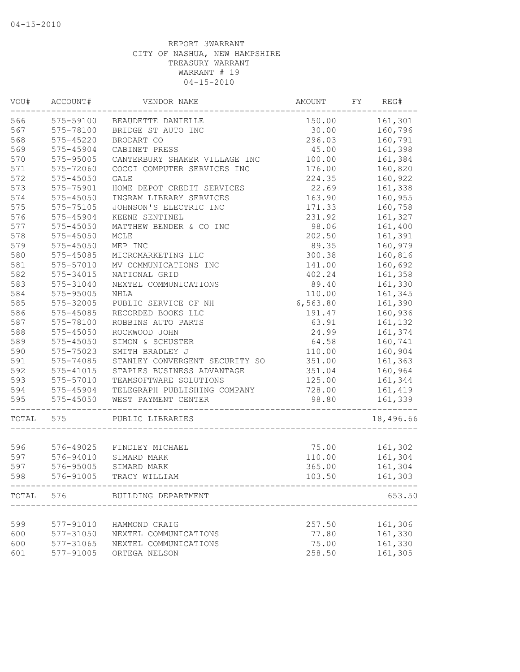| VOU#  | ACCOUNT#      | VENDOR NAME                    | AMOUNT   | FY | REG#      |
|-------|---------------|--------------------------------|----------|----|-----------|
| 566   | 575-59100     | BEAUDETTE DANIELLE             | 150.00   |    | 161,301   |
| 567   | 575-78100     | BRIDGE ST AUTO INC             | 30.00    |    | 160,796   |
| 568   | 575-45220     | BRODART CO                     | 296.03   |    | 160,791   |
| 569   | 575-45904     | CABINET PRESS                  | 45.00    |    | 161,398   |
| 570   | 575-95005     | CANTERBURY SHAKER VILLAGE INC  | 100.00   |    | 161,384   |
| 571   | 575-72060     | COCCI COMPUTER SERVICES INC    | 176.00   |    | 160,820   |
| 572   | $575 - 45050$ | <b>GALE</b>                    | 224.35   |    | 160,922   |
| 573   | 575-75901     | HOME DEPOT CREDIT SERVICES     | 22.69    |    | 161,338   |
| 574   | 575-45050     | INGRAM LIBRARY SERVICES        | 163.90   |    | 160,955   |
| 575   | 575-75105     | JOHNSON'S ELECTRIC INC         | 171.33   |    | 160,758   |
| 576   | 575-45904     | KEENE SENTINEL                 | 231.92   |    | 161,327   |
| 577   | 575-45050     | MATTHEW BENDER & CO INC        | 98.06    |    | 161,400   |
| 578   | $575 - 45050$ | MCLE                           | 202.50   |    | 161,391   |
| 579   | 575-45050     | MEP INC                        | 89.35    |    | 160,979   |
| 580   | 575-45085     | MICROMARKETING LLC             | 300.38   |    | 160,816   |
| 581   | 575-57010     | MV COMMUNICATIONS INC          | 141.00   |    | 160,692   |
| 582   | 575-34015     | NATIONAL GRID                  | 402.24   |    | 161,358   |
| 583   | 575-31040     | NEXTEL COMMUNICATIONS          | 89.40    |    | 161,330   |
| 584   | 575-95005     | <b>NHLA</b>                    | 110.00   |    | 161,345   |
| 585   | 575-32005     | PUBLIC SERVICE OF NH           | 6,563.80 |    | 161,390   |
| 586   | $575 - 45085$ | RECORDED BOOKS LLC             | 191.47   |    | 160,936   |
| 587   | 575-78100     | ROBBINS AUTO PARTS             | 63.91    |    | 161,132   |
| 588   | 575-45050     | ROCKWOOD JOHN                  | 24.99    |    | 161,374   |
| 589   | $575 - 45050$ | SIMON & SCHUSTER               | 64.58    |    | 160,741   |
| 590   | 575-75023     | SMITH BRADLEY J                | 110.00   |    | 160,904   |
| 591   | 575-74085     | STANLEY CONVERGENT SECURITY SO | 351.00   |    | 161,363   |
| 592   | $575 - 41015$ | STAPLES BUSINESS ADVANTAGE     | 351.04   |    | 160,964   |
| 593   | 575-57010     | TEAMSOFTWARE SOLUTIONS         | 125.00   |    | 161,344   |
|       |               |                                |          |    |           |
| 594   | 575-45904     | TELEGRAPH PUBLISHING COMPANY   | 728.00   |    | 161,419   |
| 595   | 575-45050     | WEST PAYMENT CENTER            | 98.80    |    | 161,339   |
| TOTAL | 575           | PUBLIC LIBRARIES               |          |    | 18,496.66 |
|       |               |                                |          |    |           |
| 596   |               | 576-49025 FINDLEY MICHAEL      | 75.00    |    | 161,302   |
| 597   | 576-94010     | SIMARD MARK                    | 110.00   |    | 161,304   |
| 597   | 576-95005     | SIMARD MARK                    | 365.00   |    | 161,304   |
| 598   | 576-91005     | TRACY WILLIAM                  | 103.50   |    | 161,303   |
|       | TOTAL 576     | BUILDING DEPARTMENT            |          |    | 653.50    |
|       |               |                                |          |    |           |
| 599   | 577-91010     | HAMMOND CRAIG                  | 257.50   |    | 161,306   |
| 600   | 577-31050     | NEXTEL COMMUNICATIONS          | 77.80    |    | 161,330   |
| 600   | 577-31065     | NEXTEL COMMUNICATIONS          | 75.00    |    | 161,330   |
| 601   | 577-91005     | ORTEGA NELSON                  | 258.50   |    | 161,305   |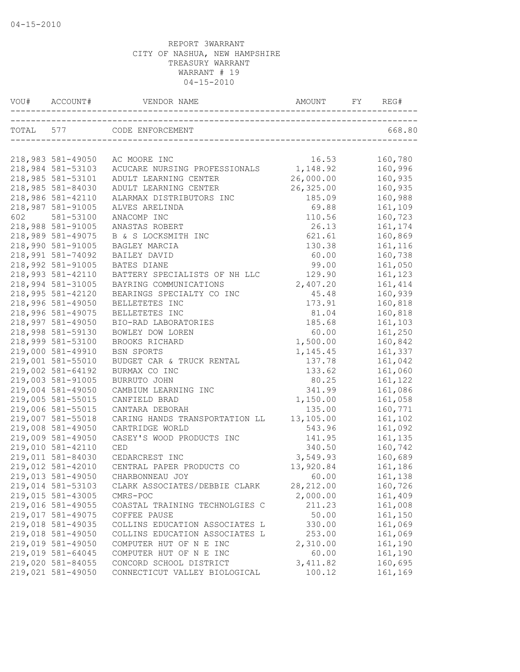| VOU# |                   | VENDOR NAME                    | AMOUNT            |                    |
|------|-------------------|--------------------------------|-------------------|--------------------|
|      |                   | TOTAL 577 CODE ENFORCEMENT     |                   | 668.80             |
|      |                   |                                |                   |                    |
|      | 218,983 581-49050 | AC MOORE INC                   | 16.53             | 160,780            |
|      | 218,984 581-53103 | ACUCARE NURSING PROFESSIONALS  | 1,148.92          | 160,996            |
|      | 218,985 581-53101 | ADULT LEARNING CENTER          | 26,000.00         | 160,935            |
|      | 218,985 581-84030 | ADULT LEARNING CENTER          | 26, 325.00        | 160,935            |
|      | 218,986 581-42110 | ALARMAX DISTRIBUTORS INC       | 185.09            | 160,988            |
|      | 218,987 581-91005 | ALVES ARELINDA                 | 69.88             | 161,109            |
| 602  | 581-53100         | ANACOMP INC                    | 110.56            | 160,723            |
|      | 218,988 581-91005 | ANASTAS ROBERT                 | 26.13             | 161,174            |
|      | 218,989 581-49075 | B & S LOCKSMITH INC            | 621.61            | 160,869            |
|      | 218,990 581-91005 | BAGLEY MARCIA                  | 130.38            | 161,116            |
|      | 218,991 581-74092 | BAILEY DAVID                   | 60.00             | 160,738            |
|      | 218,992 581-91005 | <b>BATES DIANE</b>             | 99.00             | 161,050            |
|      | 218,993 581-42110 | BATTERY SPECIALISTS OF NH LLC  | 129.90            | 161,123            |
|      | 218,994 581-31005 | BAYRING COMMUNICATIONS         | 2,407.20          | 161, 414           |
|      | 218,995 581-42120 | BEARINGS SPECIALTY CO INC      | 45.48             | 160,939            |
|      | 218,996 581-49050 | BELLETETES INC                 | 173.91            | 160,818            |
|      | 218,996 581-49075 | BELLETETES INC                 | 81.04             | 160,818            |
|      | 218,997 581-49050 | BIO-RAD LABORATORIES           | 185.68            | 161,103            |
|      | 218,998 581-59130 | BOWLEY DOW LOREN               | 60.00             | 161,250            |
|      | 218,999 581-53100 | BROOKS RICHARD                 | 1,500.00          | 160,842            |
|      | 219,000 581-49910 | BSN SPORTS                     | 1, 145.45         | 161,337            |
|      | 219,001 581-55010 | BUDGET CAR & TRUCK RENTAL      | 137.78            | 161,042            |
|      | 219,002 581-64192 | BURMAX CO INC                  | 133.62            | 161,060            |
|      | 219,003 581-91005 | BURRUTO JOHN                   | 80.25             | 161,122            |
|      | 219,004 581-49050 | CAMBIUM LEARNING INC           | 341.99            | 161,086            |
|      | 219,005 581-55015 | CANFIELD BRAD                  | 1,150.00          | 161,058            |
|      | 219,006 581-55015 | CANTARA DEBORAH                | 135.00            | 160,771            |
|      | 219,007 581-55018 | CARING HANDS TRANSPORTATION LL | 13,105.00         | 161,102            |
|      | 219,008 581-49050 | CARTRIDGE WORLD                | 543.96            | 161,092            |
|      | 219,009 581-49050 | CASEY'S WOOD PRODUCTS INC      | 141.95            | 161,135            |
|      | 219,010 581-42110 | CED                            | 340.50            | 160,742            |
|      | 219,011 581-84030 | CEDARCREST INC                 | 3,549.93          | 160,689            |
|      | 219,012 581-42010 | CENTRAL PAPER PRODUCTS CO      | 13,920.84         | 161,186            |
|      | 219,013 581-49050 | CHARBONNEAU JOY                | 60.00             | 161,138            |
|      | 219,014 581-53103 | CLARK ASSOCIATES/DEBBIE CLARK  | 28, 212.00        | 160,726            |
|      | 219,015 581-43005 | CMRS-POC                       | 2,000.00          | 161,409            |
|      | 219,016 581-49055 | COASTAL TRAINING TECHNOLGIES C | 211.23            | 161,008            |
|      | 219,017 581-49075 | COFFEE PAUSE                   | 50.00             | 161,150            |
|      | 219,018 581-49035 | COLLINS EDUCATION ASSOCIATES L | 330.00            | 161,069            |
|      | 219,018 581-49050 | COLLINS EDUCATION ASSOCIATES L |                   |                    |
|      | 219,019 581-49050 | COMPUTER HUT OF N E INC        | 253.00            | 161,069            |
|      | 219,019 581-64045 | COMPUTER HUT OF N E INC        | 2,310.00<br>60.00 | 161,190<br>161,190 |
|      | 219,020 581-84055 | CONCORD SCHOOL DISTRICT        | 3, 411.82         | 160,695            |
|      | 219,021 581-49050 | CONNECTICUT VALLEY BIOLOGICAL  | 100.12            | 161,169            |
|      |                   |                                |                   |                    |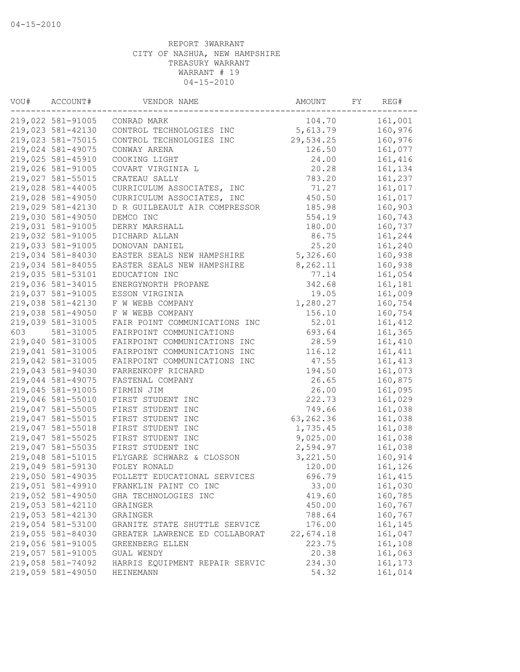| VOU# | ACCOUNT#          | VENDOR NAME                    | AMOUNT     | FY | REG#     |
|------|-------------------|--------------------------------|------------|----|----------|
|      | 219,022 581-91005 | CONRAD MARK                    | 104.70     |    | 161,001  |
|      | 219,023 581-42130 | CONTROL TECHNOLOGIES INC       | 5,613.79   |    | 160,976  |
|      | 219,023 581-75015 | CONTROL TECHNOLOGIES INC       | 29,534.25  |    | 160,976  |
|      | 219,024 581-49075 | CONWAY ARENA                   | 126.50     |    | 161,077  |
|      | 219,025 581-45910 | COOKING LIGHT                  | 24.00      |    | 161,416  |
|      | 219,026 581-91005 | COVART VIRGINIA L              | 20.28      |    | 161,134  |
|      | 219,027 581-55015 | CRATEAU SALLY                  | 783.20     |    | 161,237  |
|      | 219,028 581-44005 | CURRICULUM ASSOCIATES, INC     | 71.27      |    | 161,017  |
|      | 219,028 581-49050 | CURRICULUM ASSOCIATES, INC     | 450.50     |    | 161,017  |
|      | 219,029 581-42130 | D R GUILBEAULT AIR COMPRESSOR  | 185.98     |    | 160,903  |
|      | 219,030 581-49050 | DEMCO INC                      | 554.19     |    | 160,743  |
|      | 219,031 581-91005 | DERRY MARSHALL                 | 180.00     |    | 160,737  |
|      | 219,032 581-91005 | DICHARD ALLAN                  | 86.75      |    | 161,244  |
|      | 219,033 581-91005 | DONOVAN DANIEL                 | 25.20      |    | 161,240  |
|      | 219,034 581-84030 | EASTER SEALS NEW HAMPSHIRE     | 5,326.60   |    | 160,938  |
|      | 219,034 581-84055 | EASTER SEALS NEW HAMPSHIRE     | 8,262.11   |    | 160,938  |
|      | 219,035 581-53101 | EDUCATION INC                  | 77.14      |    | 161,054  |
|      | 219,036 581-34015 | ENERGYNORTH PROPANE            | 342.68     |    | 161,181  |
|      | 219,037 581-91005 | ESSON VIRGINIA                 | 19.05      |    | 161,009  |
|      | 219,038 581-42130 | F W WEBB COMPANY               | 1,280.27   |    | 160,754  |
|      | 219,038 581-49050 | F W WEBB COMPANY               | 156.10     |    | 160,754  |
|      | 219,039 581-31005 | FAIR POINT COMMUNICATIONS INC  | 52.01      |    | 161, 412 |
| 603  | 581-31005         | FAIRPOINT COMMUNICATIONS       | 693.64     |    | 161,365  |
|      | 219,040 581-31005 | FAIRPOINT COMMUNICATIONS INC   | 28.59      |    | 161,410  |
|      | 219,041 581-31005 | FAIRPOINT COMMUNICATIONS INC   | 116.12     |    | 161, 411 |
|      | 219,042 581-31005 | FAIRPOINT COMMUNICATIONS INC   | 47.55      |    | 161, 413 |
|      | 219,043 581-94030 | FARRENKOPF RICHARD             | 194.50     |    | 161,073  |
|      | 219,044 581-49075 | FASTENAL COMPANY               | 26.65      |    | 160,875  |
|      | 219,045 581-91005 | FIRMIN JIM                     | 26.00      |    | 161,095  |
|      | 219,046 581-55010 | FIRST STUDENT INC              | 222.73     |    | 161,029  |
|      | 219,047 581-55005 | FIRST STUDENT INC              | 749.66     |    | 161,038  |
|      | 219,047 581-55015 | FIRST STUDENT INC              | 63, 262.36 |    | 161,038  |
|      | 219,047 581-55018 | FIRST STUDENT INC              | 1,735.45   |    | 161,038  |
|      | 219,047 581-55025 | FIRST STUDENT INC              | 9,025.00   |    | 161,038  |
|      | 219,047 581-55035 | FIRST STUDENT INC              | 2,594.97   |    | 161,038  |
|      | 219,048 581-51015 | FLYGARE SCHWARZ & CLOSSON      | 3,221.50   |    | 160,914  |
|      | 219,049 581-59130 | FOLEY RONALD                   | 120.00     |    |          |
|      |                   |                                |            |    | 161,126  |
|      | 219,050 581-49035 | FOLLETT EDUCATIONAL SERVICES   | 696.79     |    | 161, 415 |
|      | 219,051 581-49910 | FRANKLIN PAINT CO INC          | 33.00      |    | 161,030  |
|      | 219,052 581-49050 | GHA TECHNOLOGIES INC           | 419.60     |    | 160,785  |
|      | 219,053 581-42110 | GRAINGER                       | 450.00     |    | 160,767  |
|      | 219,053 581-42130 | GRAINGER                       | 788.64     |    | 160,767  |
|      | 219,054 581-53100 | GRANITE STATE SHUTTLE SERVICE  | 176.00     |    | 161,145  |
|      | 219,055 581-84030 | GREATER LAWRENCE ED COLLABORAT | 22,674.18  |    | 161,047  |
|      | 219,056 581-91005 | GREENBERG ELLEN                | 223.75     |    | 161,108  |
|      | 219,057 581-91005 | GUAL WENDY                     | 20.38      |    | 161,063  |
|      | 219,058 581-74092 | HARRIS EOUIPMENT REPAIR SERVIC | 234.30     |    | 161,173  |
|      | 219,059 581-49050 | <b>HEINEMANN</b>               | 54.32      |    | 161,014  |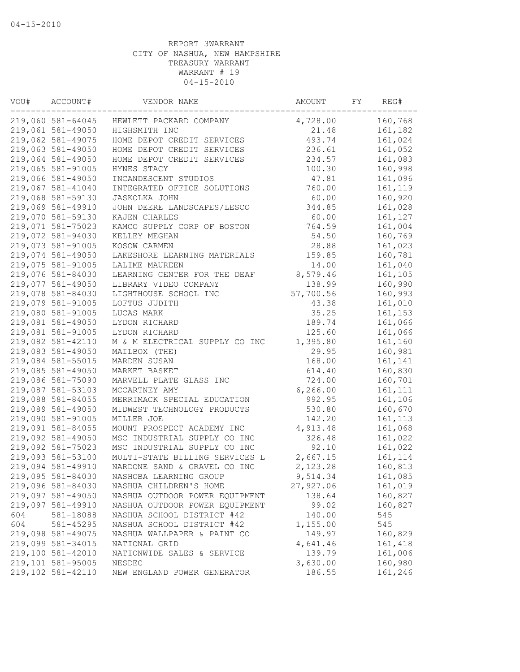| VOU# | ACCOUNT#          | VENDOR NAME                    | AMOUNT    | FY | REG#     |
|------|-------------------|--------------------------------|-----------|----|----------|
|      | 219,060 581-64045 | HEWLETT PACKARD COMPANY        | 4,728.00  |    | 160,768  |
|      | 219,061 581-49050 | HIGHSMITH INC                  | 21.48     |    | 161,182  |
|      | 219,062 581-49075 | HOME DEPOT CREDIT SERVICES     | 493.74    |    | 161,024  |
|      | 219,063 581-49050 | HOME DEPOT CREDIT SERVICES     | 236.61    |    | 161,052  |
|      | 219,064 581-49050 | HOME DEPOT CREDIT SERVICES     | 234.57    |    | 161,083  |
|      | 219,065 581-91005 | HYNES STACY                    | 100.30    |    | 160,998  |
|      | 219,066 581-49050 | INCANDESCENT STUDIOS           | 47.81     |    | 161,096  |
|      | 219,067 581-41040 | INTEGRATED OFFICE SOLUTIONS    | 760.00    |    | 161,119  |
|      | 219,068 581-59130 | JASKOLKA JOHN                  | 60.00     |    | 160,920  |
|      | 219,069 581-49910 | JOHN DEERE LANDSCAPES/LESCO    | 344.85    |    | 161,028  |
|      | 219,070 581-59130 | KAJEN CHARLES                  | 60.00     |    | 161,127  |
|      | 219,071 581-75023 | KAMCO SUPPLY CORP OF BOSTON    | 764.59    |    | 161,004  |
|      | 219,072 581-94030 | KELLEY MEGHAN                  | 54.50     |    | 160,769  |
|      | 219,073 581-91005 | KOSOW CARMEN                   | 28.88     |    | 161,023  |
|      | 219,074 581-49050 | LAKESHORE LEARNING MATERIALS   | 159.85    |    | 160,781  |
|      | 219,075 581-91005 | LALIME MAUREEN                 | 14.00     |    | 161,040  |
|      | 219,076 581-84030 | LEARNING CENTER FOR THE DEAF   | 8,579.46  |    | 161,105  |
|      | 219,077 581-49050 | LIBRARY VIDEO COMPANY          | 138.99    |    | 160,990  |
|      | 219,078 581-84030 | LIGHTHOUSE SCHOOL INC          | 57,700.56 |    | 160,993  |
|      | 219,079 581-91005 | LOFTUS JUDITH                  | 43.38     |    | 161,010  |
|      | 219,080 581-91005 | LUCAS MARK                     | 35.25     |    | 161,153  |
|      | 219,081 581-49050 | LYDON RICHARD                  | 189.74    |    | 161,066  |
|      | 219,081 581-91005 | LYDON RICHARD                  | 125.60    |    | 161,066  |
|      | 219,082 581-42110 | M & M ELECTRICAL SUPPLY CO INC | 1,395.80  |    | 161,160  |
|      | 219,083 581-49050 | MAILBOX (THE)                  | 29.95     |    | 160,981  |
|      | 219,084 581-55015 | MARDEN SUSAN                   | 168.00    |    | 161,141  |
|      | 219,085 581-49050 | MARKET BASKET                  | 614.40    |    | 160,830  |
|      | 219,086 581-75090 | MARVELL PLATE GLASS INC        | 724.00    |    | 160,701  |
|      | 219,087 581-53103 | MCCARTNEY AMY                  | 6, 266.00 |    | 161, 111 |
|      | 219,088 581-84055 | MERRIMACK SPECIAL EDUCATION    | 992.95    |    | 161,106  |
|      | 219,089 581-49050 | MIDWEST TECHNOLOGY PRODUCTS    | 530.80    |    | 160,670  |
|      | 219,090 581-91005 | MILLER JOE                     | 142.20    |    | 161, 113 |
|      | 219,091 581-84055 | MOUNT PROSPECT ACADEMY INC     | 4,913.48  |    | 161,068  |
|      | 219,092 581-49050 | MSC INDUSTRIAL SUPPLY CO INC   | 326.48    |    | 161,022  |
|      | 219,092 581-75023 | MSC INDUSTRIAL SUPPLY CO INC   | 92.10     |    | 161,022  |
|      | 219,093 581-53100 | MULTI-STATE BILLING SERVICES L | 2,667.15  |    | 161, 114 |
|      | 219,094 581-49910 | NARDONE SAND & GRAVEL CO INC   | 2,123.28  |    | 160,813  |
|      | 219,095 581-84030 | NASHOBA LEARNING GROUP         | 9,514.34  |    | 161,085  |
|      | 219,096 581-84030 | NASHUA CHILDREN'S HOME         | 27,927.06 |    | 161,019  |
|      | 219,097 581-49050 | NASHUA OUTDOOR POWER EQUIPMENT | 138.64    |    | 160,827  |
|      | 219,097 581-49910 | NASHUA OUTDOOR POWER EQUIPMENT | 99.02     |    | 160,827  |
| 604  | 581-18088         | NASHUA SCHOOL DISTRICT #42     | 140.00    |    | 545      |
| 604  | 581-45295         | NASHUA SCHOOL DISTRICT #42     | 1,155.00  |    | 545      |
|      | 219,098 581-49075 | NASHUA WALLPAPER & PAINT CO    | 149.97    |    | 160,829  |
|      | 219,099 581-34015 | NATIONAL GRID                  | 4,641.46  |    | 161,418  |
|      | 219,100 581-42010 | NATIONWIDE SALES & SERVICE     | 139.79    |    | 161,006  |
|      | 219,101 581-95005 | NESDEC                         | 3,630.00  |    | 160,980  |
|      | 219,102 581-42110 | NEW ENGLAND POWER GENERATOR    | 186.55    |    | 161,246  |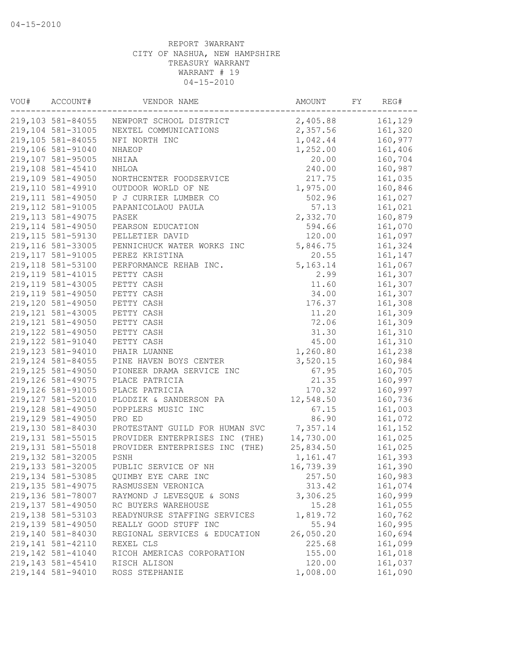| VOU# | ACCOUNT#           | VENDOR NAME                    | AMOUNT     | FY | REG#    |
|------|--------------------|--------------------------------|------------|----|---------|
|      | 219,103 581-84055  | NEWPORT SCHOOL DISTRICT        | 2,405.88   |    | 161,129 |
|      | 219,104 581-31005  | NEXTEL COMMUNICATIONS          | 2,357.56   |    | 161,320 |
|      | 219,105 581-84055  | NFI NORTH INC                  | 1,042.44   |    | 160,977 |
|      | 219,106 581-91040  | NHAEOP                         | 1,252.00   |    | 161,406 |
|      | 219,107 581-95005  | NHIAA                          | 20.00      |    | 160,704 |
|      | 219,108 581-45410  | NHLOA                          | 240.00     |    | 160,987 |
|      | 219,109 581-49050  | NORTHCENTER FOODSERVICE        | 217.75     |    | 161,035 |
|      | 219,110 581-49910  | OUTDOOR WORLD OF NE            | 1,975.00   |    | 160,846 |
|      | 219, 111 581-49050 | P J CURRIER LUMBER CO          | 502.96     |    | 161,027 |
|      | 219, 112 581-91005 | PAPANICOLAOU PAULA             | 57.13      |    | 161,021 |
|      | 219, 113 581-49075 | PASEK                          | 2,332.70   |    | 160,879 |
|      | 219, 114 581-49050 | PEARSON EDUCATION              | 594.66     |    | 161,070 |
|      | 219, 115 581-59130 | PELLETIER DAVID                | 120.00     |    | 161,097 |
|      | 219,116 581-33005  | PENNICHUCK WATER WORKS INC     | 5,846.75   |    | 161,324 |
|      | 219, 117 581-91005 | PEREZ KRISTINA                 | 20.55      |    | 161,147 |
|      | 219,118 581-53100  | PERFORMANCE REHAB INC.         | 5, 163. 14 |    | 161,067 |
|      | 219, 119 581-41015 | PETTY CASH                     | 2.99       |    | 161,307 |
|      | 219,119 581-43005  | PETTY CASH                     | 11.60      |    | 161,307 |
|      | 219,119 581-49050  | PETTY CASH                     | 34.00      |    | 161,307 |
|      | 219,120 581-49050  | PETTY CASH                     | 176.37     |    | 161,308 |
|      | 219, 121 581-43005 | PETTY CASH                     | 11.20      |    | 161,309 |
|      | 219, 121 581-49050 | PETTY CASH                     | 72.06      |    | 161,309 |
|      | 219, 122 581-49050 | PETTY CASH                     | 31.30      |    | 161,310 |
|      | 219, 122 581-91040 | PETTY CASH                     | 45.00      |    | 161,310 |
|      | 219,123 581-94010  | PHAIR LUANNE                   | 1,260.80   |    | 161,238 |
|      | 219, 124 581-84055 | PINE HAVEN BOYS CENTER         | 3,520.15   |    | 160,984 |
|      | 219, 125 581-49050 | PIONEER DRAMA SERVICE INC      | 67.95      |    | 160,705 |
|      | 219,126 581-49075  | PLACE PATRICIA                 | 21.35      |    | 160,997 |
|      | 219,126 581-91005  | PLACE PATRICIA                 | 170.32     |    | 160,997 |
|      | 219,127 581-52010  | PLODZIK & SANDERSON PA         | 12,548.50  |    | 160,736 |
|      | 219,128 581-49050  | POPPLERS MUSIC INC             | 67.15      |    | 161,003 |
|      | 219,129 581-49050  | PRO ED                         | 86.90      |    | 161,072 |
|      | 219,130 581-84030  | PROTESTANT GUILD FOR HUMAN SVC | 7,357.14   |    | 161,152 |
|      | 219, 131 581-55015 | PROVIDER ENTERPRISES INC (THE) | 14,730.00  |    | 161,025 |
|      | 219, 131 581-55018 | PROVIDER ENTERPRISES INC (THE) | 25,834.50  |    | 161,025 |
|      | 219,132 581-32005  | PSNH                           | 1,161.47   |    | 161,393 |
|      | 219,133 581-32005  | PUBLIC SERVICE OF NH           | 16,739.39  |    | 161,390 |
|      | 219, 134 581-53085 | QUIMBY EYE CARE INC            | 257.50     |    | 160,983 |
|      | 219, 135 581-49075 | RASMUSSEN VERONICA             | 313.42     |    | 161,074 |
|      | 219,136 581-78007  | RAYMOND J LEVESQUE & SONS      | 3,306.25   |    | 160,999 |
|      | 219,137 581-49050  | RC BUYERS WAREHOUSE            | 15.28      |    | 161,055 |
|      | 219,138 581-53103  | READYNURSE STAFFING SERVICES   | 1,819.72   |    | 160,762 |
|      | 219,139 581-49050  | REALLY GOOD STUFF INC          | 55.94      |    | 160,995 |
|      | 219,140 581-84030  | REGIONAL SERVICES & EDUCATION  | 26,050.20  |    | 160,694 |
|      | 219,141 581-42110  | REXEL CLS                      | 225.68     |    | 161,099 |
|      | 219,142 581-41040  | RICOH AMERICAS CORPORATION     | 155.00     |    | 161,018 |
|      | 219,143 581-45410  | RISCH ALISON                   | 120.00     |    | 161,037 |
|      | 219,144 581-94010  | ROSS STEPHANIE                 | 1,008.00   |    | 161,090 |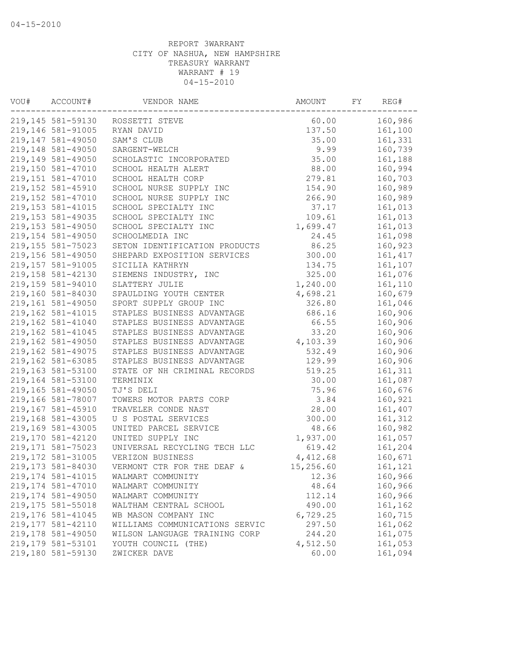| VOU# | ACCOUNT#                               | VENDOR NAME                    | AMOUNT            | FY | REG#     |
|------|----------------------------------------|--------------------------------|-------------------|----|----------|
|      | 219,145 581-59130                      | ROSSETTI STEVE                 | 60.00             |    | 160,986  |
|      | 219,146 581-91005                      | RYAN DAVID                     | 137.50            |    | 161,100  |
|      | 219,147 581-49050                      | SAM'S CLUB                     | 35.00             |    | 161,331  |
|      | 219,148 581-49050                      | SARGENT-WELCH                  | 9.99              |    | 160,739  |
|      | 219,149 581-49050                      | SCHOLASTIC INCORPORATED        | 35.00             |    | 161,188  |
|      | 219,150 581-47010                      | SCHOOL HEALTH ALERT            | 88.00             |    | 160,994  |
|      | 219,151 581-47010                      | SCHOOL HEALTH CORP             | 279.81            |    | 160,703  |
|      | 219,152 581-45910                      | SCHOOL NURSE SUPPLY INC        | 154.90            |    | 160,989  |
|      | 219,152 581-47010                      | SCHOOL NURSE SUPPLY INC        | 266.90            |    | 160,989  |
|      | 219, 153 581-41015                     | SCHOOL SPECIALTY INC           | 37.17             |    | 161,013  |
|      | 219, 153 581-49035                     | SCHOOL SPECIALTY INC           | 109.61            |    | 161,013  |
|      | 219,153 581-49050                      | SCHOOL SPECIALTY INC           | 1,699.47          |    | 161,013  |
|      | 219,154 581-49050                      | SCHOOLMEDIA INC                | 24.45             |    | 161,098  |
|      | 219, 155 581-75023                     | SETON IDENTIFICATION PRODUCTS  | 86.25             |    | 160,923  |
|      | 219,156 581-49050                      | SHEPARD EXPOSITION SERVICES    | 300.00            |    | 161, 417 |
|      | 219,157 581-91005                      | SICILIA KATHRYN                | 134.75            |    | 161,107  |
|      | 219,158 581-42130                      | SIEMENS INDUSTRY, INC          | 325.00            |    | 161,076  |
|      | 219,159 581-94010                      | SLATTERY JULIE                 | 1,240.00          |    | 161,110  |
|      | 219,160 581-84030                      | SPAULDING YOUTH CENTER         | 4,698.21          |    | 160,679  |
|      | 219,161 581-49050                      | SPORT SUPPLY GROUP INC         | 326.80            |    | 161,046  |
|      | 219,162 581-41015                      | STAPLES BUSINESS ADVANTAGE     | 686.16            |    | 160,906  |
|      | 219,162 581-41040                      | STAPLES BUSINESS ADVANTAGE     | 66.55             |    | 160,906  |
|      | 219,162 581-41045                      | STAPLES BUSINESS ADVANTAGE     | 33.20             |    | 160,906  |
|      | 219,162 581-49050                      | STAPLES BUSINESS ADVANTAGE     | 4,103.39          |    | 160,906  |
|      | 219,162 581-49075                      | STAPLES BUSINESS ADVANTAGE     | 532.49            |    | 160,906  |
|      | 219,162 581-63085                      | STAPLES BUSINESS ADVANTAGE     | 129.99            |    | 160,906  |
|      | 219,163 581-53100                      | STATE OF NH CRIMINAL RECORDS   | 519.25            |    | 161,311  |
|      | 219,164 581-53100                      | TERMINIX                       | 30.00             |    | 161,087  |
|      | 219,165 581-49050                      | TJ'S DELI                      | 75.96             |    | 160,676  |
|      | 219,166 581-78007                      | TOWERS MOTOR PARTS CORP        | 3.84              |    | 160,921  |
|      | 219,167 581-45910                      | TRAVELER CONDE NAST            | 28.00             |    | 161,407  |
|      | 219,168 581-43005                      | U S POSTAL SERVICES            | 300.00            |    | 161,312  |
|      | 219,169 581-43005                      | UNITED PARCEL SERVICE          | 48.66             |    | 160,982  |
|      | 219,170 581-42120                      | UNITED SUPPLY INC              | 1,937.00          |    | 161,057  |
|      | 219, 171 581-75023                     | UNIVERSAL RECYCLING TECH LLC   | 619.42            |    | 161,204  |
|      | 219, 172 581-31005                     | VERIZON BUSINESS               | 4,412.68          |    | 160,671  |
|      | 219,173 581-84030                      | VERMONT CTR FOR THE DEAF &     | 15,256.60         |    | 161,121  |
|      | 219, 174 581-41015                     | WALMART COMMUNITY              | 12.36             |    | 160,966  |
|      | 219,174 581-47010                      | WALMART COMMUNITY              | 48.64             |    | 160,966  |
|      | 219,174 581-49050                      | WALMART COMMUNITY              | 112.14            |    | 160,966  |
|      | 219,175 581-55018                      | WALTHAM CENTRAL SCHOOL         | 490.00            |    | 161,162  |
|      | 219,176 581-41045                      | WB MASON COMPANY INC           | 6,729.25          |    | 160,715  |
|      | 219, 177 581-42110                     | WILLIAMS COMMUNICATIONS SERVIC | 297.50            |    | 161,062  |
|      | 219,178 581-49050<br>219,179 581-53101 | WILSON LANGUAGE TRAINING CORP  | 244.20            |    | 161,075  |
|      | 219,180 581-59130                      | YOUTH COUNCIL (THE)            | 4,512.50<br>60.00 |    | 161,053  |
|      |                                        | ZWICKER DAVE                   |                   |    | 161,094  |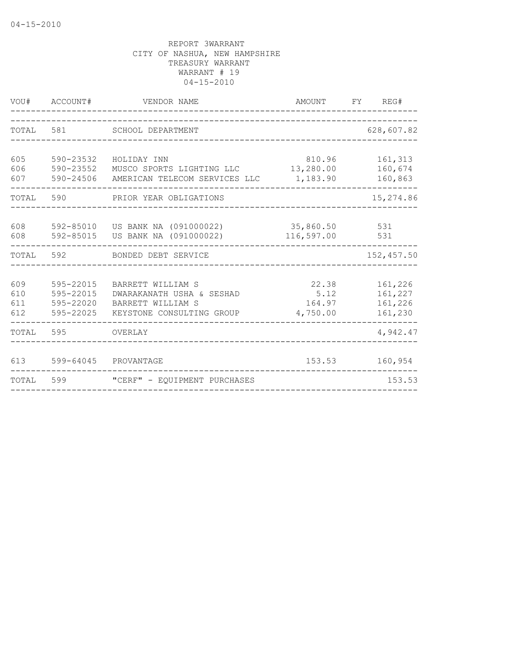| VOU#                     | ACCOUNT#                                         | VENDOR NAME                                                                                      | AMOUNT FY REG#                      |                                          |
|--------------------------|--------------------------------------------------|--------------------------------------------------------------------------------------------------|-------------------------------------|------------------------------------------|
| TOTAL                    | 581                                              | SCHOOL DEPARTMENT                                                                                |                                     | 628,607.82                               |
| 605<br>606<br>607        | 590-23532<br>590-23552<br>590-24506              | HOLIDAY INN<br>MUSCO SPORTS LIGHTING LLC<br>AMERICAN TELECOM SERVICES LLC                        | 810.96<br>13,280.00<br>1,183.90     | 161,313<br>160,674<br>160,863            |
| TOTAL 590                |                                                  | PRIOR YEAR OBLIGATIONS                                                                           |                                     | 15,274.86                                |
| 608<br>608               | 592-85015                                        | 592-85010 US BANK NA (091000022)<br>US BANK NA (091000022)                                       | 35,860.50<br>116,597.00             | 531<br>531                               |
| TOTAL                    | 592                                              | BONDED DEBT SERVICE                                                                              |                                     | 152,457.50                               |
| 609<br>610<br>611<br>612 | 595-22015<br>595-22015<br>595-22020<br>595-22025 | BARRETT WILLIAM S<br>DWARAKANATH USHA & SESHAD<br>BARRETT WILLIAM S<br>KEYSTONE CONSULTING GROUP | 22.38<br>5.12<br>164.97<br>4,750.00 | 161,226<br>161,227<br>161,226<br>161,230 |
| TOTAL 595                |                                                  | OVERLAY                                                                                          |                                     | 4,942.47                                 |
| 613                      | 599-64045                                        | PROVANTAGE                                                                                       | 153.53                              | 160,954                                  |
| TOTAL                    | 599                                              | "CERF" - EQUIPMENT PURCHASES                                                                     |                                     | 153.53                                   |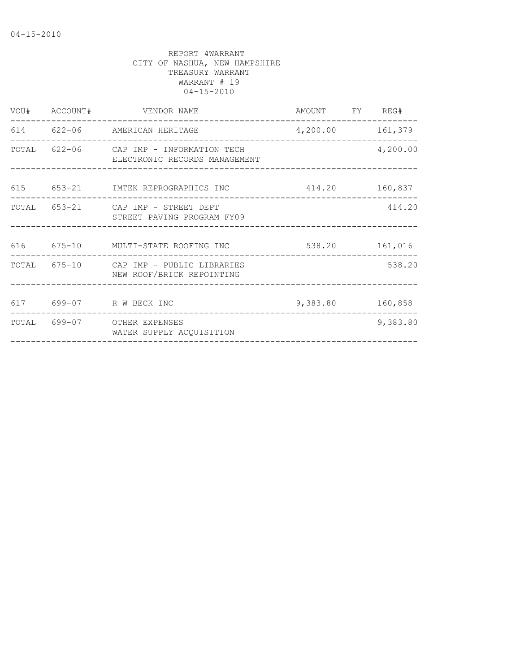|  | VOU# ACCOUNT# VENDOR NAME                                                | AMOUNT FY REG#   |          |
|--|--------------------------------------------------------------------------|------------------|----------|
|  | 614 622-06 AMERICAN HERITAGE                                             | 4,200.00 161,379 |          |
|  | TOTAL 622-06 CAP IMP - INFORMATION TECH<br>ELECTRONIC RECORDS MANAGEMENT |                  | 4,200.00 |
|  | 615 653-21 IMTEK REPROGRAPHICS INC 414.20 160,837                        |                  |          |
|  | TOTAL 653-21 CAP IMP - STREET DEPT<br>STREET PAVING PROGRAM FY09         |                  | 414.20   |
|  | 616 675-10 MULTI-STATE ROOFING INC 538.20 161,016                        |                  |          |
|  | TOTAL 675-10 CAP IMP - PUBLIC LIBRARIES<br>NEW ROOF/BRICK REPOINTING     |                  | 538.20   |
|  |                                                                          |                  |          |
|  | 617 699-07 R W BECK INC                                                  | 9,383.80 160,858 |          |
|  | TOTAL 699-07 OTHER EXPENSES<br>WATER SUPPLY ACOUISITION                  |                  | 9,383.80 |
|  |                                                                          |                  |          |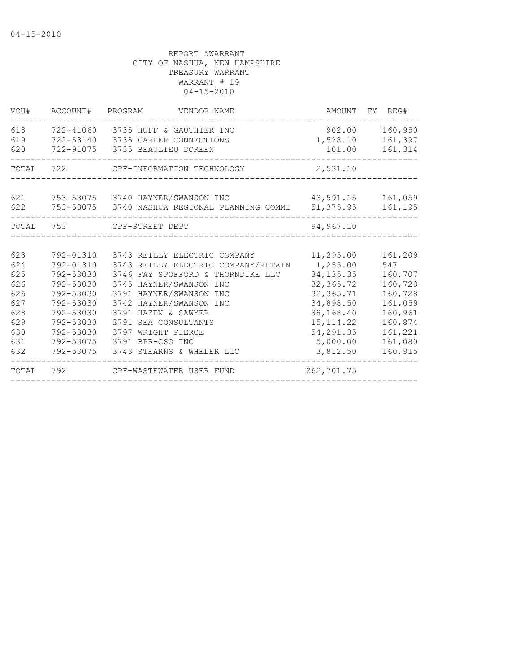| VOU#                                                                      | ACCOUNT#                                                                                                                                    | PROGRAM<br>VENDOR NAME                                                                                                                                                                                                                                                                                          | AMOUNT                                                                                                                                        | FY REG#                                                                                                           |
|---------------------------------------------------------------------------|---------------------------------------------------------------------------------------------------------------------------------------------|-----------------------------------------------------------------------------------------------------------------------------------------------------------------------------------------------------------------------------------------------------------------------------------------------------------------|-----------------------------------------------------------------------------------------------------------------------------------------------|-------------------------------------------------------------------------------------------------------------------|
| 618<br>619<br>620                                                         | 722-41060<br>722-53140                                                                                                                      | 3735 HUFF & GAUTHIER INC<br>3735 CAREER CONNECTIONS<br>722-91075 3735 BEAULIEU DOREEN                                                                                                                                                                                                                           | 902.00<br>1,528.10<br>101.00                                                                                                                  | 160,950<br>161,397<br>161,314                                                                                     |
| TOTAL                                                                     | 722                                                                                                                                         | CPF-INFORMATION TECHNOLOGY                                                                                                                                                                                                                                                                                      | 2,531.10                                                                                                                                      |                                                                                                                   |
| 621<br>622                                                                |                                                                                                                                             | 753-53075 3740 HAYNER/SWANSON INC<br>753-53075 3740 NASHUA REGIONAL PLANNING COMMI                                                                                                                                                                                                                              | 43,591.15<br>51, 375.95                                                                                                                       | 161,059<br>161,195                                                                                                |
| TOTAL                                                                     | 753                                                                                                                                         | CPF-STREET DEPT                                                                                                                                                                                                                                                                                                 | 94,967.10                                                                                                                                     |                                                                                                                   |
|                                                                           |                                                                                                                                             |                                                                                                                                                                                                                                                                                                                 |                                                                                                                                               |                                                                                                                   |
| 623<br>624<br>625<br>626<br>626<br>627<br>628<br>629<br>630<br>631<br>632 | 792-01310<br>792-01310<br>792-53030<br>792-53030<br>792-53030<br>792-53030<br>792-53030<br>792-53030<br>792-53030<br>792-53075<br>792-53075 | 3743 REILLY ELECTRIC COMPANY<br>3743 REILLY ELECTRIC COMPANY/RETAIN<br>3746 FAY SPOFFORD & THORNDIKE LLC<br>3745 HAYNER/SWANSON INC<br>3791 HAYNER/SWANSON INC<br>3742 HAYNER/SWANSON INC<br>3791 HAZEN & SAWYER<br>3791 SEA CONSULTANTS<br>3797 WRIGHT PIERCE<br>3791 BPR-CSO INC<br>3743 STEARNS & WHELER LLC | 11,295.00<br>1,255.00<br>34, 135. 35<br>32, 365.72<br>32, 365.71<br>34,898.50<br>38,168.40<br>15, 114.22<br>54,291.35<br>5,000.00<br>3,812.50 | 161,209<br>547<br>160,707<br>160,728<br>160,728<br>161,059<br>160,961<br>160,874<br>161,221<br>161,080<br>160,915 |
| TOTAL                                                                     | 792                                                                                                                                         | CPF-WASTEWATER USER FUND                                                                                                                                                                                                                                                                                        | 262,701.75                                                                                                                                    |                                                                                                                   |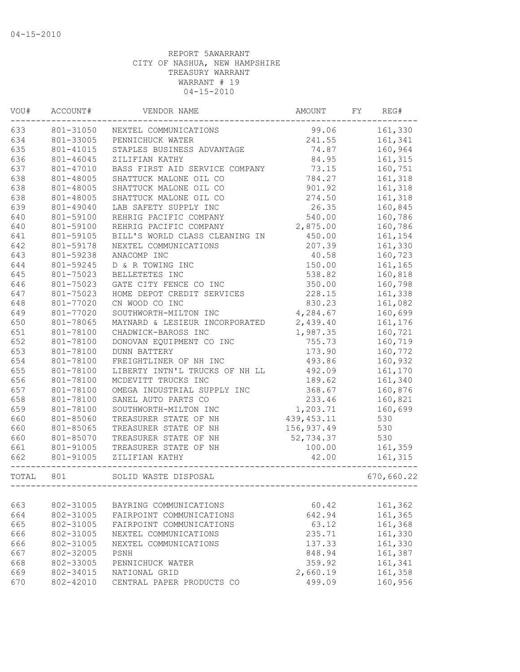| VOU#  | ACCOUNT#               | VENDOR NAME                    | AMOUNT      | FY | REG#       |
|-------|------------------------|--------------------------------|-------------|----|------------|
| 633   | 801-31050              | NEXTEL COMMUNICATIONS          | 99.06       |    | 161,330    |
| 634   | 801-33005              | PENNICHUCK WATER               | 241.55      |    | 161,341    |
| 635   | 801-41015              | STAPLES BUSINESS ADVANTAGE     | 74.87       |    | 160,964    |
| 636   | 801-46045              | ZILIFIAN KATHY                 | 84.95       |    | 161,315    |
| 637   | 801-47010              | BASS FIRST AID SERVICE COMPANY | 73.15       |    | 160,751    |
| 638   | 801-48005              | SHATTUCK MALONE OIL CO         | 784.27      |    | 161,318    |
| 638   | 801-48005              | SHATTUCK MALONE OIL CO         | 901.92      |    | 161,318    |
| 638   | 801-48005              | SHATTUCK MALONE OIL CO         | 274.50      |    | 161,318    |
| 639   | 801-49040              | LAB SAFETY SUPPLY INC          | 26.35       |    | 160,845    |
| 640   | 801-59100              | REHRIG PACIFIC COMPANY         | 540.00      |    | 160,786    |
| 640   | 801-59100              | REHRIG PACIFIC COMPANY         | 2,875.00    |    | 160,786    |
| 641   | 801-59105              | BILL'S WORLD CLASS CLEANING IN | 450.00      |    | 161,154    |
| 642   | 801-59178              | NEXTEL COMMUNICATIONS          | 207.39      |    | 161,330    |
| 643   | 801-59238              | ANACOMP INC                    | 40.58       |    | 160,723    |
| 644   | 801-59245              | D & R TOWING INC               | 150.00      |    | 161,165    |
| 645   | 801-75023              | BELLETETES INC                 | 538.82      |    | 160,818    |
| 646   | 801-75023              | GATE CITY FENCE CO INC         | 350.00      |    | 160,798    |
| 647   | 801-75023              | HOME DEPOT CREDIT SERVICES     | 228.15      |    | 161,338    |
| 648   | 801-77020              | CN WOOD CO INC                 | 830.23      |    | 161,082    |
| 649   | 801-77020              | SOUTHWORTH-MILTON INC          | 4,284.67    |    | 160,699    |
| 650   | 801-78065              | MAYNARD & LESIEUR INCORPORATED | 2,439.40    |    | 161,176    |
| 651   | 801-78100              | CHADWICK-BAROSS INC            | 1,987.35    |    | 160,721    |
| 652   | 801-78100              | DONOVAN EQUIPMENT CO INC       | 755.73      |    | 160,719    |
| 653   | 801-78100              | <b>DUNN BATTERY</b>            | 173.90      |    | 160,772    |
| 654   |                        |                                | 493.86      |    | 160,932    |
| 655   | 801-78100              | FREIGHTLINER OF NH INC         | 492.09      |    |            |
| 656   | 801-78100<br>801-78100 | LIBERTY INTN'L TRUCKS OF NH LL | 189.62      |    | 161,170    |
|       |                        | MCDEVITT TRUCKS INC            |             |    | 161,340    |
| 657   | 801-78100              | OMEGA INDUSTRIAL SUPPLY INC    | 368.67      |    | 160,876    |
| 658   | 801-78100              | SANEL AUTO PARTS CO            | 233.46      |    | 160,821    |
| 659   | 801-78100              | SOUTHWORTH-MILTON INC          | 1,203.71    |    | 160,699    |
| 660   | 801-85060              | TREASURER STATE OF NH          | 439, 453.11 |    | 530        |
| 660   | 801-85065              | TREASURER STATE OF NH          | 156,937.49  |    | 530        |
| 660   | 801-85070              | TREASURER STATE OF NH          | 52,734.37   |    | 530        |
| 661   | 801-91005              | TREASURER STATE OF NH          | 100.00      |    | 161,359    |
| 662   | 801-91005              | ZILIFIAN KATHY                 | 42.00       |    | 161,315    |
| TOTAL | 801                    | SOLID WASTE DISPOSAL           |             |    | 670,660.22 |
|       |                        |                                |             |    |            |
| 663   | 802-31005              | BAYRING COMMUNICATIONS         | 60.42       |    | 161,362    |
| 664   | 802-31005              | FAIRPOINT COMMUNICATIONS       | 642.94      |    | 161,365    |
| 665   | 802-31005              | FAIRPOINT COMMUNICATIONS       | 63.12       |    | 161,368    |
| 666   | 802-31005              | NEXTEL COMMUNICATIONS          | 235.71      |    | 161,330    |
| 666   | 802-31005              | NEXTEL COMMUNICATIONS          | 137.33      |    | 161,330    |
| 667   | 802-32005              | PSNH                           | 848.94      |    | 161,387    |
| 668   | 802-33005              | PENNICHUCK WATER               | 359.92      |    | 161,341    |
| 669   | 802-34015              | NATIONAL GRID                  | 2,660.19    |    | 161,358    |
| 670   | 802-42010              | CENTRAL PAPER PRODUCTS CO      | 499.09      |    | 160,956    |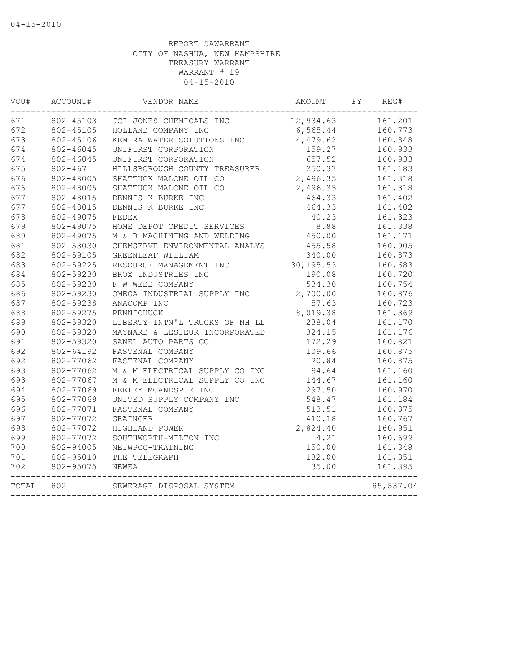| VOU#  | ACCOUNT#    | VENDOR NAME                    | AMOUNT     | FY | REG#      |
|-------|-------------|--------------------------------|------------|----|-----------|
| 671   | 802-45103   | JCI JONES CHEMICALS INC        | 12,934.63  |    | 161,201   |
| 672   | 802-45105   | HOLLAND COMPANY INC            | 6,565.44   |    | 160,773   |
| 673   | 802-45106   | KEMIRA WATER SOLUTIONS INC     | 4,479.62   |    | 160,848   |
| 674   | 802-46045   | UNIFIRST CORPORATION           | 159.27     |    | 160,933   |
| 674   | 802-46045   | UNIFIRST CORPORATION           | 657.52     |    | 160,933   |
| 675   | $802 - 467$ | HILLSBOROUGH COUNTY TREASURER  | 250.37     |    | 161,183   |
| 676   | 802-48005   | SHATTUCK MALONE OIL CO         | 2,496.35   |    | 161,318   |
| 676   | 802-48005   | SHATTUCK MALONE OIL CO         | 2,496.35   |    | 161,318   |
| 677   | 802-48015   | DENNIS K BURKE INC             | 464.33     |    | 161,402   |
| 677   | 802-48015   | DENNIS K BURKE INC             | 464.33     |    | 161,402   |
| 678   | 802-49075   | FEDEX                          | 40.23      |    | 161,323   |
| 679   | 802-49075   | HOME DEPOT CREDIT SERVICES     | 8.88       |    | 161,338   |
| 680   | 802-49075   | M & B MACHINING AND WELDING    | 450.00     |    | 161,171   |
| 681   | 802-53030   | CHEMSERVE ENVIRONMENTAL ANALYS | 455.58     |    | 160,905   |
| 682   | 802-59105   | GREENLEAF WILLIAM              | 340.00     |    | 160,873   |
| 683   | 802-59225   | RESOURCE MANAGEMENT INC        | 30, 195.53 |    | 160,683   |
| 684   | 802-59230   | BROX INDUSTRIES INC            | 190.08     |    | 160,720   |
| 685   | 802-59230   | F W WEBB COMPANY               | 534.30     |    | 160,754   |
| 686   | 802-59230   | OMEGA INDUSTRIAL SUPPLY INC    | 2,700.00   |    | 160,876   |
| 687   | 802-59238   | ANACOMP INC                    | 57.63      |    | 160,723   |
| 688   | 802-59275   | PENNICHUCK                     | 8,019.38   |    | 161,369   |
| 689   | 802-59320   | LIBERTY INTN'L TRUCKS OF NH LL | 238.04     |    | 161,170   |
| 690   | 802-59320   | MAYNARD & LESIEUR INCORPORATED | 324.15     |    | 161,176   |
| 691   | 802-59320   | SANEL AUTO PARTS CO            | 172.29     |    | 160,821   |
| 692   | 802-64192   | FASTENAL COMPANY               | 109.66     |    | 160,875   |
| 692   | 802-77062   | FASTENAL COMPANY               | 20.84      |    | 160,875   |
| 693   | 802-77062   | M & M ELECTRICAL SUPPLY CO INC | 94.64      |    | 161,160   |
| 693   | 802-77067   | M & M ELECTRICAL SUPPLY CO INC | 144.67     |    | 161,160   |
| 694   | 802-77069   | FEELEY MCANESPIE INC           | 297.50     |    | 160,970   |
| 695   | 802-77069   | UNITED SUPPLY COMPANY INC      | 548.47     |    | 161,184   |
| 696   | 802-77071   | FASTENAL COMPANY               | 513.51     |    | 160,875   |
| 697   | 802-77072   | GRAINGER                       | 410.18     |    | 160,767   |
| 698   | 802-77072   | HIGHLAND POWER                 | 2,824.40   |    | 160,951   |
| 699   | 802-77072   | SOUTHWORTH-MILTON INC          | 4.21       |    | 160,699   |
| 700   | 802-94005   | NEIWPCC-TRAINING               | 150.00     |    | 161,348   |
| 701   | 802-95010   | THE TELEGRAPH                  | 182.00     |    | 161,351   |
| 702   | 802-95075   | NEWEA                          | 35.00      |    | 161,395   |
| TOTAL | 802         | SEWERAGE DISPOSAL SYSTEM       |            |    | 85,537.04 |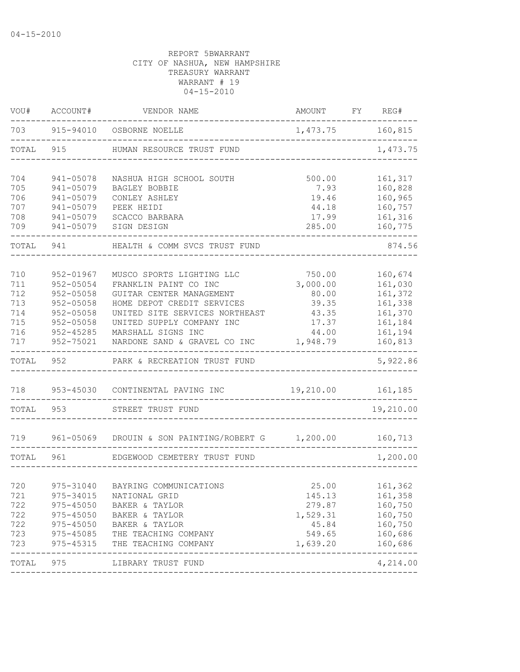| VOU#       | ACCOUNT#               | VENDOR NAME                                       | AMOUNT         | FY | REG#               |
|------------|------------------------|---------------------------------------------------|----------------|----|--------------------|
| 703        |                        | 915-94010 OSBORNE NOELLE                          | 1,473.75       |    | 160,815            |
| TOTAL      | 915                    | HUMAN RESOURCE TRUST FUND                         |                |    | 1,473.75           |
| 704        | 941-05078              | NASHUA HIGH SCHOOL SOUTH                          | 500.00         |    | 161,317            |
| 705        | 941-05079              | BAGLEY BOBBIE                                     | 7.93           |    | 160,828            |
| 706        | 941-05079              | CONLEY ASHLEY                                     | 19.46          |    | 160,965            |
| 707<br>708 | 941-05079<br>941-05079 | PEEK HEIDI<br>SCACCO BARBARA                      | 44.18<br>17.99 |    | 160,757<br>161,316 |
| 709        | 941-05079              | SIGN DESIGN                                       | 285.00         |    | 160,775            |
| TOTAL      | 941                    | HEALTH & COMM SVCS TRUST FUND                     |                |    | 874.56             |
| 710        | 952-01967              | MUSCO SPORTS LIGHTING LLC                         | 750.00         |    | 160,674            |
| 711        | 952-05054              | FRANKLIN PAINT CO INC                             | 3,000.00       |    | 161,030            |
| 712        | $952 - 05058$          | GUITAR CENTER MANAGEMENT                          | 80.00          |    | 161,372            |
| 713        | $952 - 05058$          | HOME DEPOT CREDIT SERVICES                        | 39.35          |    | 161,338            |
| 714        | $952 - 05058$          | UNITED SITE SERVICES NORTHEAST                    | 43.35          |    | 161,370            |
| 715        | 952-05058              | UNITED SUPPLY COMPANY INC                         | 17.37          |    | 161,184            |
| 716        | $952 - 45285$          | MARSHALL SIGNS INC                                | 44.00          |    | 161,194            |
| 717        | 952-75021              | NARDONE SAND & GRAVEL CO INC                      | 1,948.79       |    | 160,813            |
| TOTAL      | 952                    | PARK & RECREATION TRUST FUND                      |                |    | 5,922.86           |
| 718        | 953-45030              | CONTINENTAL PAVING INC                            | 19,210.00      |    | 161,185            |
|            |                        |                                                   |                |    |                    |
| TOTAL      | 953                    | STREET TRUST FUND                                 |                |    | 19,210.00          |
| 719        |                        | 961-05069 DROUIN & SON PAINTING/ROBERT G 1,200.00 |                |    | 160,713            |
| TOTAL      | 961                    | EDGEWOOD CEMETERY TRUST FUND                      |                |    | 1,200.00           |
|            |                        |                                                   |                |    |                    |
| 720        | 975-31040              | BAYRING COMMUNICATIONS                            | 25.00          |    | 161,362            |
| 721        | 975-34015              | NATIONAL GRID                                     | 145.13         |    | 161,358            |
| 722        | $975 - 45050$          | BAKER & TAYLOR                                    | 279.87         |    | 160,750            |
| 722        | $975 - 45050$          | BAKER & TAYLOR                                    | 1,529.31       |    | 160,750            |
| 722        | 975-45050              | BAKER & TAYLOR                                    | 45.84          |    | 160,750            |
| 723        | 975-45085              | THE TEACHING COMPANY                              | 549.65         |    | 160,686            |
| 723        | 975-45315              | THE TEACHING COMPANY                              | 1,639.20       |    | 160,686<br>-----   |
| TOTAL      | 975                    | LIBRARY TRUST FUND                                |                |    | 4,214.00           |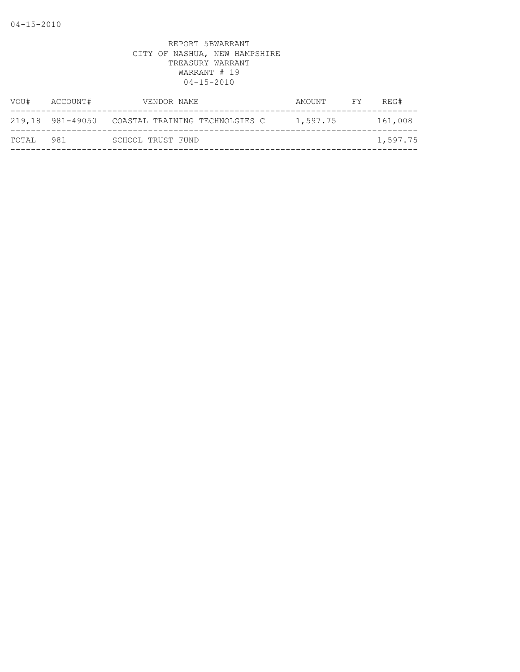| VOU#  | ACCOUNT# | VENDOR NAME                                     | AMOUNT   | FY | REG#     |
|-------|----------|-------------------------------------------------|----------|----|----------|
|       |          | 219,18 981-49050 COASTAL TRAINING TECHNOLGIES C | 1,597.75 |    | 161,008  |
| TOTAL | 981      | SCHOOL TRUST FUND                               |          |    | 1,597.75 |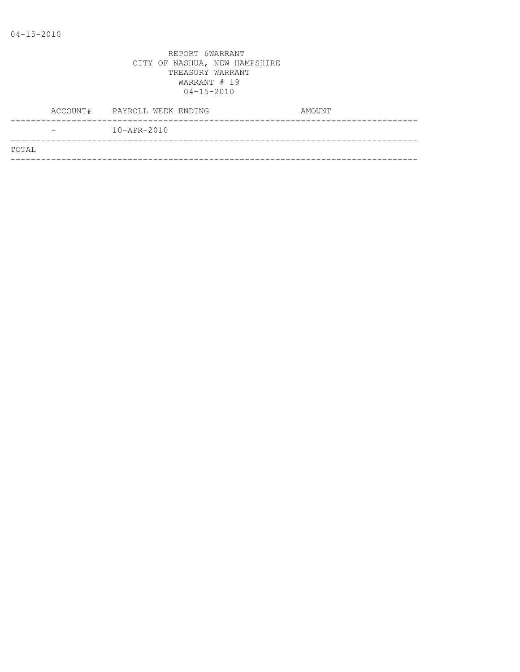|       |                          | ACCOUNT# PAYROLL WEEK ENDING | AMOUNT |
|-------|--------------------------|------------------------------|--------|
|       | $\overline{\phantom{0}}$ | $10 - APR - 2010$            |        |
| TOTAL |                          |                              |        |
|       |                          |                              |        |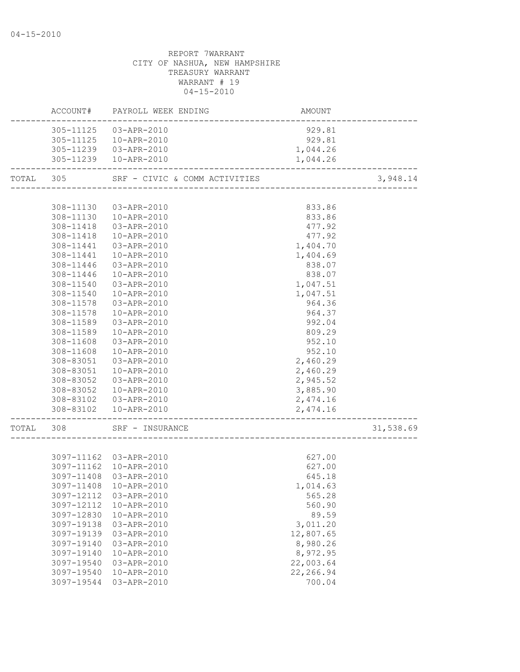|           |            | ACCOUNT# PAYROLL WEEK ENDING  | AMOUNT    |           |
|-----------|------------|-------------------------------|-----------|-----------|
|           |            | 305-11125  03-APR-2010        | 929.81    |           |
|           |            | 305-11125  10-APR-2010        | 929.81    |           |
|           |            | 305-11239  03-APR-2010        | 1,044.26  |           |
|           |            | 305-11239  10-APR-2010        | 1,044.26  |           |
| TOTAL 305 |            | SRF - CIVIC & COMM ACTIVITIES |           | 3,948.14  |
|           |            |                               |           |           |
|           | 308-11130  | 03-APR-2010                   | 833.86    |           |
|           |            | 308-11130  10-APR-2010        | 833.86    |           |
|           |            | 308-11418  03-APR-2010        | 477.92    |           |
|           | 308-11418  | 10-APR-2010                   | 477.92    |           |
|           | 308-11441  | 03-APR-2010                   | 1,404.70  |           |
|           | 308-11441  | 10-APR-2010                   | 1,404.69  |           |
|           | 308-11446  | 03-APR-2010                   | 838.07    |           |
|           | 308-11446  | 10-APR-2010                   | 838.07    |           |
|           | 308-11540  | 03-APR-2010                   | 1,047.51  |           |
|           | 308-11540  | 10-APR-2010                   | 1,047.51  |           |
|           | 308-11578  | 03-APR-2010                   | 964.36    |           |
|           | 308-11578  | 10-APR-2010                   | 964.37    |           |
|           | 308-11589  | 03-APR-2010                   | 992.04    |           |
|           | 308-11589  | 10-APR-2010                   | 809.29    |           |
|           | 308-11608  | 03-APR-2010                   | 952.10    |           |
|           | 308-11608  | 10-APR-2010                   | 952.10    |           |
|           | 308-83051  | 03-APR-2010                   | 2,460.29  |           |
|           | 308-83051  | 10-APR-2010                   | 2,460.29  |           |
|           | 308-83052  | 03-APR-2010                   | 2,945.52  |           |
|           | 308-83052  | 10-APR-2010                   | 3,885.90  |           |
|           |            | 308-83102  03-APR-2010        | 2,474.16  |           |
|           |            | 308-83102  10-APR-2010        | 2,474.16  |           |
| TOTAL     | 308        | SRF - INSURANCE               |           | 31,538.69 |
|           |            |                               |           |           |
|           |            | 3097-11162 03-APR-2010        | 627.00    |           |
|           |            | 3097-11162  10-APR-2010       | 627.00    |           |
|           |            | 3097-11408 03-APR-2010        | 645.18    |           |
|           | 3097-11408 | 10-APR-2010                   | 1,014.63  |           |
|           | 3097-12112 | 03-APR-2010                   | 565.28    |           |
|           | 3097-12112 | 10-APR-2010                   | 560.90    |           |
|           | 3097-12830 | 10-APR-2010                   | 89.59     |           |
|           | 3097-19138 | 03-APR-2010                   | 3,011.20  |           |
|           | 3097-19139 | 03-APR-2010                   | 12,807.65 |           |
|           | 3097-19140 | 03-APR-2010                   | 8,980.26  |           |
|           | 3097-19140 | 10-APR-2010                   | 8,972.95  |           |
|           | 3097-19540 | 03-APR-2010                   | 22,003.64 |           |
|           | 3097-19540 | 10-APR-2010                   | 22,266.94 |           |
|           | 3097-19544 | 03-APR-2010                   | 700.04    |           |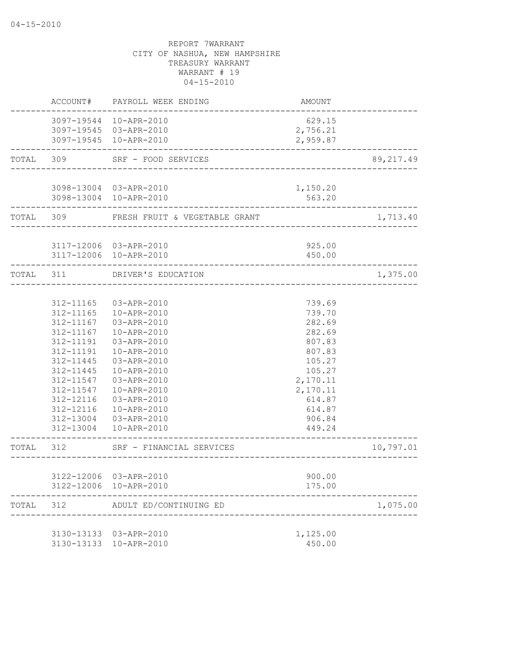|       |                                                                                                                                | ACCOUNT# PAYROLL WEEK ENDING                                                                                                                                                                                                                             | AMOUNT                                                                                                                                       |           |
|-------|--------------------------------------------------------------------------------------------------------------------------------|----------------------------------------------------------------------------------------------------------------------------------------------------------------------------------------------------------------------------------------------------------|----------------------------------------------------------------------------------------------------------------------------------------------|-----------|
|       |                                                                                                                                | 3097-19544 10-APR-2010<br>3097-19545 03-APR-2010<br>3097-19545 10-APR-2010                                                                                                                                                                               | 629.15<br>2,756.21<br>2,959.87                                                                                                               |           |
|       |                                                                                                                                | TOTAL 309 SRF - FOOD SERVICES                                                                                                                                                                                                                            |                                                                                                                                              | 89,217.49 |
|       |                                                                                                                                | 3098-13004 03-APR-2010<br>3098-13004 10-APR-2010                                                                                                                                                                                                         | 1,150.20<br>563.20<br>. _ _ _ _ _ _ _ _ _ _ _ _ _ _                                                                                          |           |
|       |                                                                                                                                | TOTAL 309 FRESH FRUIT & VEGETABLE GRANT                                                                                                                                                                                                                  |                                                                                                                                              | 1,713.40  |
|       |                                                                                                                                | 3117-12006 03-APR-2010<br>3117-12006 10-APR-2010                                                                                                                                                                                                         | 925.00<br>450.00                                                                                                                             |           |
|       |                                                                                                                                | TOTAL 311 DRIVER'S EDUCATION                                                                                                                                                                                                                             | --------------------------------------                                                                                                       | 1,375.00  |
|       | 312-11167<br>312-11167<br>312-11191<br>312-11191<br>312-11445<br>312-11445<br>312-11547<br>312-11547<br>312-12116<br>312-12116 | 312-11165 03-APR-2010<br>312-11165  10-APR-2010<br>03-APR-2010<br>10-APR-2010<br>03-APR-2010<br>10-APR-2010<br>03-APR-2010<br>10-APR-2010<br>03-APR-2010<br>10-APR-2010<br>03-APR-2010<br>10-APR-2010<br>312-13004 03-APR-2010<br>312-13004  10-APR-2010 | 739.69<br>739.70<br>282.69<br>282.69<br>807.83<br>807.83<br>105.27<br>105.27<br>2,170.11<br>2,170.11<br>614.87<br>614.87<br>906.84<br>449.24 |           |
|       | TOTAL 312                                                                                                                      | SRF - FINANCIAL SERVICES                                                                                                                                                                                                                                 |                                                                                                                                              | 10,797.01 |
|       | 3122-12006                                                                                                                     | 3122-12006 03-APR-2010<br>10-APR-2010                                                                                                                                                                                                                    | 900.00<br>175.00                                                                                                                             |           |
| TOTAL | 312                                                                                                                            | ADULT ED/CONTINUING ED                                                                                                                                                                                                                                   |                                                                                                                                              | 1,075.00  |
|       | 3130-13133                                                                                                                     | 3130-13133 03-APR-2010<br>10-APR-2010                                                                                                                                                                                                                    | 1,125.00<br>450.00                                                                                                                           |           |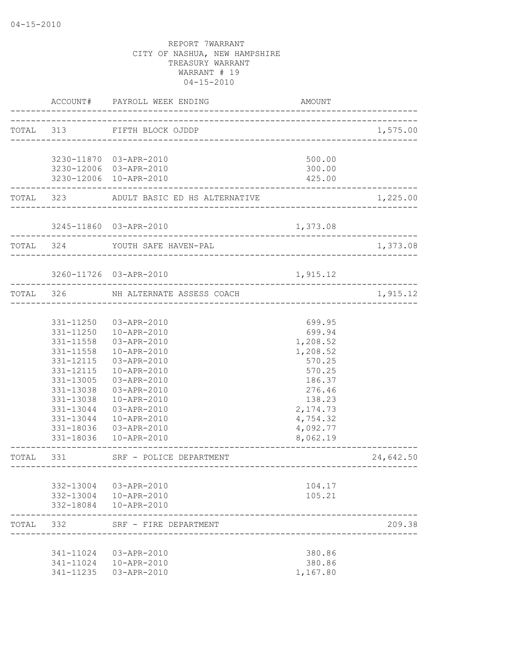|           | ACCOUNT#               | PAYROLL WEEK ENDING                                     | <b>AMOUNT</b>        |           |
|-----------|------------------------|---------------------------------------------------------|----------------------|-----------|
|           |                        | TOTAL 313 FIFTH BLOCK OJDDP                             |                      | 1,575.00  |
|           |                        |                                                         |                      |           |
|           |                        | 3230-11870 03-APR-2010                                  | 500.00               |           |
|           |                        | 3230-12006 03-APR-2010                                  | 300.00               |           |
|           |                        | 3230-12006 10-APR-2010                                  | 425.00               |           |
|           |                        | TOTAL 323 ADULT BASIC ED HS ALTERNATIVE                 |                      | 1,225.00  |
|           |                        | 3245-11860 03-APR-2010                                  | 1,373.08             |           |
|           |                        | TOTAL 324 YOUTH SAFE HAVEN-PAL                          |                      | 1,373.08  |
|           |                        | 3260-11726 03-APR-2010                                  | 1,915.12             |           |
|           |                        |                                                         |                      |           |
| TOTAL 326 |                        | NH ALTERNATE ASSESS COACH<br>__________________________ |                      | 1,915.12  |
|           |                        |                                                         |                      |           |
|           | 331-11250              | 03-APR-2010                                             | 699.95               |           |
|           | 331-11250              | 10-APR-2010                                             | 699.94               |           |
|           | 331-11558              | 03-APR-2010                                             | 1,208.52             |           |
|           | 331-11558              | 10-APR-2010                                             | 1,208.52             |           |
|           | 331-12115              | 03-APR-2010                                             | 570.25               |           |
|           | 331-12115              | 10-APR-2010                                             | 570.25               |           |
|           | 331-13005              | 03-APR-2010                                             | 186.37               |           |
|           | 331-13038              | 03-APR-2010                                             | 276.46               |           |
|           | 331-13038              | 10-APR-2010                                             | 138.23               |           |
|           | 331-13044              | 03-APR-2010                                             | 2,174.73             |           |
|           | 331-13044              | 10-APR-2010                                             | 4,754.32             |           |
|           | 331-18036<br>331-18036 | 03-APR-2010<br>10-APR-2010                              | 4,092.77<br>8,062.19 |           |
| TOTAL     | 331                    | SRF - POLICE DEPARTMENT                                 |                      | 24,642.50 |
|           |                        | ________________                                        |                      |           |
|           | 332-13004              | 03-APR-2010                                             | 104.17               |           |
|           |                        | 332-13004  10-APR-2010                                  | 105.21               |           |
|           |                        | 332-18084  10-APR-2010                                  |                      |           |
| TOTAL     | - 332                  | SRF - FIRE DEPARTMENT                                   |                      | 209.38    |
|           |                        |                                                         |                      |           |
|           | 341-11024              | 03-APR-2010                                             | 380.86               |           |
|           | 341-11024              | 10-APR-2010                                             | 380.86               |           |
|           | 341-11235              | 03-APR-2010                                             | 1,167.80             |           |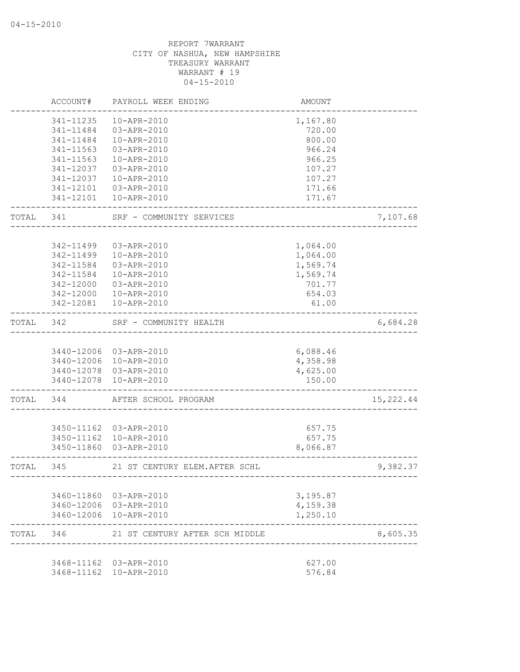|       | ACCOUNT#               | PAYROLL WEEK ENDING            | AMOUNT          |            |
|-------|------------------------|--------------------------------|-----------------|------------|
|       | 341-11235              | 10-APR-2010                    | 1,167.80        |            |
|       | 341-11484              | 03-APR-2010                    | 720.00          |            |
|       | 341-11484              | 10-APR-2010                    | 800.00          |            |
|       | 341-11563              | 03-APR-2010                    | 966.24          |            |
|       | 341-11563              | 10-APR-2010                    | 966.25          |            |
|       | 341-12037              | 03-APR-2010                    | 107.27          |            |
|       | 341-12037              | 10-APR-2010                    | 107.27          |            |
|       | 341-12101              | 03-APR-2010                    | 171.66          |            |
|       |                        | 341-12101  10-APR-2010         | 171.67          |            |
| TOTAL | 341                    | SRF - COMMUNITY SERVICES       |                 | 7,107.68   |
|       |                        |                                |                 |            |
|       | 342-11499              | 03-APR-2010                    | 1,064.00        |            |
|       | 342-11499<br>342-11584 | 10-APR-2010                    | 1,064.00        |            |
|       |                        | 03-APR-2010<br>10-APR-2010     | 1,569.74        |            |
|       | 342-11584              |                                | 1,569.74        |            |
|       | 342-12000              | 03-APR-2010<br>10-APR-2010     | 701.77          |            |
|       | 342-12000<br>342-12081 | 10-APR-2010                    | 654.03<br>61.00 |            |
|       |                        |                                |                 |            |
| TOTAL | 342                    | SRF - COMMUNITY HEALTH         |                 | 6,684.28   |
|       |                        | 3440-12006 03-APR-2010         | 6,088.46        |            |
|       |                        | 3440-12006 10-APR-2010         | 4,358.98        |            |
|       |                        | 3440-12078 03-APR-2010         | 4,625.00        |            |
|       | 3440-12078             | 10-APR-2010                    | 150.00          |            |
| TOTAL | 344                    | AFTER SCHOOL PROGRAM           |                 | 15, 222.44 |
|       |                        |                                |                 |            |
|       |                        | 3450-11162 03-APR-2010         | 657.75          |            |
|       | 3450-11162             | 10-APR-2010                    | 657.75          |            |
|       | 3450-11860             | 03-APR-2010                    | 8,066.87        |            |
| TOTAL | 345                    | 21 ST CENTURY ELEM.AFTER SCHL  |                 | 9,382.37   |
|       |                        | 3460-11860 03-APR-2010         | 3,195.87        |            |
|       |                        | 3460-12006 03-APR-2010         | 4,159.38        |            |
|       |                        | 3460-12006 10-APR-2010         | 1,250.10        |            |
| TOTAL | 346                    | 21 ST CENTURY AFTER SCH MIDDLE |                 | 8,605.35   |
|       |                        | 3468-11162 03-APR-2010         | 627.00          |            |
|       |                        | 3468-11162  10-APR-2010        | 576.84          |            |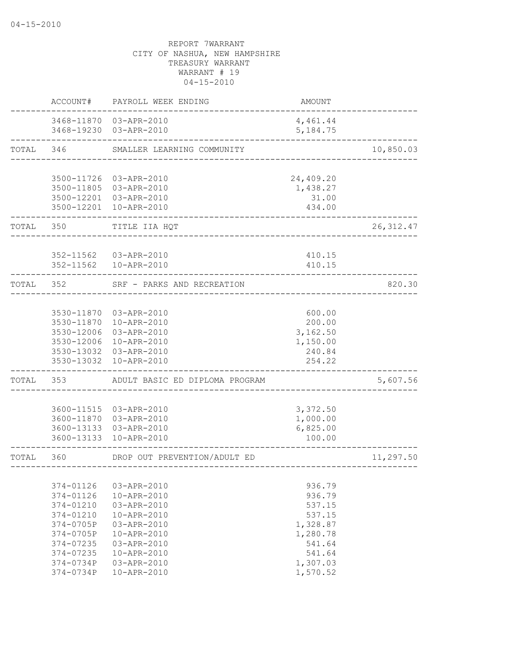|       | ACCOUNT#   | PAYROLL WEEK ENDING                              | <b>AMOUNT</b>          |            |
|-------|------------|--------------------------------------------------|------------------------|------------|
|       |            | 3468-11870 03-APR-2010<br>3468-19230 03-APR-2010 | 4,461.44<br>5, 184. 75 |            |
| TOTAL | 346        | SMALLER LEARNING COMMUNITY                       |                        | 10,850.03  |
|       |            | 3500-11726 03-APR-2010                           | 24,409.20              |            |
|       |            | 3500-11805 03-APR-2010                           | 1,438.27               |            |
|       |            | 3500-12201 03-APR-2010                           | 31.00                  |            |
|       |            | 3500-12201 10-APR-2010                           | 434.00                 |            |
| TOTAL | 350        | TITLE IIA HQT                                    |                        | 26, 312.47 |
|       |            | 352-11562 03-APR-2010                            | 410.15                 |            |
|       |            | 352-11562    10-APR-2010                         | 410.15                 |            |
| TOTAL | 352        | SRF - PARKS AND RECREATION                       |                        | 820.30     |
|       |            |                                                  |                        |            |
|       |            | 3530-11870 03-APR-2010                           | 600.00                 |            |
|       |            | 3530-11870 10-APR-2010                           | 200.00<br>3,162.50     |            |
|       |            | 3530-12006 03-APR-2010<br>3530-12006 10-APR-2010 | 1,150.00               |            |
|       |            | 3530-13032 03-APR-2010                           | 240.84                 |            |
|       | 3530-13032 | 10-APR-2010                                      | 254.22                 |            |
| TOTAL | 353        | ADULT BASIC ED DIPLOMA PROGRAM                   |                        | 5,607.56   |
|       |            |                                                  |                        |            |
|       |            | 3600-11515 03-APR-2010                           | 3,372.50               |            |
|       |            | 3600-11870 03-APR-2010<br>3600-13133 03-APR-2010 | 1,000.00<br>6,825.00   |            |
|       | 3600-13133 | 10-APR-2010                                      | 100.00                 |            |
| TOTAL | 360        | DROP OUT PREVENTION/ADULT ED                     |                        | 11,297.50  |
|       |            |                                                  |                        |            |
|       | 374-01126  | 03-APR-2010                                      | 936.79                 |            |
|       | 374-01126  | 10-APR-2010                                      | 936.79                 |            |
|       | 374-01210  | 03-APR-2010                                      | 537.15                 |            |
|       | 374-01210  | 10-APR-2010                                      | 537.15                 |            |
|       | 374-0705P  | 03-APR-2010                                      | 1,328.87               |            |
|       | 374-0705P  | 10-APR-2010                                      | 1,280.78               |            |
|       | 374-07235  | 03-APR-2010                                      | 541.64                 |            |
|       | 374-07235  | 10-APR-2010                                      | 541.64                 |            |
|       | 374-0734P  | 03-APR-2010                                      | 1,307.03               |            |
|       | 374-0734P  | 10-APR-2010                                      | 1,570.52               |            |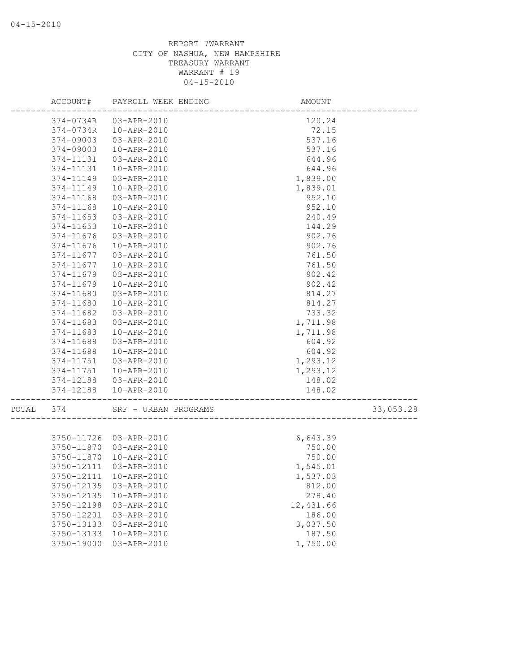|       |            | ACCOUNT# PAYROLL WEEK ENDING | AMOUNT    |           |
|-------|------------|------------------------------|-----------|-----------|
|       |            | 374-0734R 03-APR-2010        | 120.24    |           |
|       | 374-0734R  | 10-APR-2010                  | 72.15     |           |
|       | 374-09003  | 03-APR-2010                  | 537.16    |           |
|       | 374-09003  | 10-APR-2010                  | 537.16    |           |
|       | 374-11131  | 03-APR-2010                  | 644.96    |           |
|       | 374-11131  | 10-APR-2010                  | 644.96    |           |
|       | 374-11149  | 03-APR-2010                  | 1,839.00  |           |
|       | 374-11149  | 10-APR-2010                  | 1,839.01  |           |
|       | 374-11168  | 03-APR-2010                  | 952.10    |           |
|       | 374-11168  | 10-APR-2010                  | 952.10    |           |
|       | 374-11653  | 03-APR-2010                  | 240.49    |           |
|       | 374-11653  | 10-APR-2010                  | 144.29    |           |
|       | 374-11676  | 03-APR-2010                  | 902.76    |           |
|       | 374-11676  | 10-APR-2010                  | 902.76    |           |
|       | 374-11677  | 03-APR-2010                  | 761.50    |           |
|       | 374-11677  | 10-APR-2010                  | 761.50    |           |
|       | 374-11679  | 03-APR-2010                  | 902.42    |           |
|       | 374-11679  | 10-APR-2010                  | 902.42    |           |
|       | 374-11680  | 03-APR-2010                  | 814.27    |           |
|       | 374-11680  | 10-APR-2010                  | 814.27    |           |
|       | 374-11682  | 03-APR-2010                  | 733.32    |           |
|       | 374-11683  | 03-APR-2010                  | 1,711.98  |           |
|       | 374-11683  | 10-APR-2010                  | 1,711.98  |           |
|       | 374-11688  | 03-APR-2010                  | 604.92    |           |
|       | 374-11688  | 10-APR-2010                  | 604.92    |           |
|       | 374-11751  | 03-APR-2010                  | 1,293.12  |           |
|       | 374-11751  | 10-APR-2010                  | 1,293.12  |           |
|       | 374-12188  | 03-APR-2010                  | 148.02    |           |
|       | 374-12188  | 10-APR-2010                  | 148.02    |           |
|       |            |                              |           |           |
| TOTAL | 374        | SRF - URBAN PROGRAMS         |           | 33,053.28 |
|       |            |                              |           |           |
|       |            | 3750-11726 03-APR-2010       | 6,643.39  |           |
|       | 3750-11870 | 03-APR-2010                  | 750.00    |           |
|       | 3750-11870 | 10-APR-2010                  | 750.00    |           |
|       | 3750-12111 | 03-APR-2010                  | 1,545.01  |           |
|       |            | 3750-12111 10-APR-2010       | 1,537.03  |           |
|       | 3750-12135 | 03-APR-2010                  | 812.00    |           |
|       | 3750-12135 | 10-APR-2010                  | 278.40    |           |
|       | 3750-12198 | 03-APR-2010                  | 12,431.66 |           |
|       | 3750-12201 | 03-APR-2010                  | 186.00    |           |
|       | 3750-13133 | 03-APR-2010                  | 3,037.50  |           |
|       | 3750-13133 | 10-APR-2010                  | 187.50    |           |
|       | 3750-19000 | 03-APR-2010                  | 1,750.00  |           |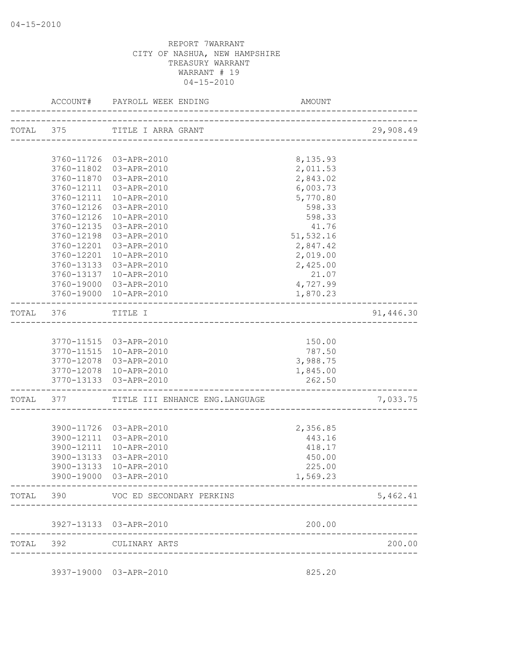|           |            | TOTAL 375 TITLE I ARRA GRANT                                |                                | 29,908.49 |
|-----------|------------|-------------------------------------------------------------|--------------------------------|-----------|
|           |            |                                                             |                                |           |
|           |            | 3760-11726 03-APR-2010                                      | 8,135.93                       |           |
|           |            | 3760-11802 03-APR-2010                                      | 2,011.53                       |           |
|           | 3760-11870 | 03-APR-2010                                                 | 2,843.02                       |           |
|           |            | 3760-12111 03-APR-2010                                      | 6,003.73                       |           |
|           |            | 3760-12111 10-APR-2010                                      | 5,770.80                       |           |
|           | 3760-12126 | 03-APR-2010                                                 | 598.33                         |           |
|           | 3760-12126 | 10-APR-2010                                                 | 598.33                         |           |
|           | 3760-12135 | 03-APR-2010                                                 | 41.76                          |           |
|           | 3760-12198 | 03-APR-2010                                                 | 51,532.16                      |           |
|           | 3760-12201 | 03-APR-2010                                                 | 2,847.42                       |           |
|           | 3760-12201 | 10-APR-2010                                                 | 2,019.00                       |           |
|           | 3760-13133 | 03-APR-2010                                                 | 2,425.00                       |           |
|           | 3760-13137 | 10-APR-2010<br>3760-19000 03-APR-2010                       | 21.07<br>4,727.99              |           |
|           |            | 3760-19000 10-APR-2010                                      | 1,870.23                       |           |
|           |            |                                                             |                                |           |
|           | TOTAL 376  | TITLE I                                                     |                                | 91,446.30 |
|           |            |                                                             |                                |           |
|           |            | 3770-11515 03-APR-2010                                      | 150.00                         |           |
|           |            | 3770-11515 10-APR-2010                                      | 787.50                         |           |
|           |            | 3770-12078 03-APR-2010                                      | 3,988.75                       |           |
|           |            | 3770-12078 10-APR-2010                                      | 1,845.00                       |           |
|           |            | 3770-13133 03-APR-2010<br>--------------------------------- | 262.50<br>____________________ |           |
|           |            | TOTAL 377 TITLE III ENHANCE ENG. LANGUAGE                   |                                | 7,033.75  |
|           |            |                                                             |                                |           |
|           |            | 3900-11726 03-APR-2010                                      | 2,356.85                       |           |
|           |            | 3900-12111 03-APR-2010                                      | 443.16                         |           |
|           |            | 3900-12111 10-APR-2010                                      | 418.17                         |           |
|           | 3900-13133 | 03-APR-2010                                                 | 450.00                         |           |
|           | 3900-13133 | 10-APR-2010                                                 | 225.00                         |           |
|           |            | 3900-19000 03-APR-2010                                      | 1,569.23                       |           |
| TOTAL 390 |            | VOC ED SECONDARY PERKINS                                    |                                | 5,462.41  |
|           |            | 3927-13133 03-APR-2010                                      | 200.00                         |           |
|           |            |                                                             |                                |           |
|           | TOTAL 392  | CULINARY ARTS                                               |                                | 200.00    |
|           |            | 3937-19000 03-APR-2010                                      | 825.20                         |           |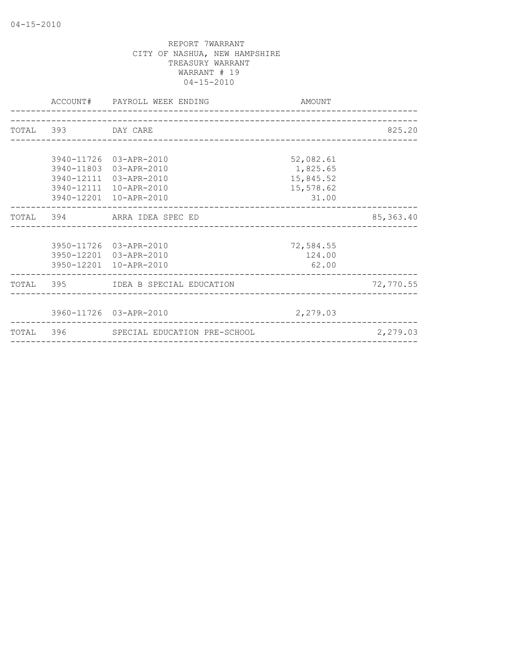| ACCOUNT#           | PAYROLL WEEK ENDING<br>_____________________ | AMOUNT    |            |
|--------------------|----------------------------------------------|-----------|------------|
|                    |                                              |           |            |
| TOTAL 393 DAY CARE |                                              |           | 825.20     |
|                    |                                              |           |            |
|                    | 3940-11726 03-APR-2010                       | 52,082.61 |            |
|                    | 3940-11803 03-APR-2010                       | 1,825.65  |            |
|                    | 3940-12111 03-APR-2010                       | 15,845.52 |            |
|                    | 3940-12111 10-APR-2010                       | 15,578.62 |            |
|                    | 3940-12201 10-APR-2010                       | 31.00     |            |
|                    | TOTAL 394 ARRA IDEA SPEC ED                  |           | 85, 363.40 |
|                    |                                              |           |            |
|                    | 3950-11726 03-APR-2010                       | 72,584.55 |            |
|                    | 3950-12201 03-APR-2010                       | 124.00    |            |
|                    | 3950-12201 10-APR-2010                       | 62.00     |            |
|                    | TOTAL 395 IDEA B SPECIAL EDUCATION           |           | 72,770.55  |
|                    |                                              |           |            |
|                    | 3960-11726 03-APR-2010                       | 2,279.03  |            |
|                    | TOTAL 396 SPECIAL EDUCATION PRE-SCHOOL       |           | 2,279.03   |
|                    |                                              |           |            |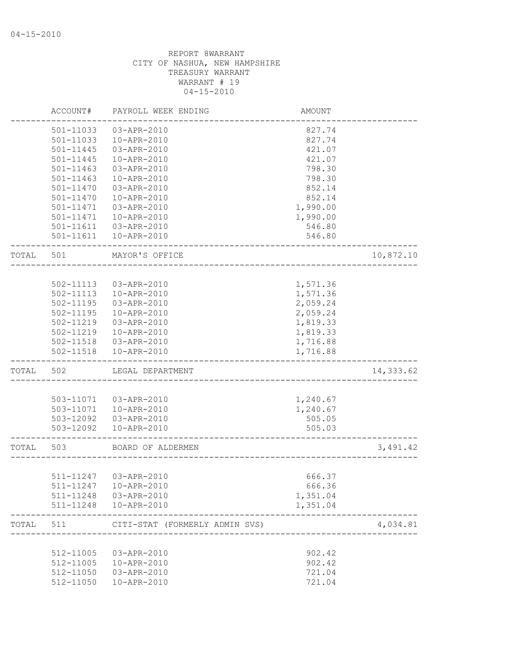|       | ACCOUNT#      | PAYROLL WEEK ENDING            | AMOUNT   |           |
|-------|---------------|--------------------------------|----------|-----------|
|       | 501-11033     | 03-APR-2010                    | 827.74   |           |
|       | 501-11033     | 10-APR-2010                    | 827.74   |           |
|       | 501-11445     | 03-APR-2010                    | 421.07   |           |
|       | 501-11445     | 10-APR-2010                    | 421.07   |           |
|       | 501-11463     | 03-APR-2010                    | 798.30   |           |
|       | $501 - 11463$ | 10-APR-2010                    | 798.30   |           |
|       | 501-11470     | 03-APR-2010                    | 852.14   |           |
|       | 501-11470     | 10-APR-2010                    | 852.14   |           |
|       | 501-11471     | 03-APR-2010                    | 1,990.00 |           |
|       | 501-11471     | 10-APR-2010                    | 1,990.00 |           |
|       | 501-11611     | 03-APR-2010                    | 546.80   |           |
|       | 501-11611     | 10-APR-2010                    | 546.80   |           |
| TOTAL | 501           | MAYOR'S OFFICE                 |          | 10,872.10 |
|       |               |                                |          |           |
|       | 502-11113     | 03-APR-2010                    | 1,571.36 |           |
|       | 502-11113     | 10-APR-2010                    | 1,571.36 |           |
|       | 502-11195     | $03 - APR - 2010$              | 2,059.24 |           |
|       | 502-11195     | 10-APR-2010                    | 2,059.24 |           |
|       | 502-11219     | 03-APR-2010                    | 1,819.33 |           |
|       | 502-11219     | 10-APR-2010                    | 1,819.33 |           |
|       | 502-11518     | 03-APR-2010                    | 1,716.88 |           |
|       | 502-11518     | 10-APR-2010                    | 1,716.88 |           |
| TOTAL | 502           | LEGAL DEPARTMENT               |          | 14,333.62 |
|       |               |                                |          |           |
|       | 503-11071     | 03-APR-2010                    | 1,240.67 |           |
|       | 503-11071     | 10-APR-2010                    | 1,240.67 |           |
|       | 503-12092     | 03-APR-2010                    | 505.05   |           |
|       | 503-12092     | 10-APR-2010                    | 505.03   |           |
| TOTAL | 503           | BOARD OF ALDERMEN              |          | 3,491.42  |
|       |               |                                |          |           |
|       | 511-11247     | 03-APR-2010                    | 666.37   |           |
|       |               | 511-11247  10-APR-2010         | 666.36   |           |
|       | 511-11248     | 03-APR-2010                    | 1,351.04 |           |
|       | $511 - 11248$ | 10-APR-2010                    | 1,351.04 |           |
| TOTAL | 511           | CITI-STAT (FORMERLY ADMIN SVS) |          | 4,034.81  |
|       |               |                                |          |           |
|       | 512-11005     | 03-APR-2010                    | 902.42   |           |
|       | 512-11005     | 10-APR-2010                    | 902.42   |           |
|       | 512-11050     | 03-APR-2010                    | 721.04   |           |
|       | 512-11050     | 10-APR-2010                    | 721.04   |           |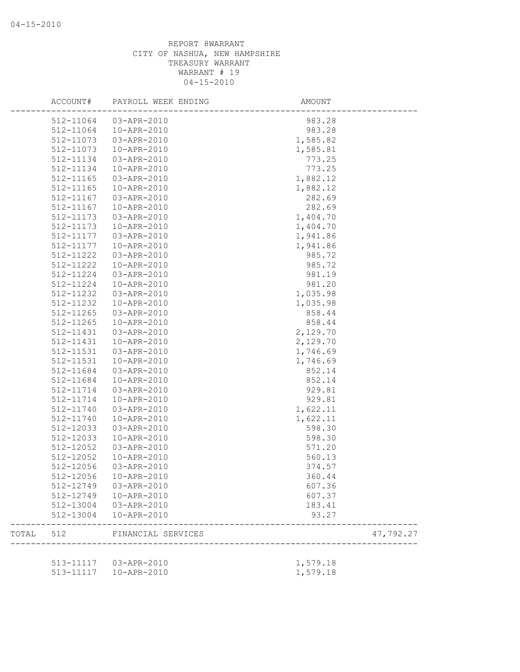|       | ACCOUNT#  | PAYROLL WEEK ENDING    | AMOUNT                |           |
|-------|-----------|------------------------|-----------------------|-----------|
|       | 512-11064 | 03-APR-2010            | 983.28                |           |
|       | 512-11064 | 10-APR-2010            | 983.28                |           |
|       | 512-11073 | 03-APR-2010            | 1,585.82              |           |
|       | 512-11073 | 10-APR-2010            | 1,585.81              |           |
|       | 512-11134 | 03-APR-2010            | 773.25                |           |
|       | 512-11134 | 10-APR-2010            | 773.25                |           |
|       | 512-11165 | 03-APR-2010            | 1,882.12              |           |
|       | 512-11165 | 10-APR-2010            | 1,882.12              |           |
|       | 512-11167 | 03-APR-2010            | 282.69                |           |
|       | 512-11167 | 10-APR-2010            | 282.69                |           |
|       | 512-11173 | 03-APR-2010            | 1,404.70              |           |
|       | 512-11173 | 10-APR-2010            | 1,404.70              |           |
|       | 512-11177 | 03-APR-2010            | 1,941.86              |           |
|       | 512-11177 | 10-APR-2010            | 1,941.86              |           |
|       | 512-11222 | 03-APR-2010            | 985.72                |           |
|       | 512-11222 | 10-APR-2010            | 985.72                |           |
|       | 512-11224 | 03-APR-2010            | 981.19                |           |
|       | 512-11224 | 10-APR-2010            | 981.20                |           |
|       | 512-11232 | 03-APR-2010            | 1,035.98              |           |
|       | 512-11232 | 10-APR-2010            | 1,035.98              |           |
|       | 512-11265 | 03-APR-2010            | 858.44                |           |
|       | 512-11265 | 10-APR-2010            | 858.44                |           |
|       | 512-11431 | 03-APR-2010            | 2,129.70              |           |
|       | 512-11431 | 10-APR-2010            | 2,129.70              |           |
|       | 512-11531 | 03-APR-2010            | 1,746.69              |           |
|       | 512-11531 | 10-APR-2010            | 1,746.69              |           |
|       | 512-11684 | 03-APR-2010            | 852.14                |           |
|       | 512-11684 | 10-APR-2010            | 852.14                |           |
|       | 512-11714 | 03-APR-2010            | 929.81                |           |
|       | 512-11714 | 10-APR-2010            | 929.81                |           |
|       | 512-11740 | 03-APR-2010            | 1,622.11              |           |
|       | 512-11740 | 10-APR-2010            | 1,622.11              |           |
|       | 512-12033 | 03-APR-2010            | 598.30                |           |
|       | 512-12033 | 10-APR-2010            | 598.30                |           |
|       | 512-12052 | 03-APR-2010            | 571.20                |           |
|       | 512-12052 | 10-APR-2010            |                       |           |
|       | 512-12056 |                        | 560.13                |           |
|       | 512-12056 | 03-APR-2010            | 374.57                |           |
|       |           | 10-APR-2010            | 360.44                |           |
|       | 512-12749 | 03-APR-2010            | 607.36                |           |
|       | 512-12749 | 10-APR-2010            | 607.37                |           |
|       | 512-13004 | 03-APR-2010            | 183.41                |           |
|       | 512-13004 | 10-APR-2010            | 93.27                 |           |
| TOTAL | 512       | FINANCIAL SERVICES     | --------------------- | 47,792.27 |
|       |           | 513-11117  03-APR-2010 | 1,579.18              |           |
|       |           | 513-11117  10-APR-2010 | 1,579.18              |           |
|       |           |                        |                       |           |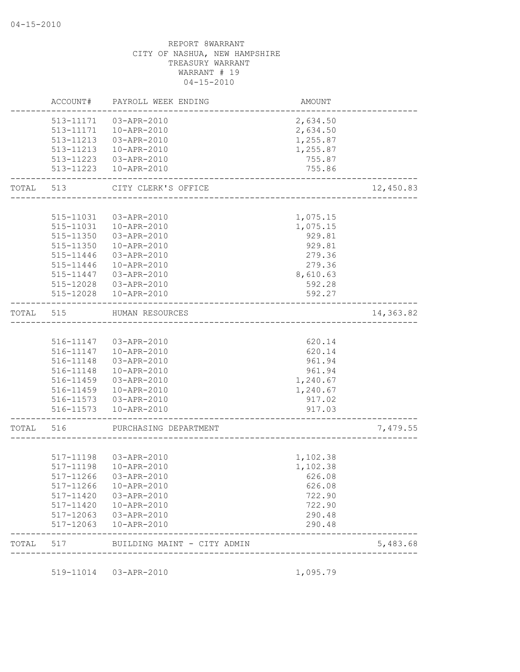|       | ACCOUNT#  | PAYROLL WEEK ENDING                                   | AMOUNT                                |           |
|-------|-----------|-------------------------------------------------------|---------------------------------------|-----------|
|       | 513-11171 | 03-APR-2010                                           | 2,634.50                              |           |
|       | 513-11171 | 10-APR-2010                                           | 2,634.50                              |           |
|       |           | 513-11213  03-APR-2010                                | 1,255.87                              |           |
|       |           | 513-11213  10-APR-2010                                | 1,255.87                              |           |
|       |           | 513-11223  03-APR-2010                                | 755.87                                |           |
|       |           | 513-11223  10-APR-2010                                | 755.86                                |           |
| TOTAL | 513       | CITY CLERK'S OFFICE<br>_<br>_________________________ |                                       | 12,450.83 |
|       |           |                                                       |                                       |           |
|       | 515-11031 | 03-APR-2010                                           | 1,075.15                              |           |
|       |           | 515-11031  10-APR-2010                                | 1,075.15                              |           |
|       |           | 515-11350 03-APR-2010                                 | 929.81                                |           |
|       |           | 515-11350  10-APR-2010                                | 929.81                                |           |
|       | 515-11446 | 03-APR-2010                                           | 279.36                                |           |
|       | 515-11446 | 10-APR-2010                                           | 279.36                                |           |
|       | 515-11447 | 03-APR-2010                                           | 8,610.63                              |           |
|       | 515-12028 | 03-APR-2010                                           | 592.28                                |           |
|       |           | 515-12028  10-APR-2010                                | 592.27                                |           |
| TOTAL | 515       | HUMAN RESOURCES                                       | _____________________________________ | 14,363.82 |
|       |           |                                                       |                                       |           |
|       |           | 516-11147  03-APR-2010                                | 620.14                                |           |
|       |           | 516-11147  10-APR-2010                                | 620.14                                |           |
|       | 516-11148 | 03-APR-2010                                           | 961.94                                |           |
|       | 516-11148 | 10-APR-2010                                           | 961.94                                |           |
|       | 516-11459 | 03-APR-2010                                           | 1,240.67                              |           |
|       | 516-11459 | 10-APR-2010                                           | 1,240.67                              |           |
|       |           | 516-11573  03-APR-2010                                | 917.02                                |           |
|       |           | 516-11573  10-APR-2010                                | 917.03                                |           |
| TOTAL | 516       | PURCHASING DEPARTMENT                                 |                                       | 7,479.55  |
|       |           |                                                       |                                       |           |
|       |           | 517-11198  03-APR-2010                                | 1,102.38                              |           |
|       | 517-11198 | 10-APR-2010                                           | 1,102.38                              |           |
|       |           | 517-11266 03-APR-2010                                 | 626.08                                |           |
|       |           | 517-11266  10-APR-2010                                | 626.08                                |           |
|       |           | 517-11420  03-APR-2010                                | 722.90                                |           |
|       |           | 517-11420  10-APR-2010                                | 722.90                                |           |
|       |           | 517-12063 03-APR-2010                                 | 290.48                                |           |
|       |           | 517-12063  10-APR-2010                                | 290.48                                |           |
|       |           |                                                       |                                       |           |

519-11014 03-APR-2010 1,095.79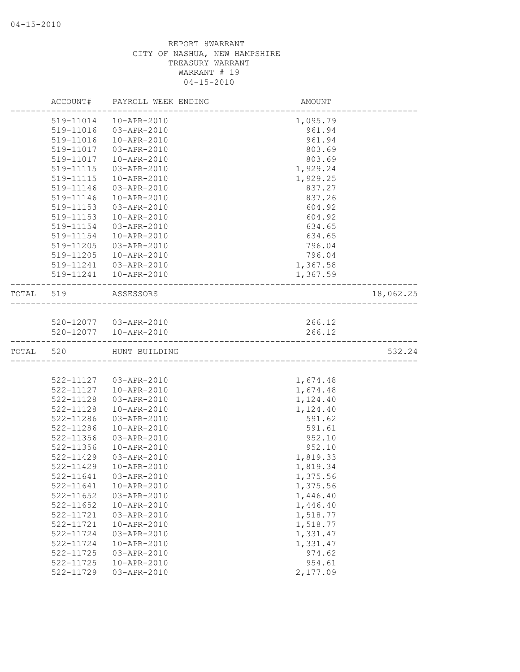|           | ACCOUNT#      | PAYROLL WEEK ENDING    | AMOUNT                                |           |
|-----------|---------------|------------------------|---------------------------------------|-----------|
|           | 519-11014     | 10-APR-2010            | 1,095.79                              |           |
|           | 519-11016     | 03-APR-2010            | 961.94                                |           |
|           | 519-11016     | 10-APR-2010            | 961.94                                |           |
|           | 519-11017     | 03-APR-2010            | 803.69                                |           |
|           | 519-11017     | 10-APR-2010            | 803.69                                |           |
|           | 519-11115     | 03-APR-2010            | 1,929.24                              |           |
|           | 519-11115     | 10-APR-2010            | 1,929.25                              |           |
|           | 519-11146     | 03-APR-2010            | 837.27                                |           |
|           | 519-11146     | 10-APR-2010            | 837.26                                |           |
|           | 519-11153     | 03-APR-2010            | 604.92                                |           |
|           | 519-11153     | 10-APR-2010            | 604.92                                |           |
|           | 519-11154     | 03-APR-2010            | 634.65                                |           |
|           | 519-11154     | 10-APR-2010            | 634.65                                |           |
|           | 519-11205     | 03-APR-2010            | 796.04                                |           |
|           | 519-11205     | 10-APR-2010            | 796.04                                |           |
|           | 519-11241     | 03-APR-2010            | 1,367.58                              |           |
|           |               | 519-11241  10-APR-2010 | 1,367.59                              |           |
| TOTAL 519 |               | ASSESSORS              | ---------------------------------     | 18,062.25 |
|           |               |                        |                                       |           |
|           |               | 520-12077  03-APR-2010 | 266.12                                |           |
|           |               | 520-12077  10-APR-2010 | 266.12<br>___________________________ |           |
| TOTAL     | 520           | HUNT BUILDING          |                                       | 532.24    |
|           |               |                        |                                       |           |
|           |               | 522-11127  03-APR-2010 | 1,674.48                              |           |
|           | 522-11127     | 10-APR-2010            | 1,674.48                              |           |
|           | 522-11128     | 03-APR-2010            | 1,124.40                              |           |
|           | 522-11128     | 10-APR-2010            | 1,124.40                              |           |
|           | 522-11286     | 03-APR-2010            | 591.62                                |           |
|           | 522-11286     | 10-APR-2010            | 591.61                                |           |
|           | $522 - 11356$ | 03-APR-2010            | 952.10                                |           |
|           | $522 - 11356$ | 10-APR-2010            | 952.10                                |           |
|           | 522-11429     | 03-APR-2010            | 1,819.33                              |           |
|           | 522-11429     | 10-APR-2010            | 1,819.34                              |           |
|           | 522-11641     | 03-APR-2010            | 1,375.56                              |           |
|           | 522-11641     | 10-APR-2010            | 1,375.56                              |           |
|           | 522-11652     | 03-APR-2010            | 1,446.40                              |           |
|           | 522-11652     | 10-APR-2010            | 1,446.40                              |           |
|           | 522-11721     | 03-APR-2010            | 1,518.77                              |           |
|           | 522-11721     | 10-APR-2010            | 1,518.77                              |           |
|           | 522-11724     | 03-APR-2010            | 1,331.47                              |           |
|           | 522-11724     | 10-APR-2010            | 1,331.47                              |           |
|           | 522-11725     | 03-APR-2010            | 974.62                                |           |
|           | 522-11725     | 10-APR-2010            | 954.61                                |           |
|           | 522-11729     | 03-APR-2010            | 2,177.09                              |           |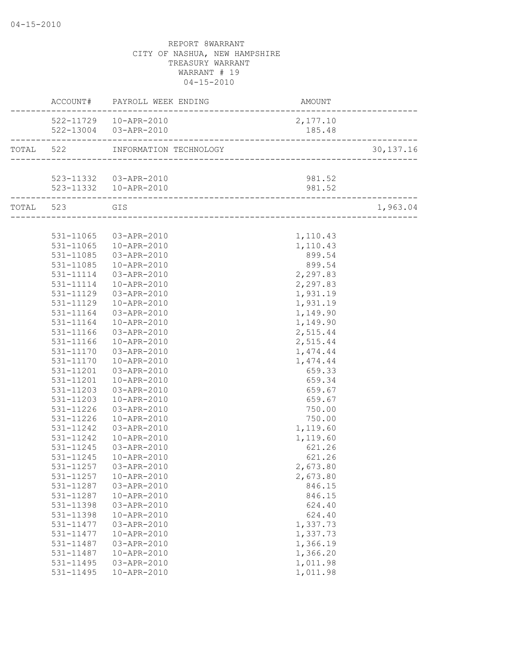|                        | ACCOUNT# PAYROLL WEEK ENDING     | <b>AMOUNT</b>                   |             |
|------------------------|----------------------------------|---------------------------------|-------------|
|                        | 522-11729  10-APR-2010           | 2,177.10                        |             |
|                        | 522-13004 03-APR-2010            | 185.48                          |             |
|                        | TOTAL 522 INFORMATION TECHNOLOGY |                                 | 30, 137. 16 |
|                        |                                  | _______________________________ |             |
|                        | 523-11332  03-APR-2010           | 981.52                          |             |
| _________________      | 523-11332  10-APR-2010           | 981.52                          |             |
| TOTAL 523 GIS          |                                  |                                 | 1,963.04    |
|                        |                                  |                                 |             |
|                        | 531-11065 03-APR-2010            | 1,110.43                        |             |
| 531-11065              | 10-APR-2010                      | 1,110.43                        |             |
| 531-11085              | 03-APR-2010                      | 899.54                          |             |
| 531-11085              | 10-APR-2010                      | 899.54                          |             |
| 531-11114              | 03-APR-2010                      | 2,297.83                        |             |
| 531-11114              | 10-APR-2010                      | 2,297.83                        |             |
| 531-11129              | 03-APR-2010                      | 1,931.19                        |             |
| 531-11129              | 10-APR-2010                      | 1,931.19                        |             |
| 531-11164              | 03-APR-2010                      | 1,149.90                        |             |
| 531-11164              | 10-APR-2010                      | 1,149.90                        |             |
| 531-11166              | 03-APR-2010                      | 2,515.44                        |             |
| 531-11166              | 10-APR-2010                      | 2,515.44                        |             |
| 531-11170              | 03-APR-2010                      | 1,474.44                        |             |
| 531-11170              | 10-APR-2010                      | 1,474.44                        |             |
| 531-11201              | 03-APR-2010                      | 659.33                          |             |
| 531-11201              | 10-APR-2010                      | 659.34                          |             |
| 531-11203              | 03-APR-2010                      | 659.67                          |             |
| 531-11203              | 10-APR-2010                      | 659.67                          |             |
| 531-11226              | 03-APR-2010                      | 750.00                          |             |
| 531-11226<br>531-11242 | 10-APR-2010<br>03-APR-2010       | 750.00                          |             |
|                        | 10-APR-2010                      | 1,119.60<br>1,119.60            |             |
| 531-11242<br>531-11245 |                                  |                                 |             |
| 531-11245              | 03-APR-2010<br>10-APR-2010       | 621.26                          |             |
| 531-11257              | 03-APR-2010                      | 621.26<br>2,673.80              |             |
|                        | 531-11257  10-APR-2010           |                                 |             |
| 531-11287              | 03-APR-2010                      | 2,673.80                        |             |
| 531-11287              | 10-APR-2010                      | 846.15<br>846.15                |             |
| 531-11398              | 03-APR-2010                      | 624.40                          |             |
| 531-11398              | 10-APR-2010                      | 624.40                          |             |
| 531-11477              | 03-APR-2010                      | 1,337.73                        |             |
| 531-11477              | 10-APR-2010                      | 1,337.73                        |             |
| 531-11487              | 03-APR-2010                      | 1,366.19                        |             |
| 531-11487              | 10-APR-2010                      | 1,366.20                        |             |
| 531-11495              | 03-APR-2010                      | 1,011.98                        |             |
| 531-11495              | 10-APR-2010                      | 1,011.98                        |             |
|                        |                                  |                                 |             |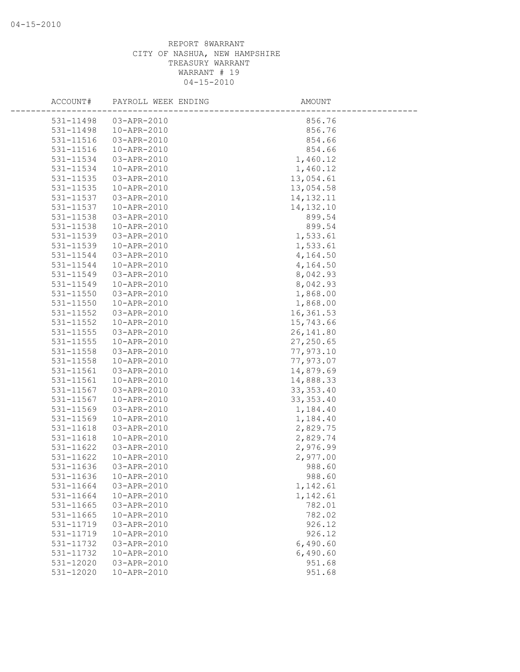| ACCOUNT#      | PAYROLL WEEK ENDING | AMOUNT      |
|---------------|---------------------|-------------|
| 531-11498     | 03-APR-2010         | 856.76      |
| 531-11498     | 10-APR-2010         | 856.76      |
| 531-11516     | 03-APR-2010         | 854.66      |
| 531-11516     | 10-APR-2010         | 854.66      |
| 531-11534     | 03-APR-2010         | 1,460.12    |
| 531-11534     | 10-APR-2010         | 1,460.12    |
| 531-11535     | 03-APR-2010         | 13,054.61   |
| 531-11535     | 10-APR-2010         | 13,054.58   |
| 531-11537     | 03-APR-2010         | 14, 132. 11 |
| 531-11537     | 10-APR-2010         | 14, 132. 10 |
| 531-11538     | 03-APR-2010         | 899.54      |
| 531-11538     | 10-APR-2010         | 899.54      |
| 531-11539     | 03-APR-2010         | 1,533.61    |
| 531-11539     | 10-APR-2010         | 1,533.61    |
| 531-11544     | 03-APR-2010         | 4,164.50    |
| 531-11544     | 10-APR-2010         | 4,164.50    |
| 531-11549     | 03-APR-2010         | 8,042.93    |
| 531-11549     | 10-APR-2010         | 8,042.93    |
| 531-11550     | 03-APR-2010         | 1,868.00    |
| 531-11550     | 10-APR-2010         | 1,868.00    |
| 531-11552     | 03-APR-2010         | 16, 361.53  |
| 531-11552     | 10-APR-2010         | 15,743.66   |
| 531-11555     | 03-APR-2010         | 26, 141.80  |
| 531-11555     | 10-APR-2010         | 27,250.65   |
| 531-11558     | 03-APR-2010         | 77,973.10   |
| $531 - 11558$ | 10-APR-2010         | 77,973.07   |
| 531-11561     | 03-APR-2010         | 14,879.69   |
| 531-11561     | 10-APR-2010         | 14,888.33   |
| 531-11567     | 03-APR-2010         | 33, 353.40  |
| 531-11567     | 10-APR-2010         | 33, 353.40  |
| 531-11569     | 03-APR-2010         | 1,184.40    |
| 531-11569     | 10-APR-2010         | 1,184.40    |
| 531-11618     | 03-APR-2010         | 2,829.75    |
| 531-11618     | 10-APR-2010         | 2,829.74    |
| $531 - 11622$ | 03-APR-2010         | 2,976.99    |
| 531-11622     | 10-APR-2010         | 2,977.00    |
| 531-11636     | 03-APR-2010         | 988.60      |
| 531-11636     | 10-APR-2010         | 988.60      |
| 531-11664     | 03-APR-2010         | 1,142.61    |
| 531-11664     | 10-APR-2010         | 1,142.61    |
| 531-11665     | 03-APR-2010         | 782.01      |
| 531-11665     | 10-APR-2010         | 782.02      |
| 531-11719     | 03-APR-2010         | 926.12      |
| 531-11719     | 10-APR-2010         | 926.12      |
| 531-11732     | 03-APR-2010         | 6,490.60    |
| 531-11732     | 10-APR-2010         | 6,490.60    |
| 531-12020     | 03-APR-2010         | 951.68      |
| 531-12020     | 10-APR-2010         | 951.68      |
|               |                     |             |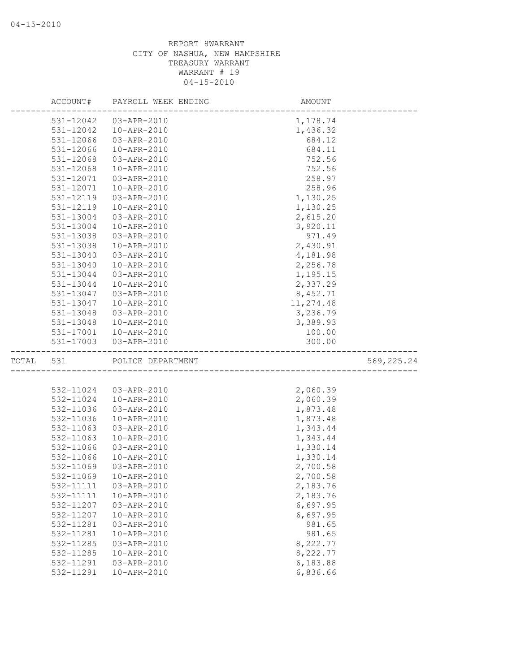|       | ACCOUNT#  | PAYROLL WEEK ENDING | AMOUNT    |             |
|-------|-----------|---------------------|-----------|-------------|
|       | 531-12042 | 03-APR-2010         | 1,178.74  |             |
|       | 531-12042 | 10-APR-2010         | 1,436.32  |             |
|       | 531-12066 | 03-APR-2010         | 684.12    |             |
|       | 531-12066 | 10-APR-2010         | 684.11    |             |
|       | 531-12068 | 03-APR-2010         | 752.56    |             |
|       | 531-12068 | 10-APR-2010         | 752.56    |             |
|       | 531-12071 | 03-APR-2010         | 258.97    |             |
|       | 531-12071 | 10-APR-2010         | 258.96    |             |
|       | 531-12119 | 03-APR-2010         | 1,130.25  |             |
|       | 531-12119 | 10-APR-2010         | 1,130.25  |             |
|       | 531-13004 | 03-APR-2010         | 2,615.20  |             |
|       | 531-13004 | 10-APR-2010         | 3,920.11  |             |
|       | 531-13038 | 03-APR-2010         | 971.49    |             |
|       | 531-13038 | 10-APR-2010         | 2,430.91  |             |
|       | 531-13040 | 03-APR-2010         | 4,181.98  |             |
|       | 531-13040 | 10-APR-2010         | 2,256.78  |             |
|       | 531-13044 | 03-APR-2010         | 1,195.15  |             |
|       | 531-13044 | 10-APR-2010         | 2,337.29  |             |
|       | 531-13047 | 03-APR-2010         | 8,452.71  |             |
|       | 531-13047 | 10-APR-2010         | 11,274.48 |             |
|       | 531-13048 | 03-APR-2010         | 3,236.79  |             |
|       | 531-13048 | 10-APR-2010         | 3,389.93  |             |
|       | 531-17001 | 10-APR-2010         | 100.00    |             |
|       | 531-17003 | 03-APR-2010         | 300.00    |             |
| TOTAL | 531       | POLICE DEPARTMENT   |           | 569, 225.24 |
|       |           |                     |           |             |
|       | 532-11024 | 03-APR-2010         | 2,060.39  |             |
|       | 532-11024 | 10-APR-2010         | 2,060.39  |             |
|       | 532-11036 | 03-APR-2010         | 1,873.48  |             |
|       | 532-11036 | 10-APR-2010         | 1,873.48  |             |
|       | 532-11063 | 03-APR-2010         | 1,343.44  |             |
|       | 532-11063 | 10-APR-2010         | 1,343.44  |             |
|       | 532-11066 | 03-APR-2010         | 1,330.14  |             |
|       | 532-11066 | 10-APR-2010         | 1,330.14  |             |
|       | 532-11069 | 03-APR-2010         | 2,700.58  |             |
|       | 532-11069 | 10-APR-2010         | 2,700.58  |             |
|       | 532-11111 | 03-APR-2010         | 2,183.76  |             |
|       | 532-11111 | 10-APR-2010         | 2,183.76  |             |
|       | 532-11207 | 03-APR-2010         | 6,697.95  |             |
|       | 532-11207 | 10-APR-2010         | 6,697.95  |             |
|       | 532-11281 | 03-APR-2010         | 981.65    |             |
|       | 532-11281 | 10-APR-2010         | 981.65    |             |
|       | 532-11285 | 03-APR-2010         | 8,222.77  |             |
|       | 532-11285 | 10-APR-2010         | 8,222.77  |             |
|       | 532-11291 | 03-APR-2010         | 6,183.88  |             |
|       |           |                     |           |             |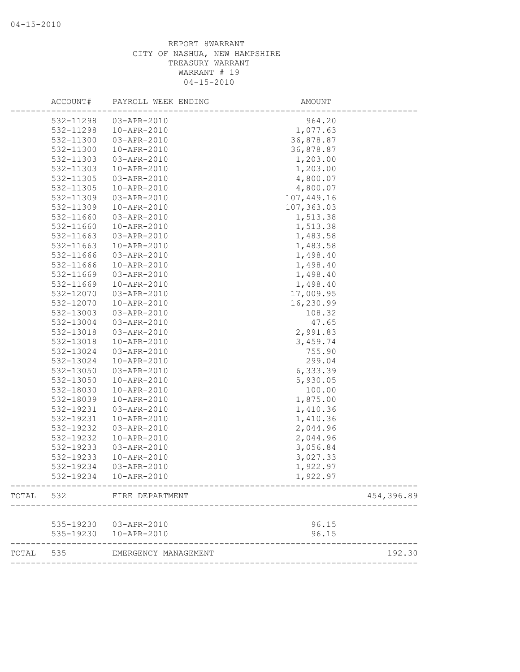|           | ACCOUNT#  | PAYROLL WEEK ENDING    | AMOUNT     |            |
|-----------|-----------|------------------------|------------|------------|
|           | 532-11298 | 03-APR-2010            | 964.20     |            |
|           | 532-11298 | 10-APR-2010            | 1,077.63   |            |
|           | 532-11300 | 03-APR-2010            | 36,878.87  |            |
|           | 532-11300 | 10-APR-2010            | 36,878.87  |            |
|           | 532-11303 | 03-APR-2010            | 1,203.00   |            |
|           | 532-11303 | 10-APR-2010            | 1,203.00   |            |
|           | 532-11305 | 03-APR-2010            | 4,800.07   |            |
|           | 532-11305 | 10-APR-2010            | 4,800.07   |            |
|           | 532-11309 | 03-APR-2010            | 107,449.16 |            |
|           | 532-11309 | 10-APR-2010            | 107,363.03 |            |
|           | 532-11660 | 03-APR-2010            | 1,513.38   |            |
|           | 532-11660 | 10-APR-2010            | 1,513.38   |            |
|           | 532-11663 | 03-APR-2010            | 1,483.58   |            |
|           | 532-11663 | 10-APR-2010            | 1,483.58   |            |
|           | 532-11666 | 03-APR-2010            | 1,498.40   |            |
|           | 532-11666 | 10-APR-2010            | 1,498.40   |            |
|           | 532-11669 | 03-APR-2010            | 1,498.40   |            |
|           | 532-11669 | 10-APR-2010            | 1,498.40   |            |
|           | 532-12070 | 03-APR-2010            | 17,009.95  |            |
|           | 532-12070 | 10-APR-2010            | 16,230.99  |            |
|           | 532-13003 | 03-APR-2010            | 108.32     |            |
|           | 532-13004 | 03-APR-2010            | 47.65      |            |
|           | 532-13018 | 03-APR-2010            | 2,991.83   |            |
|           | 532-13018 | 10-APR-2010            | 3,459.74   |            |
|           | 532-13024 | 03-APR-2010            | 755.90     |            |
|           | 532-13024 | 10-APR-2010            | 299.04     |            |
|           | 532-13050 | 03-APR-2010            | 6,333.39   |            |
|           | 532-13050 | 10-APR-2010            | 5,930.05   |            |
|           | 532-18030 | 10-APR-2010            | 100.00     |            |
|           | 532-18039 | 10-APR-2010            | 1,875.00   |            |
|           | 532-19231 | 03-APR-2010            | 1,410.36   |            |
|           | 532-19231 | 10-APR-2010            | 1,410.36   |            |
|           | 532-19232 | 03-APR-2010            | 2,044.96   |            |
|           | 532-19232 | 10-APR-2010            | 2,044.96   |            |
|           | 532-19233 | 03-APR-2010            | 3,056.84   |            |
|           | 532-19233 | 10-APR-2010            | 3,027.33   |            |
|           | 532-19234 | 03-APR-2010            | 1,922.97   |            |
|           | 532-19234 | 10-APR-2010            | 1,922.97   |            |
| TOTAL 532 |           | FIRE DEPARTMENT        |            | 454,396.89 |
|           |           | 535-19230 03-APR-2010  | 96.15      |            |
|           |           | 535-19230  10-APR-2010 | 96.15      |            |
| TOTAL 535 |           | EMERGENCY MANAGEMENT   |            | 192.30     |
|           |           |                        |            |            |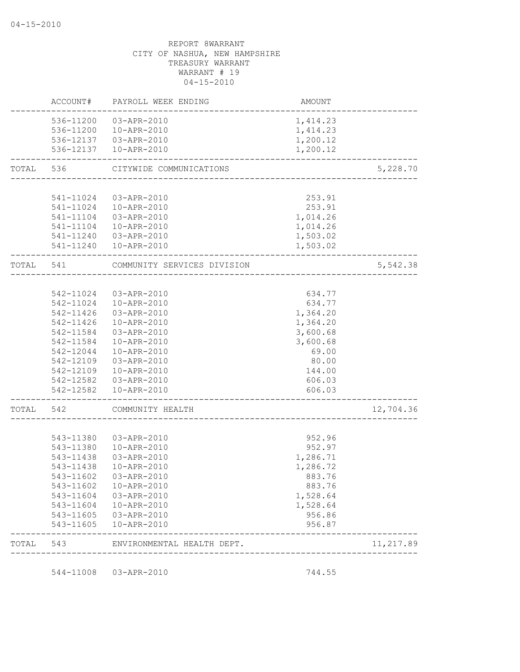|           | ACCOUNT#  | PAYROLL WEEK ENDING                             | AMOUNT               |           |
|-----------|-----------|-------------------------------------------------|----------------------|-----------|
|           |           | 536-11200 03-APR-2010                           | 1,414.23             |           |
|           |           | 536-11200  10-APR-2010                          | 1,414.23             |           |
|           |           | 536-12137  03-APR-2010                          | 1,200.12             |           |
|           |           | 536-12137  10-APR-2010                          | 1,200.12             |           |
| TOTAL     | 536       | CITYWIDE COMMUNICATIONS                         |                      | 5,228.70  |
|           |           |                                                 |                      |           |
|           | 541-11024 | 03-APR-2010                                     | 253.91               |           |
|           |           | 541-11024  10-APR-2010                          | 253.91               |           |
|           |           | 541-11104  03-APR-2010                          | 1,014.26             |           |
|           |           | 541-11104  10-APR-2010                          | 1,014.26             |           |
|           |           | 541-11240 03-APR-2010                           | 1,503.02             |           |
|           |           | 541-11240  10-APR-2010                          | 1,503.02             |           |
| TOTAL 541 |           | COMMUNITY SERVICES DIVISION                     |                      | 5,542.38  |
|           |           |                                                 |                      |           |
|           | 542-11024 | 03-APR-2010                                     | 634.77               |           |
|           |           | 542-11024  10-APR-2010                          | 634.77               |           |
|           |           | 542-11426  03-APR-2010                          | 1,364.20             |           |
|           |           | 542-11426  10-APR-2010                          | 1,364.20             |           |
|           | 542-11584 | 03-APR-2010                                     | 3,600.68             |           |
|           | 542-11584 | 10-APR-2010                                     | 3,600.68             |           |
|           | 542-12044 | 10-APR-2010                                     | 69.00                |           |
|           | 542-12109 | 03-APR-2010                                     | 80.00                |           |
|           | 542-12109 | 10-APR-2010                                     | 144.00               |           |
|           |           | 542-12582  03-APR-2010                          | 606.03               |           |
|           | 542-12582 | 10-APR-2010                                     | 606.03               |           |
| TOTAL     | 542       | COMMUNITY HEALTH                                |                      | 12,704.36 |
|           |           |                                                 |                      |           |
|           |           | 543-11380 03-APR-2010                           | 952.96               |           |
|           | 543-11380 | 10-APR-2010                                     | 952.97               |           |
|           | 543-11438 | 03-APR-2010                                     | 1,286.71             |           |
|           | 543-11438 | 10-APR-2010                                     | 1,286.72             |           |
|           |           | 543-11602  03-APR-2010                          | 883.76               |           |
|           |           | 543-11602  10-APR-2010                          | 883.76               |           |
|           |           | 543-11604 03-APR-2010                           | 1,528.64<br>1,528.64 |           |
|           |           | 543-11604  10-APR-2010<br>543-11605 03-APR-2010 | 956.86               |           |
|           | 543-11605 | 10-APR-2010                                     | 956.87               |           |
| TOTAL 543 |           | ENVIRONMENTAL HEALTH DEPT.                      |                      | 11,217.89 |

544-11008 03-APR-2010 744.55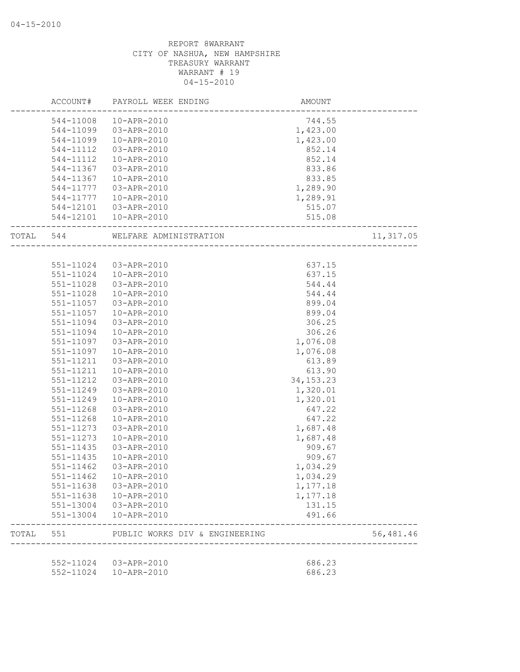|           | ACCOUNT#  | PAYROLL WEEK ENDING                             | AMOUNT           |           |
|-----------|-----------|-------------------------------------------------|------------------|-----------|
|           | 544-11008 | 10-APR-2010                                     | 744.55           |           |
|           | 544-11099 | 03-APR-2010                                     | 1,423.00         |           |
|           | 544-11099 | 10-APR-2010                                     | 1,423.00         |           |
|           | 544-11112 | 03-APR-2010                                     | 852.14           |           |
|           | 544-11112 | 10-APR-2010                                     | 852.14           |           |
|           | 544-11367 | 03-APR-2010                                     | 833.86           |           |
|           | 544-11367 | 10-APR-2010                                     | 833.85           |           |
|           | 544-11777 | 03-APR-2010                                     | 1,289.90         |           |
|           | 544-11777 | 10-APR-2010                                     | 1,289.91         |           |
|           |           | 544-12101  03-APR-2010                          | 515.07           |           |
|           |           | 544-12101  10-APR-2010                          | 515.08           |           |
| TOTAL 544 |           | ---------------------<br>WELFARE ADMINISTRATION |                  | 11,317.05 |
|           |           |                                                 |                  |           |
|           | 551-11024 | 03-APR-2010                                     | 637.15           |           |
|           | 551-11024 | 10-APR-2010                                     | 637.15           |           |
|           | 551-11028 | 03-APR-2010                                     | 544.44           |           |
|           | 551-11028 | 10-APR-2010                                     | 544.44           |           |
|           | 551-11057 | 03-APR-2010                                     | 899.04           |           |
|           | 551-11057 | 10-APR-2010                                     | 899.04           |           |
|           | 551-11094 | 03-APR-2010                                     | 306.25           |           |
|           | 551-11094 | 10-APR-2010                                     | 306.26           |           |
|           | 551-11097 | 03-APR-2010                                     | 1,076.08         |           |
|           | 551-11097 | 10-APR-2010                                     | 1,076.08         |           |
|           | 551-11211 | 03-APR-2010                                     | 613.89           |           |
|           | 551-11211 | 10-APR-2010                                     | 613.90           |           |
|           | 551-11212 | 03-APR-2010                                     | 34, 153. 23      |           |
|           | 551-11249 | 03-APR-2010                                     | 1,320.01         |           |
|           | 551-11249 | 10-APR-2010                                     | 1,320.01         |           |
|           | 551-11268 | 03-APR-2010                                     | 647.22           |           |
|           | 551-11268 | 10-APR-2010                                     | 647.22           |           |
|           | 551-11273 | 03-APR-2010                                     | 1,687.48         |           |
|           | 551-11273 | 10-APR-2010                                     | 1,687.48         |           |
|           | 551-11435 | 03-APR-2010                                     | 909.67           |           |
|           |           |                                                 |                  |           |
|           | 551-11435 | 10-APR-2010                                     | 909.67           |           |
|           | 551-11462 | 03-APR-2010                                     | 1,034.29         |           |
|           |           | 551-11462  10-APR-2010                          | 1,034.29         |           |
|           |           | 551-11638  03-APR-2010                          | 1,177.18         |           |
|           |           | 551-11638  10-APR-2010                          | 1,177.18         |           |
|           | 551-13004 | 551-13004 03-APR-2010<br>10-APR-2010            | 131.15<br>491.66 |           |
|           |           |                                                 |                  |           |
| TOTAL     | 551       | PUBLIC WORKS DIV & ENGINEERING                  |                  | 56,481.46 |
|           |           | 552-11024 03-APR-2010                           | 686.23           |           |
|           |           | 552-11024  10-APR-2010                          | 686.23           |           |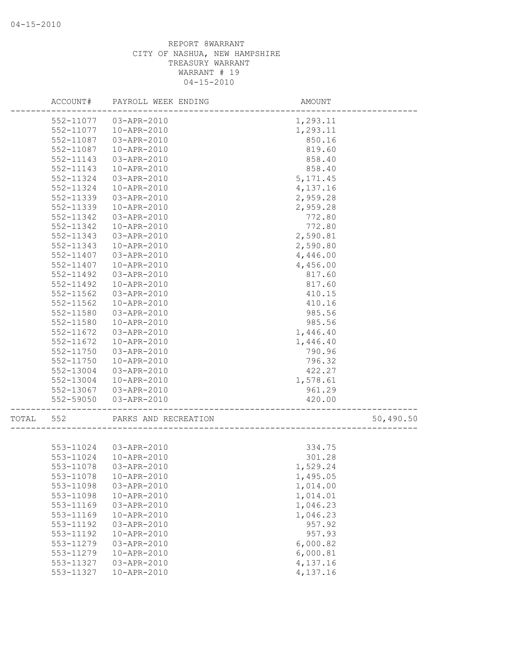|       | ACCOUNT#  | PAYROLL WEEK ENDING    | AMOUNT    |           |
|-------|-----------|------------------------|-----------|-----------|
|       | 552-11077 | 03-APR-2010            | 1,293.11  |           |
|       | 552-11077 | 10-APR-2010            | 1,293.11  |           |
|       | 552-11087 | 03-APR-2010            | 850.16    |           |
|       | 552-11087 | 10-APR-2010            | 819.60    |           |
|       | 552-11143 | 03-APR-2010            | 858.40    |           |
|       | 552-11143 | 10-APR-2010            | 858.40    |           |
|       | 552-11324 | 03-APR-2010            | 5, 171.45 |           |
|       | 552-11324 | 10-APR-2010            | 4,137.16  |           |
|       | 552-11339 | 03-APR-2010            | 2,959.28  |           |
|       | 552-11339 | 10-APR-2010            | 2,959.28  |           |
|       | 552-11342 | 03-APR-2010            | 772.80    |           |
|       | 552-11342 | 10-APR-2010            | 772.80    |           |
|       | 552-11343 | 03-APR-2010            | 2,590.81  |           |
|       | 552-11343 | 10-APR-2010            | 2,590.80  |           |
|       | 552-11407 | 03-APR-2010            | 4,446.00  |           |
|       | 552-11407 | 10-APR-2010            | 4,456.00  |           |
|       | 552-11492 | 03-APR-2010            | 817.60    |           |
|       | 552-11492 | 10-APR-2010            | 817.60    |           |
|       | 552-11562 | 03-APR-2010            | 410.15    |           |
|       | 552-11562 | 10-APR-2010            | 410.16    |           |
|       | 552-11580 | 03-APR-2010            | 985.56    |           |
|       | 552-11580 | 10-APR-2010            | 985.56    |           |
|       | 552-11672 | 03-APR-2010            | 1,446.40  |           |
|       | 552-11672 | 10-APR-2010            | 1,446.40  |           |
|       | 552-11750 | 03-APR-2010            | 790.96    |           |
|       | 552-11750 | 10-APR-2010            | 796.32    |           |
|       | 552-13004 | 03-APR-2010            | 422.27    |           |
|       | 552-13004 | 10-APR-2010            | 1,578.61  |           |
|       | 552-13067 | 03-APR-2010            | 961.29    |           |
|       | 552-59050 | 03-APR-2010            | 420.00    |           |
| TOTAL | 552       | PARKS AND RECREATION   |           | 50,490.50 |
|       |           |                        |           |           |
|       |           | 553-11024 03-APR-2010  | 334.75    |           |
|       |           | 553-11024  10-APR-2010 | 301.28    |           |
|       | 553-11078 | 03-APR-2010            | 1,529.24  |           |
|       |           | 553-11078  10-APR-2010 | 1,495.05  |           |
|       | 553-11098 | 03-APR-2010            | 1,014.00  |           |
|       | 553-11098 | 10-APR-2010            | 1,014.01  |           |
|       | 553-11169 | 03-APR-2010            | 1,046.23  |           |
|       | 553-11169 | 10-APR-2010            | 1,046.23  |           |
|       | 553-11192 | 03-APR-2010            | 957.92    |           |
|       | 553-11192 | 10-APR-2010            | 957.93    |           |
|       | 553-11279 | 03-APR-2010            | 6,000.82  |           |
|       | 553-11279 | 10-APR-2010            | 6,000.81  |           |
|       | 553-11327 | 03-APR-2010            | 4,137.16  |           |
|       | 553-11327 | 10-APR-2010            | 4,137.16  |           |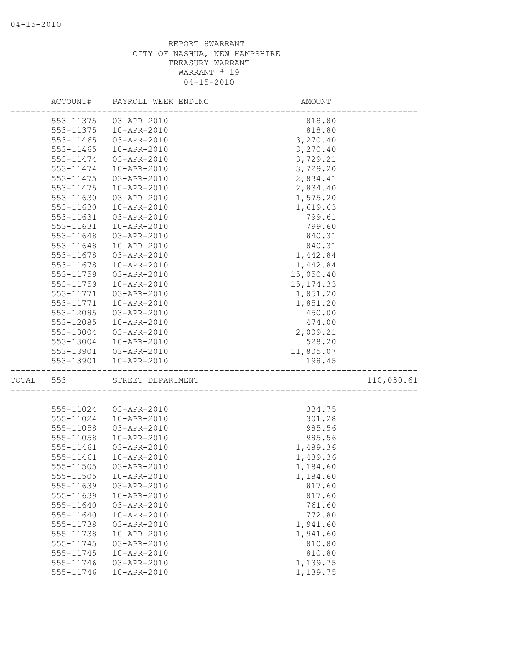|       | ACCOUNT#  | PAYROLL WEEK ENDING | AMOUNT     |            |
|-------|-----------|---------------------|------------|------------|
|       | 553-11375 | 03-APR-2010         | 818.80     |            |
|       | 553-11375 | 10-APR-2010         | 818.80     |            |
|       | 553-11465 | 03-APR-2010         | 3,270.40   |            |
|       | 553-11465 | 10-APR-2010         | 3,270.40   |            |
|       | 553-11474 | 03-APR-2010         | 3,729.21   |            |
|       | 553-11474 | 10-APR-2010         | 3,729.20   |            |
|       | 553-11475 | 03-APR-2010         | 2,834.41   |            |
|       | 553-11475 | 10-APR-2010         | 2,834.40   |            |
|       | 553-11630 | 03-APR-2010         | 1,575.20   |            |
|       | 553-11630 | 10-APR-2010         | 1,619.63   |            |
|       | 553-11631 | 03-APR-2010         | 799.61     |            |
|       | 553-11631 | 10-APR-2010         | 799.60     |            |
|       | 553-11648 | 03-APR-2010         | 840.31     |            |
|       | 553-11648 | 10-APR-2010         | 840.31     |            |
|       | 553-11678 | 03-APR-2010         | 1,442.84   |            |
|       | 553-11678 | 10-APR-2010         | 1,442.84   |            |
|       | 553-11759 | 03-APR-2010         | 15,050.40  |            |
|       | 553-11759 | 10-APR-2010         | 15, 174.33 |            |
|       | 553-11771 | 03-APR-2010         | 1,851.20   |            |
|       | 553-11771 | 10-APR-2010         | 1,851.20   |            |
|       | 553-12085 | 03-APR-2010         | 450.00     |            |
|       | 553-12085 | 10-APR-2010         | 474.00     |            |
|       | 553-13004 | 03-APR-2010         | 2,009.21   |            |
|       | 553-13004 | 10-APR-2010         | 528.20     |            |
|       | 553-13901 | 03-APR-2010         | 11,805.07  |            |
|       | 553-13901 | 10-APR-2010         | 198.45     |            |
| TOTAL | 553       | STREET DEPARTMENT   |            | 110,030.61 |
|       |           |                     |            |            |
|       | 555-11024 | 03-APR-2010         | 334.75     |            |
|       | 555-11024 | 10-APR-2010         | 301.28     |            |
|       | 555-11058 | 03-APR-2010         | 985.56     |            |
|       | 555-11058 | 10-APR-2010         | 985.56     |            |
|       | 555-11461 | 03-APR-2010         | 1,489.36   |            |
|       | 555-11461 | 10-APR-2010         | 1,489.36   |            |
|       | 555-11505 | 03-APR-2010         | 1,184.60   |            |
|       | 555-11505 | 10-APR-2010         | 1,184.60   |            |
|       | 555-11639 | 03-APR-2010         | 817.60     |            |
|       | 555-11639 | 10-APR-2010         | 817.60     |            |
|       | 555-11640 | 03-APR-2010         | 761.60     |            |
|       | 555-11640 | 10-APR-2010         | 772.80     |            |
|       | 555-11738 | 03-APR-2010         | 1,941.60   |            |
|       | 555-11738 | 10-APR-2010         | 1,941.60   |            |
|       | 555-11745 | 03-APR-2010         | 810.80     |            |
|       | 555-11745 | 10-APR-2010         | 810.80     |            |
|       | 555-11746 | 03-APR-2010         | 1,139.75   |            |
|       | 555-11746 | 10-APR-2010         | 1,139.75   |            |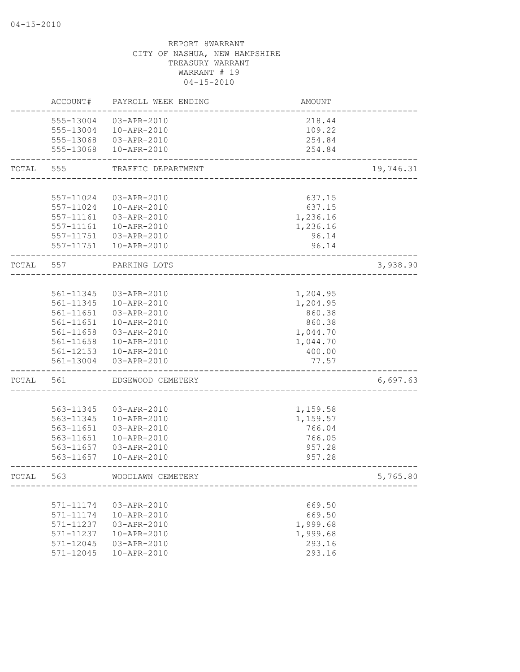|       | ACCOUNT#      | PAYROLL WEEK ENDING    | <b>AMOUNT</b> |           |
|-------|---------------|------------------------|---------------|-----------|
|       | 555-13004     | 03-APR-2010            | 218.44        |           |
|       | 555-13004     | 10-APR-2010            | 109.22        |           |
|       |               | 555-13068 03-APR-2010  | 254.84        |           |
|       | 555-13068     | 10-APR-2010            | 254.84        |           |
| TOTAL | 555           | TRAFFIC DEPARTMENT     |               | 19,746.31 |
|       |               |                        |               |           |
|       | 557-11024     | 03-APR-2010            | 637.15        |           |
|       | 557-11024     | 10-APR-2010            | 637.15        |           |
|       | $557 - 11161$ | 03-APR-2010            | 1,236.16      |           |
|       | 557-11161     | 10-APR-2010            | 1,236.16      |           |
|       | 557-11751     | 03-APR-2010            | 96.14         |           |
|       |               | 557-11751  10-APR-2010 | 96.14         |           |
| TOTAL | 557           | PARKING LOTS           |               | 3,938.90  |
|       |               |                        |               |           |
|       | 561-11345     | 03-APR-2010            | 1,204.95      |           |
|       | 561-11345     | 10-APR-2010            | 1,204.95      |           |
|       | 561-11651     | 03-APR-2010            | 860.38        |           |
|       | 561-11651     | 10-APR-2010            | 860.38        |           |
|       | 561-11658     | 03-APR-2010            | 1,044.70      |           |
|       | 561-11658     | 10-APR-2010            | 1,044.70      |           |
|       | 561-12153     | 10-APR-2010            | 400.00        |           |
|       | 561-13004     | 03-APR-2010            | 77.57         |           |
| TOTAL | 561           | EDGEWOOD CEMETERY      |               | 6,697.63  |
|       |               |                        |               |           |
|       | 563-11345     | 03-APR-2010            | 1,159.58      |           |
|       | 563-11345     | 10-APR-2010            | 1,159.57      |           |
|       | 563-11651     | 03-APR-2010            | 766.04        |           |
|       | 563-11651     | 10-APR-2010            | 766.05        |           |
|       | 563-11657     | 03-APR-2010            | 957.28        |           |
|       | 563-11657     | 10-APR-2010            | 957.28        |           |
| TOTAL | 563           | WOODLAWN CEMETERY      |               | 5,765.80  |
|       |               |                        |               |           |
|       | 571-11174     | 03-APR-2010            | 669.50        |           |
|       | 571-11174     | 10-APR-2010            | 669.50        |           |
|       | 571-11237     | 03-APR-2010            | 1,999.68      |           |
|       | 571-11237     | 10-APR-2010            | 1,999.68      |           |
|       | 571-12045     | 03-APR-2010            | 293.16        |           |
|       | 571-12045     | $10 - APR - 2010$      | 293.16        |           |
|       |               |                        |               |           |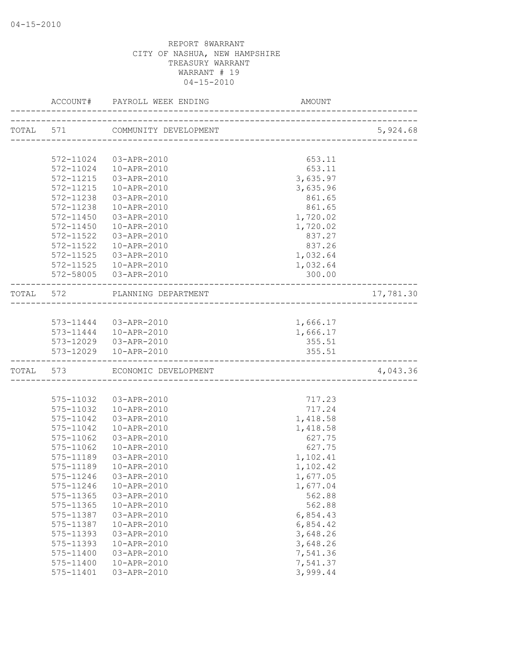| ACCOUNT#               | PAYROLL WEEK ENDING             | AMOUNT                          |           |
|------------------------|---------------------------------|---------------------------------|-----------|
|                        | TOTAL 571 COMMUNITY DEVELOPMENT |                                 | 5,924.68  |
|                        |                                 | ------------------------------- |           |
| 572-11024              | 03-APR-2010                     | 653.11                          |           |
| 572-11024              | 10-APR-2010                     | 653.11                          |           |
| 572-11215              | 03-APR-2010                     | 3,635.97                        |           |
| 572-11215              | 10-APR-2010                     | 3,635.96                        |           |
| 572-11238              | 03-APR-2010                     | 861.65                          |           |
| 572-11238              | 10-APR-2010                     | 861.65                          |           |
| $572 - 11450$          | 03-APR-2010                     | 1,720.02                        |           |
| 572-11450              | 10-APR-2010                     | 1,720.02                        |           |
| 572-11522              | 03-APR-2010                     | 837.27                          |           |
| 572-11522              | 10-APR-2010                     | 837.26                          |           |
| 572-11525              | 03-APR-2010                     | 1,032.64                        |           |
| 572-11525              | 10-APR-2010                     | 1,032.64                        |           |
|                        | 572-58005 03-APR-2010           | 300.00                          |           |
|                        | TOTAL 572 PLANNING DEPARTMENT   |                                 | 17,781.30 |
|                        |                                 |                                 |           |
|                        | 573-11444 03-APR-2010           | 1,666.17                        |           |
|                        | 573-11444  10-APR-2010          | 1,666.17                        |           |
|                        | 573-12029  03-APR-2010          | 355.51                          |           |
|                        | 573-12029  10-APR-2010          | 355.51                          |           |
| TOTAL 573              | ECONOMIC DEVELOPMENT            |                                 | 4,043.36  |
|                        |                                 |                                 |           |
| 575-11032              | 03-APR-2010                     | 717.23                          |           |
| 575-11032              | 10-APR-2010                     | 717.24                          |           |
| 575-11042              | 03-APR-2010                     | 1,418.58                        |           |
| 575-11042              | 10-APR-2010                     | 1,418.58                        |           |
| 575-11062              | 03-APR-2010                     | 627.75                          |           |
| 575-11062              | 10-APR-2010                     | 627.75                          |           |
| 575-11189              | 03-APR-2010                     | 1,102.41                        |           |
| 575-11189              | 10-APR-2010                     | 1,102.42                        |           |
| 575-11246              | 03-APR-2010                     | 1,677.05                        |           |
| 575-11246              | 10-APR-2010                     | 1,677.04                        |           |
| 575-11365              | 03-APR-2010                     | 562.88                          |           |
| 575-11365              | 10-APR-2010                     | 562.88                          |           |
| 575-11387              | 03-APR-2010                     | 6,854.43                        |           |
| 575-11387              | 10-APR-2010                     | 6,854.42                        |           |
| 575-11393              | 03-APR-2010                     | 3,648.26                        |           |
| 575-11393              | 10-APR-2010                     | 3,648.26                        |           |
| 575-11400<br>575-11400 | 03-APR-2010<br>10-APR-2010      | 7,541.36<br>7,541.37            |           |
| 575-11401              | 03-APR-2010                     | 3,999.44                        |           |
|                        |                                 |                                 |           |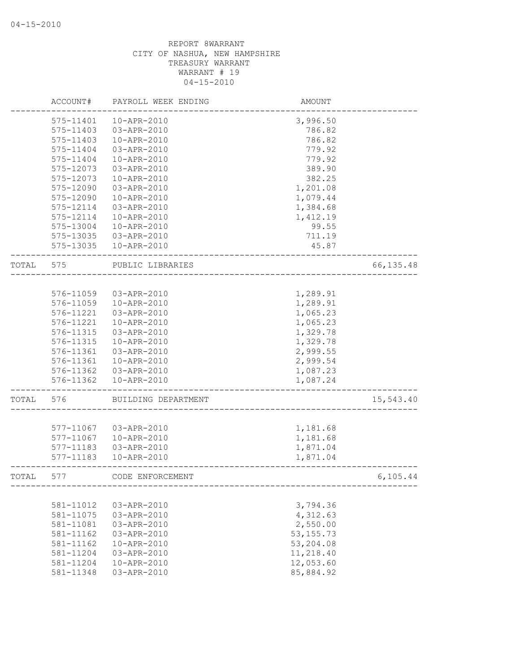|       | ACCOUNT#  | PAYROLL WEEK ENDING | AMOUNT      |            |
|-------|-----------|---------------------|-------------|------------|
|       | 575-11401 | 10-APR-2010         | 3,996.50    |            |
|       | 575-11403 | 03-APR-2010         | 786.82      |            |
|       | 575-11403 | 10-APR-2010         | 786.82      |            |
|       | 575-11404 | 03-APR-2010         | 779.92      |            |
|       | 575-11404 | 10-APR-2010         | 779.92      |            |
|       | 575-12073 | 03-APR-2010         | 389.90      |            |
|       | 575-12073 | 10-APR-2010         | 382.25      |            |
|       | 575-12090 | 03-APR-2010         | 1,201.08    |            |
|       | 575-12090 | 10-APR-2010         | 1,079.44    |            |
|       | 575-12114 | 03-APR-2010         | 1,384.68    |            |
|       | 575-12114 | 10-APR-2010         | 1,412.19    |            |
|       | 575-13004 | 10-APR-2010         | 99.55       |            |
|       | 575-13035 | 03-APR-2010         | 711.19      |            |
|       | 575-13035 | 10-APR-2010         | 45.87       |            |
| TOTAL | 575       | PUBLIC LIBRARIES    |             | 66, 135.48 |
|       |           |                     |             |            |
|       | 576-11059 | 03-APR-2010         | 1,289.91    |            |
|       | 576-11059 | 10-APR-2010         | 1,289.91    |            |
|       | 576-11221 | 03-APR-2010         | 1,065.23    |            |
|       | 576-11221 | 10-APR-2010         | 1,065.23    |            |
|       | 576-11315 | 03-APR-2010         | 1,329.78    |            |
|       | 576-11315 | 10-APR-2010         | 1,329.78    |            |
|       | 576-11361 | 03-APR-2010         | 2,999.55    |            |
|       | 576-11361 | 10-APR-2010         | 2,999.54    |            |
|       | 576-11362 | 03-APR-2010         | 1,087.23    |            |
|       | 576-11362 | 10-APR-2010         | 1,087.24    |            |
| TOTAL | 576       | BUILDING DEPARTMENT |             | 15,543.40  |
|       |           |                     |             |            |
|       | 577-11067 | 03-APR-2010         | 1,181.68    |            |
|       | 577-11067 | 10-APR-2010         | 1,181.68    |            |
|       | 577-11183 | 03-APR-2010         | 1,871.04    |            |
|       | 577-11183 | 10-APR-2010         | 1,871.04    |            |
| TOTAL | 577       | CODE ENFORCEMENT    |             | 6, 105.44  |
|       |           |                     |             |            |
|       | 581-11012 | 03-APR-2010         | 3,794.36    |            |
|       | 581-11075 | 03-APR-2010         | 4,312.63    |            |
|       | 581-11081 | 03-APR-2010         | 2,550.00    |            |
|       | 581-11162 | 03-APR-2010         | 53, 155. 73 |            |
|       | 581-11162 | 10-APR-2010         | 53,204.08   |            |
|       | 581-11204 | 03-APR-2010         | 11,218.40   |            |
|       | 581-11204 | 10-APR-2010         | 12,053.60   |            |
|       | 581-11348 | 03-APR-2010         | 85,884.92   |            |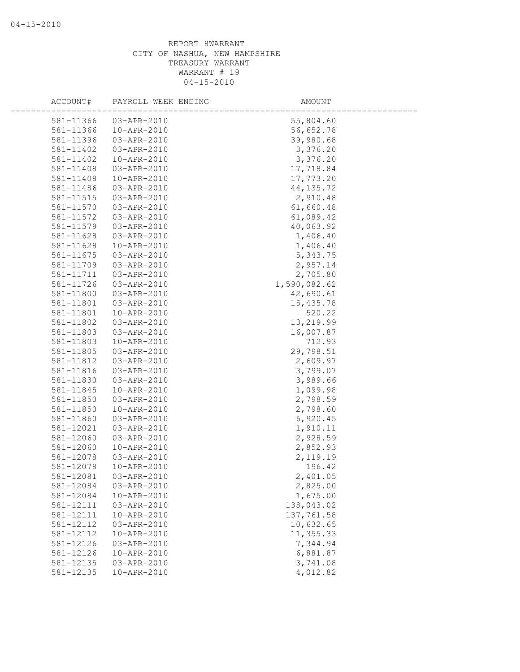| ACCOUNT#  | PAYROLL WEEK ENDING | AMOUNT       |  |
|-----------|---------------------|--------------|--|
| 581-11366 | 03-APR-2010         | 55,804.60    |  |
| 581-11366 | 10-APR-2010         | 56,652.78    |  |
| 581-11396 | 03-APR-2010         | 39,980.68    |  |
| 581-11402 | 03-APR-2010         | 3,376.20     |  |
| 581-11402 | 10-APR-2010         | 3,376.20     |  |
| 581-11408 | 03-APR-2010         | 17,718.84    |  |
| 581-11408 | 10-APR-2010         | 17,773.20    |  |
| 581-11486 | 03-APR-2010         | 44, 135.72   |  |
| 581-11515 | 03-APR-2010         | 2,910.48     |  |
| 581-11570 | 03-APR-2010         | 61,660.48    |  |
| 581-11572 | 03-APR-2010         | 61,089.42    |  |
| 581-11579 | 03-APR-2010         | 40,063.92    |  |
| 581-11628 | 03-APR-2010         | 1,406.40     |  |
| 581-11628 | 10-APR-2010         | 1,406.40     |  |
| 581-11675 | 03-APR-2010         | 5,343.75     |  |
| 581-11709 | 03-APR-2010         | 2,957.14     |  |
| 581-11711 | 03-APR-2010         | 2,705.80     |  |
| 581-11726 | 03-APR-2010         | 1,590,082.62 |  |
| 581-11800 | 03-APR-2010         | 42,690.61    |  |
| 581-11801 | 03-APR-2010         | 15,435.78    |  |
| 581-11801 | 10-APR-2010         | 520.22       |  |
| 581-11802 | 03-APR-2010         | 13,219.99    |  |
| 581-11803 | 03-APR-2010         | 16,007.87    |  |
| 581-11803 | 10-APR-2010         | 712.93       |  |
| 581-11805 | 03-APR-2010         | 29,798.51    |  |
| 581-11812 | 03-APR-2010         | 2,609.97     |  |
| 581-11816 | 03-APR-2010         | 3,799.07     |  |
| 581-11830 | 03-APR-2010         | 3,989.66     |  |
| 581-11845 | 10-APR-2010         | 1,099.98     |  |
| 581-11850 | 03-APR-2010         | 2,798.59     |  |
| 581-11850 | 10-APR-2010         | 2,798.60     |  |
| 581-11860 | 03-APR-2010         | 6,920.45     |  |
| 581-12021 | 03-APR-2010         | 1,910.11     |  |
| 581-12060 | 03-APR-2010         | 2,928.59     |  |
| 581-12060 | 10-APR-2010         | 2,852.93     |  |
| 581-12078 | 03-APR-2010         | 2,119.19     |  |
| 581-12078 | 10-APR-2010         | 196.42       |  |
| 581-12081 | 03-APR-2010         | 2,401.05     |  |
| 581-12084 | 03-APR-2010         | 2,825.00     |  |
| 581-12084 | 10-APR-2010         | 1,675.00     |  |
| 581-12111 | 03-APR-2010         | 138,043.02   |  |
| 581-12111 | 10-APR-2010         | 137,761.58   |  |
| 581-12112 | 03-APR-2010         | 10,632.65    |  |
| 581-12112 | 10-APR-2010         | 11,355.33    |  |
| 581-12126 | 03-APR-2010         | 7,344.94     |  |
| 581-12126 | 10-APR-2010         | 6,881.87     |  |
| 581-12135 | 03-APR-2010         | 3,741.08     |  |
| 581-12135 | 10-APR-2010         | 4,012.82     |  |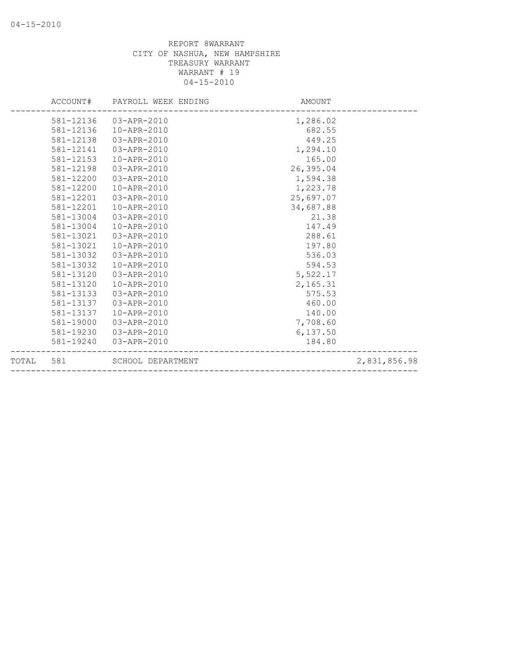|           |           | ACCOUNT# PAYROLL WEEK ENDING | AMOUNT    |              |
|-----------|-----------|------------------------------|-----------|--------------|
|           |           | 581-12136 03-APR-2010        | 1,286.02  |              |
|           |           | 581-12136  10-APR-2010       | 682.55    |              |
|           | 581-12138 | 03-APR-2010                  | 449.25    |              |
|           | 581-12141 | 03-APR-2010                  | 1,294.10  |              |
|           | 581-12153 | 10-APR-2010                  | 165.00    |              |
|           | 581-12198 | 03-APR-2010                  | 26,395.04 |              |
|           | 581-12200 | 03-APR-2010                  | 1,594.38  |              |
|           | 581-12200 | 10-APR-2010                  | 1,223.78  |              |
|           | 581-12201 | 03-APR-2010                  | 25,697.07 |              |
|           | 581-12201 | 10-APR-2010                  | 34,687.88 |              |
|           | 581-13004 | 03-APR-2010                  | 21.38     |              |
|           | 581-13004 | 10-APR-2010                  | 147.49    |              |
|           | 581-13021 | 03-APR-2010                  | 288.61    |              |
|           | 581-13021 | 10-APR-2010                  | 197.80    |              |
|           | 581-13032 | $03 - APR - 2010$            | 536.03    |              |
|           | 581-13032 | 10-APR-2010                  | 594.53    |              |
|           | 581-13120 | 03-APR-2010                  | 5,522.17  |              |
|           | 581-13120 | 10-APR-2010                  | 2,165.31  |              |
|           | 581-13133 | 03-APR-2010                  | 575.53    |              |
|           | 581-13137 | 03-APR-2010                  | 460.00    |              |
|           | 581-13137 | 10-APR-2010                  | 140.00    |              |
|           | 581-19000 | 03-APR-2010                  | 7,708.60  |              |
|           | 581-19230 | 03-APR-2010                  | 6,137.50  |              |
|           | 581-19240 | 03-APR-2010                  | 184.80    |              |
| TOTAL 581 |           | SCHOOL DEPARTMENT            |           | 2,831,856.98 |
|           |           |                              |           |              |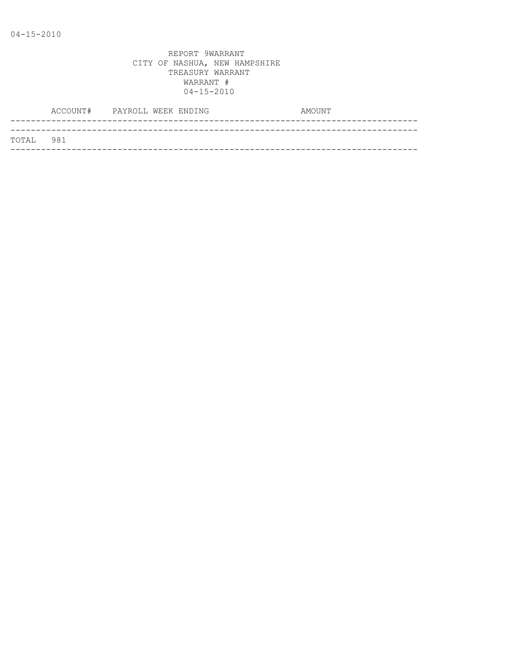|           | ACCOUNT# PAYROLL WEEK ENDING |  |  | AMOUNT |
|-----------|------------------------------|--|--|--------|
|           |                              |  |  |        |
| TOTAL 981 |                              |  |  |        |
|           |                              |  |  |        |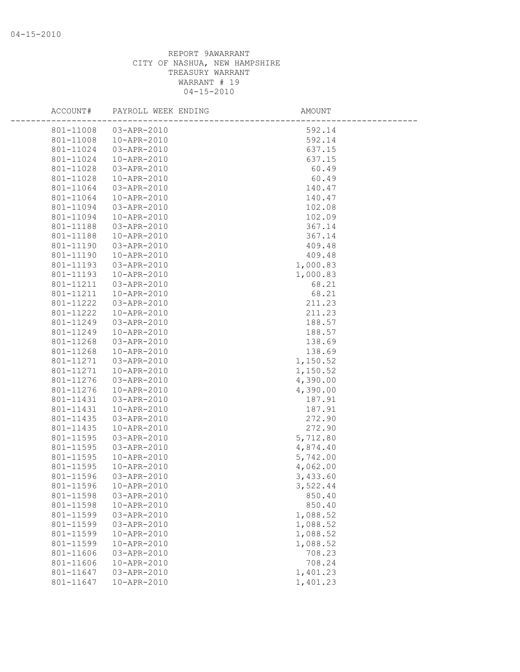| ACCOUNT#  | PAYROLL WEEK ENDING | <b>AMOUNT</b> |  |
|-----------|---------------------|---------------|--|
| 801-11008 | 03-APR-2010         | 592.14        |  |
| 801-11008 | 10-APR-2010         | 592.14        |  |
| 801-11024 | 03-APR-2010         | 637.15        |  |
| 801-11024 | 10-APR-2010         | 637.15        |  |
| 801-11028 | 03-APR-2010         | 60.49         |  |
| 801-11028 | 10-APR-2010         | 60.49         |  |
| 801-11064 | 03-APR-2010         | 140.47        |  |
| 801-11064 | 10-APR-2010         | 140.47        |  |
| 801-11094 | 03-APR-2010         | 102.08        |  |
| 801-11094 | 10-APR-2010         | 102.09        |  |
| 801-11188 | 03-APR-2010         | 367.14        |  |
| 801-11188 | 10-APR-2010         | 367.14        |  |
| 801-11190 | 03-APR-2010         | 409.48        |  |
| 801-11190 | 10-APR-2010         | 409.48        |  |
| 801-11193 | 03-APR-2010         | 1,000.83      |  |
| 801-11193 | 10-APR-2010         | 1,000.83      |  |
| 801-11211 | 03-APR-2010         | 68.21         |  |
| 801-11211 | 10-APR-2010         | 68.21         |  |
| 801-11222 | 03-APR-2010         | 211.23        |  |
| 801-11222 | 10-APR-2010         | 211.23        |  |
| 801-11249 | 03-APR-2010         | 188.57        |  |
| 801-11249 | 10-APR-2010         | 188.57        |  |
| 801-11268 | 03-APR-2010         | 138.69        |  |
| 801-11268 | 10-APR-2010         | 138.69        |  |
| 801-11271 | 03-APR-2010         | 1,150.52      |  |
| 801-11271 | 10-APR-2010         | 1,150.52      |  |
| 801-11276 | 03-APR-2010         | 4,390.00      |  |
| 801-11276 | 10-APR-2010         | 4,390.00      |  |
| 801-11431 | 03-APR-2010         | 187.91        |  |
| 801-11431 | 10-APR-2010         | 187.91        |  |
| 801-11435 | 03-APR-2010         | 272.90        |  |
| 801-11435 | 10-APR-2010         | 272.90        |  |
| 801-11595 | 03-APR-2010         | 5,712.80      |  |
| 801-11595 | 03-APR-2010         | 4,874.40      |  |
| 801-11595 | 10-APR-2010         | 5,742.00      |  |
| 801-11595 | 10-APR-2010         | 4,062.00      |  |
| 801-11596 | 03-APR-2010         | 3,433.60      |  |
| 801-11596 | 10-APR-2010         | 3,522.44      |  |
| 801-11598 | 03-APR-2010         | 850.40        |  |
| 801-11598 | 10-APR-2010         | 850.40        |  |
| 801-11599 | 03-APR-2010         | 1,088.52      |  |
| 801-11599 | 03-APR-2010         | 1,088.52      |  |
| 801-11599 | 10-APR-2010         | 1,088.52      |  |
| 801-11599 | 10-APR-2010         | 1,088.52      |  |
| 801-11606 | 03-APR-2010         | 708.23        |  |
| 801-11606 | 10-APR-2010         | 708.24        |  |
| 801-11647 | 03-APR-2010         | 1,401.23      |  |
| 801-11647 | 10-APR-2010         | 1,401.23      |  |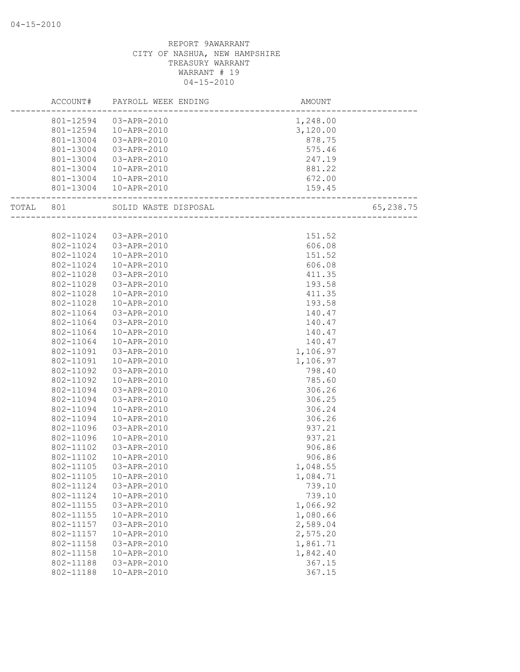|           |           | ACCOUNT# PAYROLL WEEK ENDING | AMOUNT<br>------------------------ |           |
|-----------|-----------|------------------------------|------------------------------------|-----------|
|           |           | 801-12594 03-APR-2010        | 1,248.00                           |           |
|           |           | 801-12594  10-APR-2010       | 3,120.00                           |           |
|           | 801-13004 | 03-APR-2010                  | 878.75                             |           |
|           | 801-13004 | 03-APR-2010                  | 575.46                             |           |
|           | 801-13004 | 03-APR-2010                  | 247.19                             |           |
|           | 801-13004 | 10-APR-2010                  | 881.22                             |           |
|           | 801-13004 | 10-APR-2010                  | 672.00                             |           |
|           |           | 801-13004  10-APR-2010       | 159.45                             |           |
| TOTAL 801 |           |                              |                                    | 65,238.75 |
|           |           |                              |                                    |           |
|           | 802-11024 | 03-APR-2010                  | 151.52                             |           |
|           | 802-11024 | 03-APR-2010                  | 606.08                             |           |
|           | 802-11024 | 10-APR-2010                  | 151.52                             |           |
|           | 802-11024 | 10-APR-2010                  | 606.08                             |           |
|           | 802-11028 | 03-APR-2010                  | 411.35                             |           |
|           | 802-11028 | 03-APR-2010                  | 193.58                             |           |
|           | 802-11028 | 10-APR-2010                  | 411.35                             |           |
|           | 802-11028 | 10-APR-2010                  | 193.58                             |           |
|           | 802-11064 | 03-APR-2010                  | 140.47                             |           |
|           | 802-11064 | 03-APR-2010                  | 140.47                             |           |
|           | 802-11064 | 10-APR-2010                  | 140.47                             |           |
|           | 802-11064 | 10-APR-2010                  | 140.47                             |           |
|           | 802-11091 | 03-APR-2010                  | 1,106.97                           |           |
|           | 802-11091 | 10-APR-2010                  | 1,106.97                           |           |
|           | 802-11092 | 03-APR-2010                  | 798.40                             |           |
|           | 802-11092 | 10-APR-2010                  | 785.60                             |           |
|           | 802-11094 | 03-APR-2010                  | 306.26                             |           |
|           | 802-11094 | 03-APR-2010                  | 306.25                             |           |
|           | 802-11094 | 10-APR-2010                  | 306.24                             |           |
|           | 802-11094 | 10-APR-2010                  | 306.26                             |           |
|           | 802-11096 | 03-APR-2010                  | 937.21                             |           |
|           | 802-11096 | 10-APR-2010                  | 937.21                             |           |
|           | 802-11102 | 03-APR-2010                  | 906.86                             |           |
|           | 802-11102 | 10-APR-2010                  | 906.86                             |           |
|           | 802-11105 | 03-APR-2010                  | 1,048.55                           |           |
|           | 802-11105 | 10-APR-2010                  | 1,084.71                           |           |
|           | 802-11124 | 03-APR-2010                  | 739.10                             |           |
|           | 802-11124 | 10-APR-2010                  | 739.10                             |           |
|           | 802-11155 | 03-APR-2010                  | 1,066.92                           |           |
|           | 802-11155 | 10-APR-2010                  | 1,080.66                           |           |
|           | 802-11157 | 03-APR-2010                  | 2,589.04                           |           |
|           | 802-11157 | 10-APR-2010                  | 2,575.20                           |           |
|           | 802-11158 | 03-APR-2010                  | 1,861.71                           |           |
|           | 802-11158 | 10-APR-2010                  | 1,842.40                           |           |
|           | 802-11188 | 03-APR-2010                  | 367.15                             |           |
|           | 802-11188 | 10-APR-2010                  | 367.15                             |           |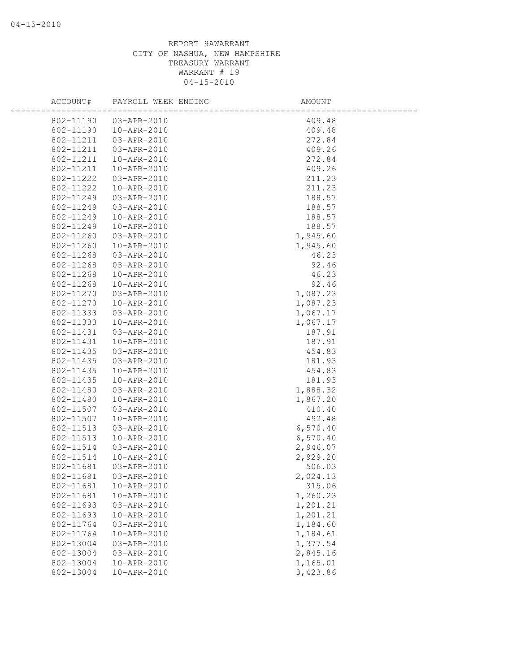| ACCOUNT#  | PAYROLL WEEK ENDING | AMOUNT   |  |
|-----------|---------------------|----------|--|
| 802-11190 | 03-APR-2010         | 409.48   |  |
| 802-11190 | 10-APR-2010         | 409.48   |  |
| 802-11211 | 03-APR-2010         | 272.84   |  |
| 802-11211 | 03-APR-2010         | 409.26   |  |
| 802-11211 | 10-APR-2010         | 272.84   |  |
| 802-11211 | 10-APR-2010         | 409.26   |  |
| 802-11222 | 03-APR-2010         | 211.23   |  |
| 802-11222 | 10-APR-2010         | 211.23   |  |
| 802-11249 | 03-APR-2010         | 188.57   |  |
| 802-11249 | 03-APR-2010         | 188.57   |  |
| 802-11249 | 10-APR-2010         | 188.57   |  |
| 802-11249 | 10-APR-2010         | 188.57   |  |
| 802-11260 | 03-APR-2010         | 1,945.60 |  |
| 802-11260 | 10-APR-2010         | 1,945.60 |  |
| 802-11268 | 03-APR-2010         | 46.23    |  |
| 802-11268 | 03-APR-2010         | 92.46    |  |
| 802-11268 | 10-APR-2010         | 46.23    |  |
| 802-11268 | 10-APR-2010         | 92.46    |  |
| 802-11270 | 03-APR-2010         | 1,087.23 |  |
| 802-11270 | 10-APR-2010         | 1,087.23 |  |
| 802-11333 | 03-APR-2010         | 1,067.17 |  |
| 802-11333 | 10-APR-2010         | 1,067.17 |  |
| 802-11431 | 03-APR-2010         | 187.91   |  |
| 802-11431 | 10-APR-2010         | 187.91   |  |
| 802-11435 | 03-APR-2010         | 454.83   |  |
| 802-11435 | 03-APR-2010         | 181.93   |  |
| 802-11435 | 10-APR-2010         | 454.83   |  |
| 802-11435 | 10-APR-2010         | 181.93   |  |
| 802-11480 | 03-APR-2010         | 1,888.32 |  |
| 802-11480 | 10-APR-2010         | 1,867.20 |  |
| 802-11507 | 03-APR-2010         | 410.40   |  |
| 802-11507 | 10-APR-2010         | 492.48   |  |
| 802-11513 | 03-APR-2010         | 6,570.40 |  |
| 802-11513 | 10-APR-2010         | 6,570.40 |  |
| 802-11514 | 03-APR-2010         | 2,946.07 |  |
| 802-11514 | 10-APR-2010         | 2,929.20 |  |
| 802-11681 | 03-APR-2010         | 506.03   |  |
| 802-11681 | 03-APR-2010         | 2,024.13 |  |
| 802-11681 | 10-APR-2010         | 315.06   |  |
| 802-11681 | 10-APR-2010         | 1,260.23 |  |
| 802-11693 | 03-APR-2010         | 1,201.21 |  |
| 802-11693 | 10-APR-2010         | 1,201.21 |  |
| 802-11764 | 03-APR-2010         | 1,184.60 |  |
| 802-11764 | 10-APR-2010         | 1,184.61 |  |
| 802-13004 | 03-APR-2010         | 1,377.54 |  |
| 802-13004 | 03-APR-2010         | 2,845.16 |  |
| 802-13004 | 10-APR-2010         | 1,165.01 |  |
| 802-13004 | 10-APR-2010         | 3,423.86 |  |